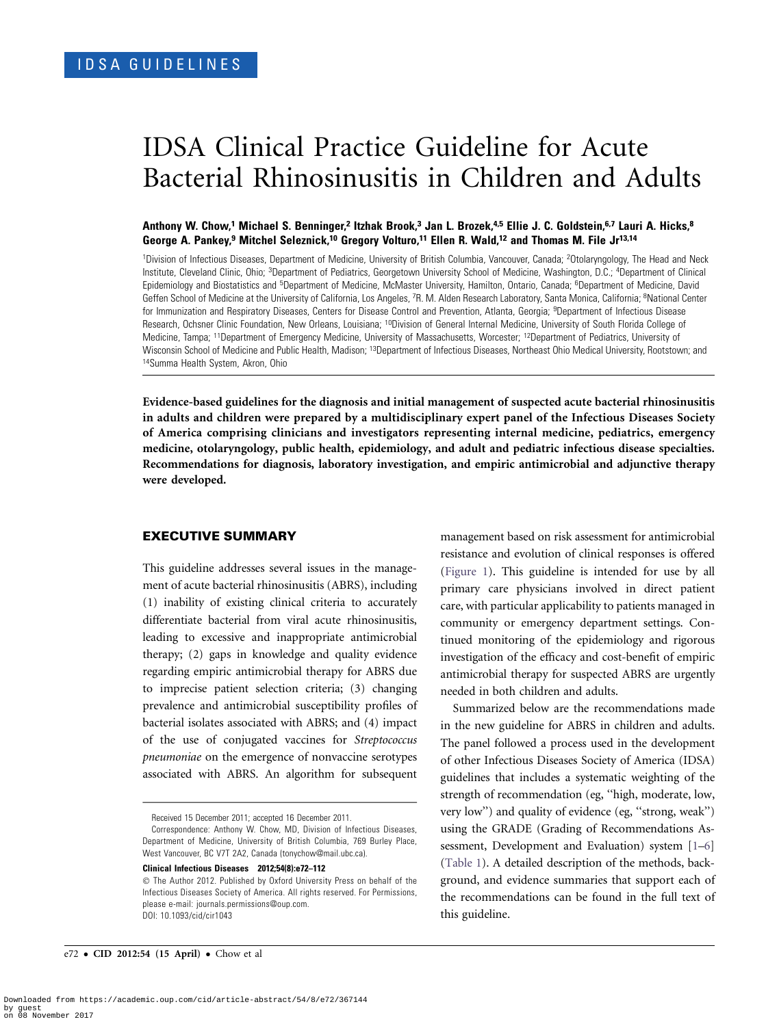# IDSA Clinical Practice Guideline for Acute Bacterial Rhinosinusitis in Children and Adults

#### Anthony W. Chow,<sup>1</sup> Michael S. Benninger,<sup>2</sup> Itzhak Brook,<sup>3</sup> Jan L. Brozek,<sup>4,5</sup> Ellie J. C. Goldstein,<sup>6,7</sup> Lauri A. Hicks,<sup>8</sup> George A. Pankey,<sup>9</sup> Mitchel Seleznick,<sup>10</sup> Gregory Volturo,<sup>11</sup> Ellen R. Wald,<sup>12</sup> and Thomas M. File Jr<sup>13,14</sup>

<sup>1</sup>Division of Infectious Diseases, Department of Medicine, University of British Columbia, Vancouver, Canada; <sup>2</sup>Otolaryngology, The Head and Neck Institute, Cleveland Clinic, Ohio; <sup>3</sup>Department of Pediatrics, Georgetown University School of Medicine, Washington, D.C.; <sup>4</sup>Department of Clinical Epidemiology and Biostatistics and <sup>5</sup>Department of Medicine, McMaster University, Hamilton, Ontario, Canada; <sup>6</sup>Department of Medicine, David Geffen School of Medicine at the University of California, Los Angeles, <sup>7</sup>R. M. Alden Research Laboratory, Santa Monica, California; <sup>8</sup>National Center for Immunization and Respiratory Diseases, Centers for Disease Control and Prevention, Atlanta, Georgia; <sup>9</sup>Department of Infectious Disease Research, Ochsner Clinic Foundation, New Orleans, Louisiana; <sup>10</sup>Division of General Internal Medicine, University of South Florida College of Medicine, Tampa; <sup>11</sup>Department of Emergency Medicine, University of Massachusetts, Worcester; <sup>12</sup>Department of Pediatrics, University of Wisconsin School of Medicine and Public Health, Madison; <sup>13</sup>Department of Infectious Diseases, Northeast Ohio Medical University, Rootstown; and 14Summa Health System, Akron, Ohio

Evidence-based guidelines for the diagnosis and initial management of suspected acute bacterial rhinosinusitis in adults and children were prepared by a multidisciplinary expert panel of the Infectious Diseases Society of America comprising clinicians and investigators representing internal medicine, pediatrics, emergency medicine, otolaryngology, public health, epidemiology, and adult and pediatric infectious disease specialties. Recommendations for diagnosis, laboratory investigation, and empiric antimicrobial and adjunctive therapy were developed.

#### EXECUTIVE SUMMARY

This guideline addresses several issues in the management of acute bacterial rhinosinusitis (ABRS), including (1) inability of existing clinical criteria to accurately differentiate bacterial from viral acute rhinosinusitis, leading to excessive and inappropriate antimicrobial therapy; (2) gaps in knowledge and quality evidence regarding empiric antimicrobial therapy for ABRS due to imprecise patient selection criteria; (3) changing prevalence and antimicrobial susceptibility profiles of bacterial isolates associated with ABRS; and (4) impact of the use of conjugated vaccines for Streptococcus pneumoniae on the emergence of nonvaccine serotypes associated with ABRS. An algorithm for subsequent

Correspondence: Anthony W. Chow, MD, Division of Infectious Diseases, Department of Medicine, University of British Columbia, 769 Burley Place, West Vancouver, BC V7T 2A2, Canada (tonychow@mail.ubc.ca).

Clinical Infectious Diseases 2012;54(8):e72–112

management based on risk assessment for antimicrobial resistance and evolution of clinical responses is offered [\(Figure 1](#page-1-0)). This guideline is intended for use by all primary care physicians involved in direct patient care, with particular applicability to patients managed in community or emergency department settings. Continued monitoring of the epidemiology and rigorous investigation of the efficacy and cost-benefit of empiric antimicrobial therapy for suspected ABRS are urgently needed in both children and adults.

Summarized below are the recommendations made in the new guideline for ABRS in children and adults. The panel followed a process used in the development of other Infectious Diseases Society of America (IDSA) guidelines that includes a systematic weighting of the strength of recommendation (eg, ''high, moderate, low, very low'') and quality of evidence (eg, ''strong, weak'') using the GRADE (Grading of Recommendations Assessment, Development and Evaluation) system [\[1–6\]](#page-35-0) [\(Table 1](#page-4-0)). A detailed description of the methods, background, and evidence summaries that support each of the recommendations can be found in the full text of this guideline.

Received 15 December 2011; accepted 16 December 2011.

The Author 2012. Published by Oxford University Press on behalf of the Infectious Diseases Society of America. All rights reserved. For Permissions, please e-mail: journals.permissions@oup.com. DOI: 10.1093/cid/cir1043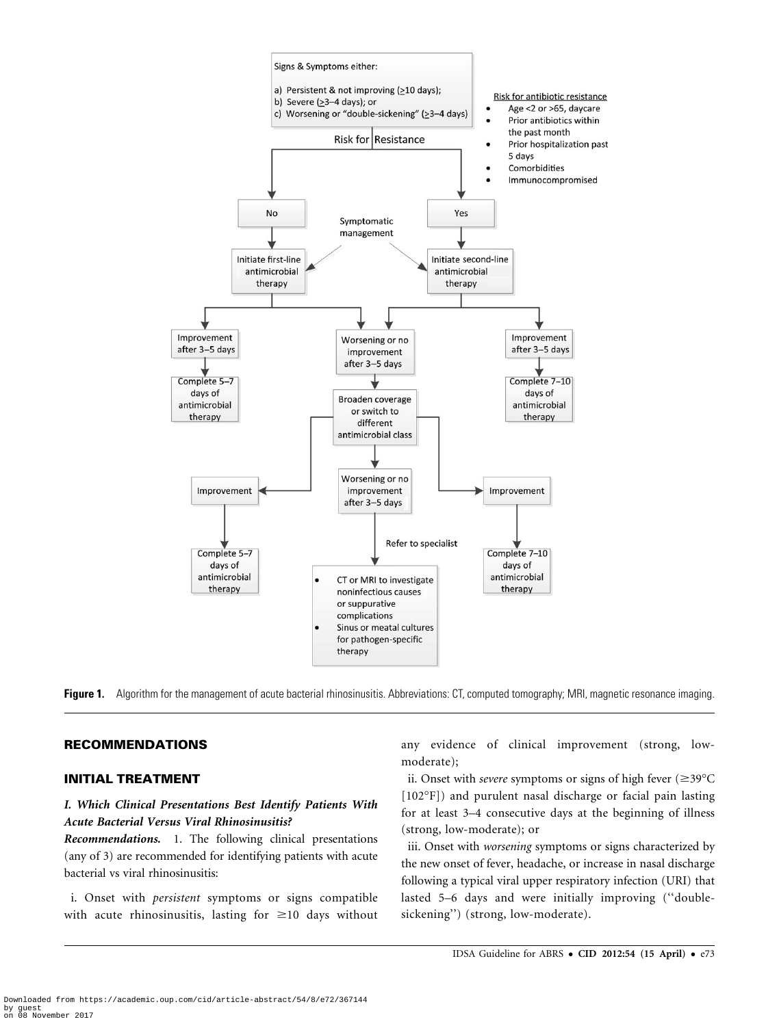<span id="page-1-0"></span>

Figure 1. Algorithm for the management of acute bacterial rhinosinusitis. Abbreviations: CT, computed tomography; MRI, magnetic resonance imaging.

### RECOMMENDATIONS

### INITIAL TREATMENT

# I. Which Clinical Presentations Best Identify Patients With Acute Bacterial Versus Viral Rhinosinusitis?

Recommendations. 1. The following clinical presentations (any of 3) are recommended for identifying patients with acute bacterial vs viral rhinosinusitis:

i. Onset with persistent symptoms or signs compatible with acute rhinosinusitis, lasting for  $\geq 10$  days without any evidence of clinical improvement (strong, lowmoderate);

ii. Onset with *severe* symptoms or signs of high fever ( $\geq$ 39°C [102°F]) and purulent nasal discharge or facial pain lasting for at least 3–4 consecutive days at the beginning of illness (strong, low-moderate); or

iii. Onset with worsening symptoms or signs characterized by the new onset of fever, headache, or increase in nasal discharge following a typical viral upper respiratory infection (URI) that lasted 5–6 days and were initially improving (''doublesickening'') (strong, low-moderate).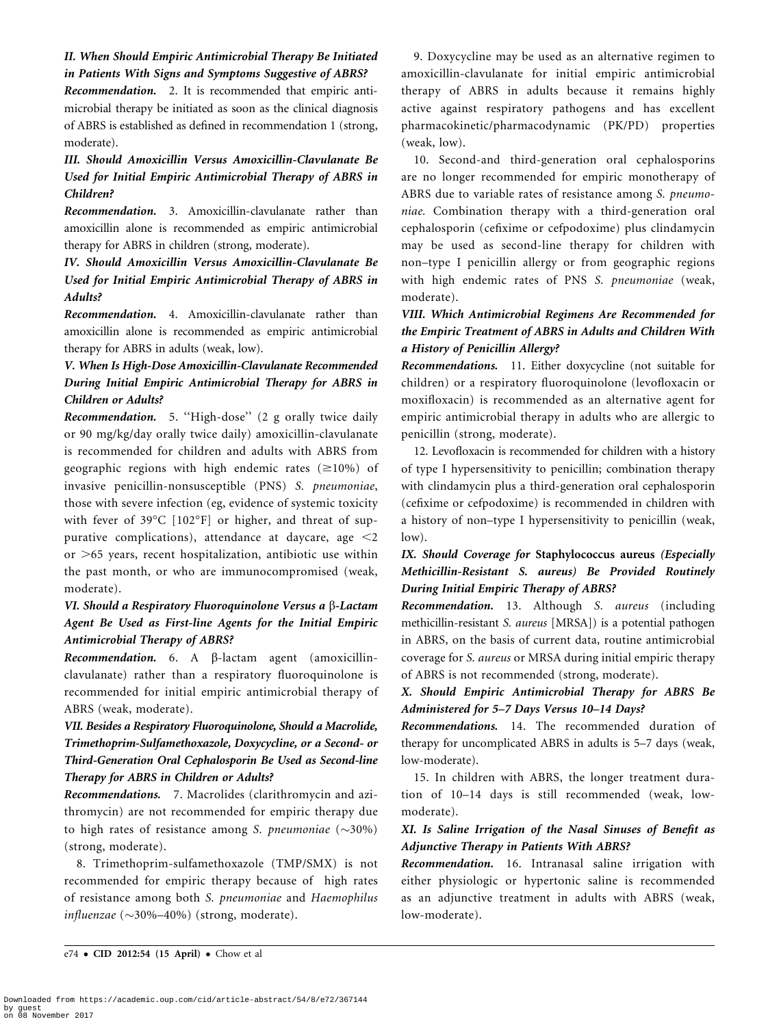## II. When Should Empiric Antimicrobial Therapy Be Initiated in Patients With Signs and Symptoms Suggestive of ABRS?

Recommendation. 2. It is recommended that empiric antimicrobial therapy be initiated as soon as the clinical diagnosis of ABRS is established as defined in recommendation 1 (strong, moderate).

# III. Should Amoxicillin Versus Amoxicillin-Clavulanate Be Used for Initial Empiric Antimicrobial Therapy of ABRS in Children?

Recommendation. 3. Amoxicillin-clavulanate rather than amoxicillin alone is recommended as empiric antimicrobial therapy for ABRS in children (strong, moderate).

# IV. Should Amoxicillin Versus Amoxicillin-Clavulanate Be Used for Initial Empiric Antimicrobial Therapy of ABRS in Adults?

Recommendation. 4. Amoxicillin-clavulanate rather than amoxicillin alone is recommended as empiric antimicrobial therapy for ABRS in adults (weak, low).

# V. When Is High-Dose Amoxicillin-Clavulanate Recommended During Initial Empiric Antimicrobial Therapy for ABRS in Children or Adults?

Recommendation. 5. "High-dose" (2 g orally twice daily or 90 mg/kg/day orally twice daily) amoxicillin-clavulanate is recommended for children and adults with ABRS from geographic regions with high endemic rates  $(\geq 10\%)$  of invasive penicillin-nonsusceptible (PNS) S. pneumoniae, those with severe infection (eg, evidence of systemic toxicity with fever of 39°C [102°F] or higher, and threat of suppurative complications), attendance at daycare, age  $\leq$ 2 or  $>65$  years, recent hospitalization, antibiotic use within the past month, or who are immunocompromised (weak, moderate).

# VI. Should a Respiratory Fluoroquinolone Versus a  $\beta$ -Lactam Agent Be Used as First-line Agents for the Initial Empiric Antimicrobial Therapy of ABRS?

 $Recommendation. 6. A \beta-lactam agent (amoxicillin$ clavulanate) rather than a respiratory fluoroquinolone is recommended for initial empiric antimicrobial therapy of ABRS (weak, moderate).

# VII. Besides a Respiratory Fluoroquinolone, Should a Macrolide, Trimethoprim-Sulfamethoxazole, Doxycycline, or a Second- or Third-Generation Oral Cephalosporin Be Used as Second-line Therapy for ABRS in Children or Adults?

Recommendations. 7. Macrolides (clarithromycin and azithromycin) are not recommended for empiric therapy due to high rates of resistance among S. pneumoniae  $(\sim 30\%)$ (strong, moderate).

8. Trimethoprim-sulfamethoxazole (TMP/SMX) is not recommended for empiric therapy because of high rates of resistance among both S. pneumoniae and Haemophilus influenzae  $(\sim]30\% - 40\%)$  (strong, moderate).

9. Doxycycline may be used as an alternative regimen to amoxicillin-clavulanate for initial empiric antimicrobial therapy of ABRS in adults because it remains highly active against respiratory pathogens and has excellent pharmacokinetic/pharmacodynamic (PK/PD) properties (weak, low).

10. Second-and third-generation oral cephalosporins are no longer recommended for empiric monotherapy of ABRS due to variable rates of resistance among S. pneumoniae. Combination therapy with a third-generation oral cephalosporin (cefixime or cefpodoxime) plus clindamycin may be used as second-line therapy for children with non–type I penicillin allergy or from geographic regions with high endemic rates of PNS S. pneumoniae (weak, moderate).

# VIII. Which Antimicrobial Regimens Are Recommended for the Empiric Treatment of ABRS in Adults and Children With a History of Penicillin Allergy?

Recommendations. 11. Either doxycycline (not suitable for children) or a respiratory fluoroquinolone (levofloxacin or moxifloxacin) is recommended as an alternative agent for empiric antimicrobial therapy in adults who are allergic to penicillin (strong, moderate).

12. Levofloxacin is recommended for children with a history of type I hypersensitivity to penicillin; combination therapy with clindamycin plus a third-generation oral cephalosporin (cefixime or cefpodoxime) is recommended in children with a history of non–type I hypersensitivity to penicillin (weak,  $low$ ).

# IX. Should Coverage for Staphylococcus aureus (Especially Methicillin-Resistant S. aureus) Be Provided Routinely During Initial Empiric Therapy of ABRS?

Recommendation. 13. Although S. aureus (including methicillin-resistant S. aureus [MRSA]) is a potential pathogen in ABRS, on the basis of current data, routine antimicrobial coverage for S. aureus or MRSA during initial empiric therapy of ABRS is not recommended (strong, moderate).

# X. Should Empiric Antimicrobial Therapy for ABRS Be Administered for 5–7 Days Versus 10–14 Days?

Recommendations. 14. The recommended duration of therapy for uncomplicated ABRS in adults is 5–7 days (weak, low-moderate).

15. In children with ABRS, the longer treatment duration of 10–14 days is still recommended (weak, lowmoderate).

# XI. Is Saline Irrigation of the Nasal Sinuses of Benefit as Adjunctive Therapy in Patients With ABRS?

Recommendation. 16. Intranasal saline irrigation with either physiologic or hypertonic saline is recommended as an adjunctive treatment in adults with ABRS (weak, low-moderate).

e74 • CID 2012:54 (15 April) • Chow et al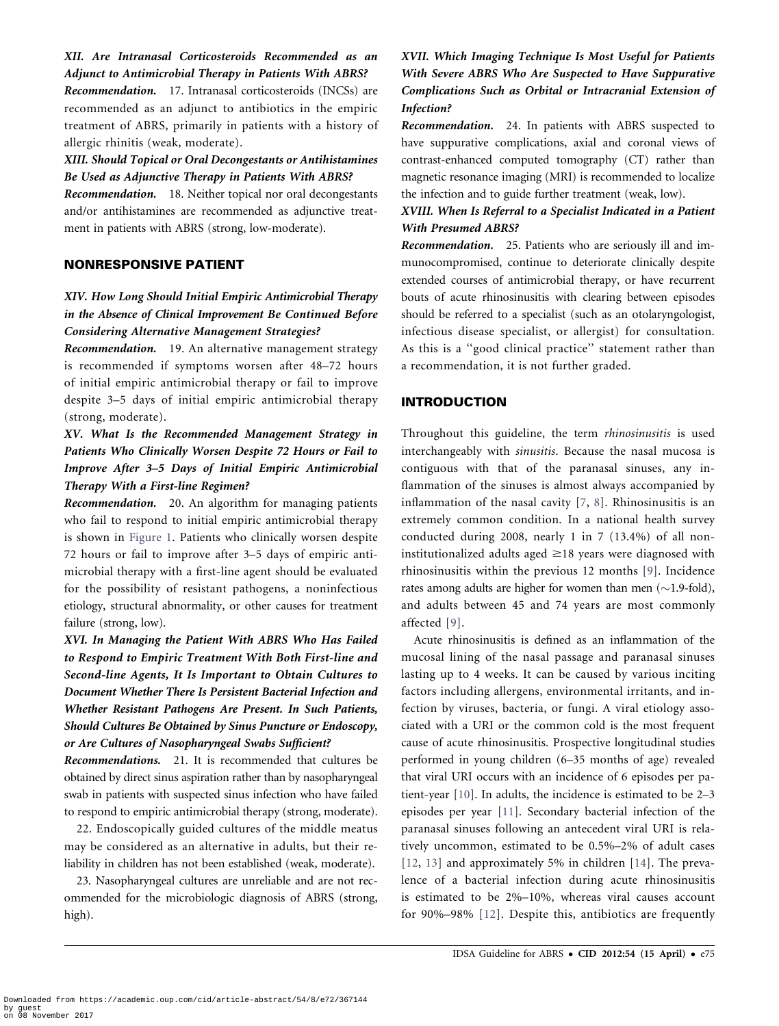# XII. Are Intranasal Corticosteroids Recommended as an Adjunct to Antimicrobial Therapy in Patients With ABRS?

Recommendation. 17. Intranasal corticosteroids (INCSs) are recommended as an adjunct to antibiotics in the empiric treatment of ABRS, primarily in patients with a history of allergic rhinitis (weak, moderate).

### XIII. Should Topical or Oral Decongestants or Antihistamines Be Used as Adjunctive Therapy in Patients With ABRS?

Recommendation. 18. Neither topical nor oral decongestants and/or antihistamines are recommended as adjunctive treatment in patients with ABRS (strong, low-moderate).

# NONRESPONSIVE PATIENT

# XIV. How Long Should Initial Empiric Antimicrobial Therapy in the Absence of Clinical Improvement Be Continued Before Considering Alternative Management Strategies?

Recommendation. 19. An alternative management strategy is recommended if symptoms worsen after 48–72 hours of initial empiric antimicrobial therapy or fail to improve despite 3–5 days of initial empiric antimicrobial therapy (strong, moderate).

# XV. What Is the Recommended Management Strategy in Patients Who Clinically Worsen Despite 72 Hours or Fail to Improve After 3–5 Days of Initial Empiric Antimicrobial Therapy With a First-line Regimen?

Recommendation. 20. An algorithm for managing patients who fail to respond to initial empiric antimicrobial therapy is shown in [Figure 1](#page-1-0). Patients who clinically worsen despite 72 hours or fail to improve after 3–5 days of empiric antimicrobial therapy with a first-line agent should be evaluated for the possibility of resistant pathogens, a noninfectious etiology, structural abnormality, or other causes for treatment failure (strong, low).

# XVI. In Managing the Patient With ABRS Who Has Failed to Respond to Empiric Treatment With Both First-line and Second-line Agents, It Is Important to Obtain Cultures to Document Whether There Is Persistent Bacterial Infection and Whether Resistant Pathogens Are Present. In Such Patients, Should Cultures Be Obtained by Sinus Puncture or Endoscopy, or Are Cultures of Nasopharyngeal Swabs Sufficient?

Recommendations. 21. It is recommended that cultures be obtained by direct sinus aspiration rather than by nasopharyngeal swab in patients with suspected sinus infection who have failed to respond to empiric antimicrobial therapy (strong, moderate).

22. Endoscopically guided cultures of the middle meatus may be considered as an alternative in adults, but their reliability in children has not been established (weak, moderate).

23. Nasopharyngeal cultures are unreliable and are not recommended for the microbiologic diagnosis of ABRS (strong, high).

# XVII. Which Imaging Technique Is Most Useful for Patients With Severe ABRS Who Are Suspected to Have Suppurative Complications Such as Orbital or Intracranial Extension of Infection?

Recommendation. 24. In patients with ABRS suspected to have suppurative complications, axial and coronal views of contrast-enhanced computed tomography (CT) rather than magnetic resonance imaging (MRI) is recommended to localize the infection and to guide further treatment (weak, low).

# XVIII. When Is Referral to a Specialist Indicated in a Patient With Presumed ABRS?

Recommendation. 25. Patients who are seriously ill and immunocompromised, continue to deteriorate clinically despite extended courses of antimicrobial therapy, or have recurrent bouts of acute rhinosinusitis with clearing between episodes should be referred to a specialist (such as an otolaryngologist, infectious disease specialist, or allergist) for consultation. As this is a ''good clinical practice'' statement rather than a recommendation, it is not further graded.

# INTRODUCTION

Throughout this guideline, the term rhinosinusitis is used interchangeably with sinusitis. Because the nasal mucosa is contiguous with that of the paranasal sinuses, any inflammation of the sinuses is almost always accompanied by inflammation of the nasal cavity [\[7](#page-35-0), [8\]](#page-35-0). Rhinosinusitis is an extremely common condition. In a national health survey conducted during 2008, nearly 1 in 7 (13.4%) of all noninstitutionalized adults aged  $\geq$ 18 years were diagnosed with rhinosinusitis within the previous 12 months [[9](#page-35-0)]. Incidence rates among adults are higher for women than men  $(\sim 1.9\text{-}fold)$ , and adults between 45 and 74 years are most commonly affected [[9](#page-35-0)].

Acute rhinosinusitis is defined as an inflammation of the mucosal lining of the nasal passage and paranasal sinuses lasting up to 4 weeks. It can be caused by various inciting factors including allergens, environmental irritants, and infection by viruses, bacteria, or fungi. A viral etiology associated with a URI or the common cold is the most frequent cause of acute rhinosinusitis. Prospective longitudinal studies performed in young children (6–35 months of age) revealed that viral URI occurs with an incidence of 6 episodes per patient-year [\[10](#page-35-0)]. In adults, the incidence is estimated to be 2–3 episodes per year [[11](#page-35-0)]. Secondary bacterial infection of the paranasal sinuses following an antecedent viral URI is relatively uncommon, estimated to be 0.5%–2% of adult cases [[12,](#page-35-0) [13\]](#page-35-0) and approximately 5% in children [[14\]](#page-35-0). The prevalence of a bacterial infection during acute rhinosinusitis is estimated to be 2%–10%, whereas viral causes account for 90%–98% [[12](#page-35-0)]. Despite this, antibiotics are frequently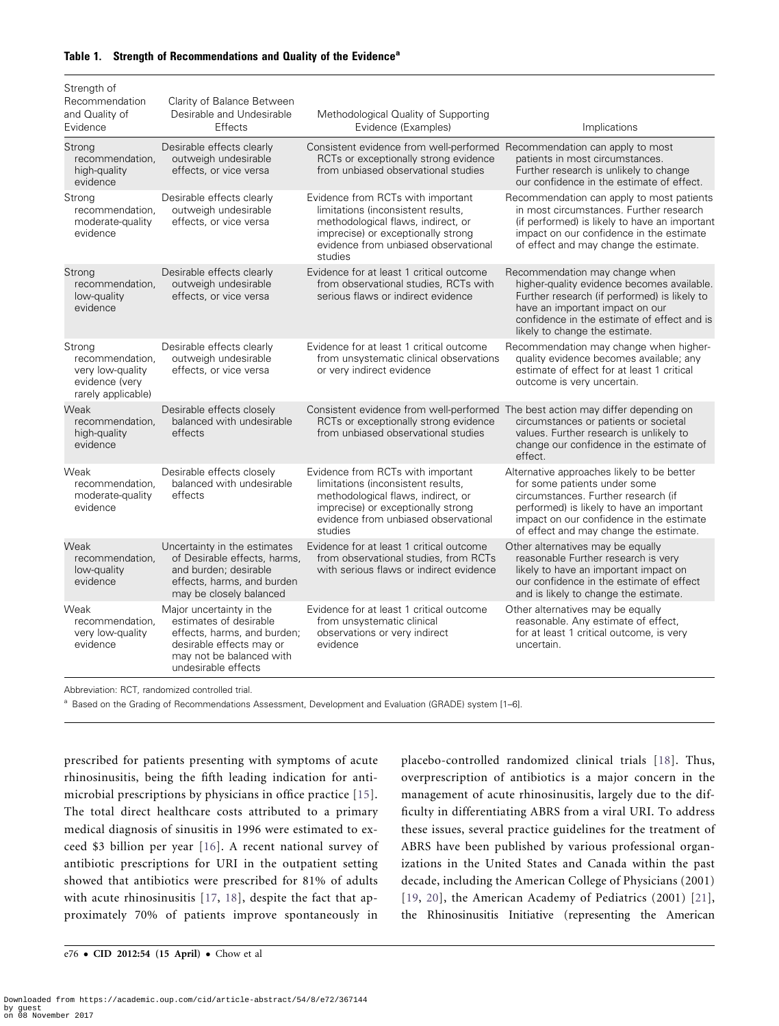| Recommendation<br>and Quality of<br>Evidence                                          | Clarity of Balance Between<br>Desirable and Undesirable<br>Effects                                                                                               | Methodological Quality of Supporting<br>Evidence (Examples)                                                                                                                                            | Implications                                                                                                                                                                                                                                         |
|---------------------------------------------------------------------------------------|------------------------------------------------------------------------------------------------------------------------------------------------------------------|--------------------------------------------------------------------------------------------------------------------------------------------------------------------------------------------------------|------------------------------------------------------------------------------------------------------------------------------------------------------------------------------------------------------------------------------------------------------|
| Strong<br>recommendation,<br>high-quality<br>evidence                                 | Desirable effects clearly<br>outweigh undesirable<br>effects, or vice versa                                                                                      | Consistent evidence from well-performed Recommendation can apply to most<br>RCTs or exceptionally strong evidence<br>from unbiased observational studies                                               | patients in most circumstances.<br>Further research is unlikely to change<br>our confidence in the estimate of effect.                                                                                                                               |
| Strong<br>recommendation,<br>moderate-quality<br>evidence                             | Desirable effects clearly<br>outweigh undesirable<br>effects, or vice versa                                                                                      | Evidence from RCTs with important<br>limitations (inconsistent results,<br>methodological flaws, indirect, or<br>imprecise) or exceptionally strong<br>evidence from unbiased observational<br>studies | Recommendation can apply to most patients<br>in most circumstances. Further research<br>(if performed) is likely to have an important<br>impact on our confidence in the estimate<br>of effect and may change the estimate.                          |
| Strong<br>recommendation,<br>low-quality<br>evidence                                  | Desirable effects clearly<br>outweigh undesirable<br>effects, or vice versa                                                                                      | Evidence for at least 1 critical outcome<br>from observational studies, RCTs with<br>serious flaws or indirect evidence                                                                                | Recommendation may change when<br>higher-quality evidence becomes available.<br>Further research (if performed) is likely to<br>have an important impact on our<br>confidence in the estimate of effect and is<br>likely to change the estimate.     |
| Strong<br>recommendation,<br>very low-quality<br>evidence (very<br>rarely applicable) | Desirable effects clearly<br>outweigh undesirable<br>effects, or vice versa                                                                                      | Evidence for at least 1 critical outcome<br>from unsystematic clinical observations<br>or very indirect evidence                                                                                       | Recommendation may change when higher-<br>quality evidence becomes available; any<br>estimate of effect for at least 1 critical<br>outcome is very uncertain.                                                                                        |
| Weak<br>recommendation,<br>high-quality<br>evidence                                   | Desirable effects closely<br>balanced with undesirable<br>effects                                                                                                | Consistent evidence from well-performed<br>RCTs or exceptionally strong evidence<br>from unbiased observational studies                                                                                | The best action may differ depending on<br>circumstances or patients or societal<br>values. Further research is unlikely to<br>change our confidence in the estimate of<br>effect.                                                                   |
| Weak<br>recommendation,<br>moderate-quality<br>evidence                               | Desirable effects closely<br>balanced with undesirable<br>effects                                                                                                | Evidence from RCTs with important<br>limitations (inconsistent results,<br>methodological flaws, indirect, or<br>imprecise) or exceptionally strong<br>evidence from unbiased observational<br>studies | Alternative approaches likely to be better<br>for some patients under some<br>circumstances. Further research (if<br>performed) is likely to have an important<br>impact on our confidence in the estimate<br>of effect and may change the estimate. |
| Weak<br>recommendation,<br>low-quality<br>evidence                                    | Uncertainty in the estimates<br>of Desirable effects, harms,<br>and burden; desirable<br>effects, harms, and burden<br>may be closely balanced                   | Evidence for at least 1 critical outcome<br>from observational studies, from RCTs<br>with serious flaws or indirect evidence                                                                           | Other alternatives may be equally<br>reasonable Further research is very<br>likely to have an important impact on<br>our confidence in the estimate of effect<br>and is likely to change the estimate.                                               |
| Weak<br>recommendation,<br>very low-quality<br>evidence                               | Major uncertainty in the<br>estimates of desirable<br>effects, harms, and burden;<br>desirable effects may or<br>may not be balanced with<br>undesirable effects | Evidence for at least 1 critical outcome<br>from unsystematic clinical<br>observations or very indirect<br>evidence                                                                                    | Other alternatives may be equally<br>reasonable. Any estimate of effect,<br>for at least 1 critical outcome, is very<br>uncertain.                                                                                                                   |

<span id="page-4-0"></span>Strength of

Abbreviation: RCT, randomized controlled trial.

a Based on the Grading of Recommendations Assessment, Development and Evaluation (GRADE) system [1-6].

prescribed for patients presenting with symptoms of acute rhinosinusitis, being the fifth leading indication for antimicrobial prescriptions by physicians in office practice [[15](#page-35-0)]. The total direct healthcare costs attributed to a primary medical diagnosis of sinusitis in 1996 were estimated to exceed \$3 billion per year [\[16\]](#page-35-0). A recent national survey of antibiotic prescriptions for URI in the outpatient setting showed that antibiotics were prescribed for 81% of adults with acute rhinosinusitis [\[17,](#page-35-0) [18\]](#page-35-0), despite the fact that approximately 70% of patients improve spontaneously in placebo-controlled randomized clinical trials [[18](#page-35-0)]. Thus, overprescription of antibiotics is a major concern in the management of acute rhinosinusitis, largely due to the difficulty in differentiating ABRS from a viral URI. To address these issues, several practice guidelines for the treatment of ABRS have been published by various professional organizations in the United States and Canada within the past decade, including the American College of Physicians (2001) [[19](#page-35-0), [20\]](#page-35-0), the American Academy of Pediatrics (2001) [\[21](#page-35-0)], the Rhinosinusitis Initiative (representing the American

e76 · CID 2012:54 (15 April) · Chow et al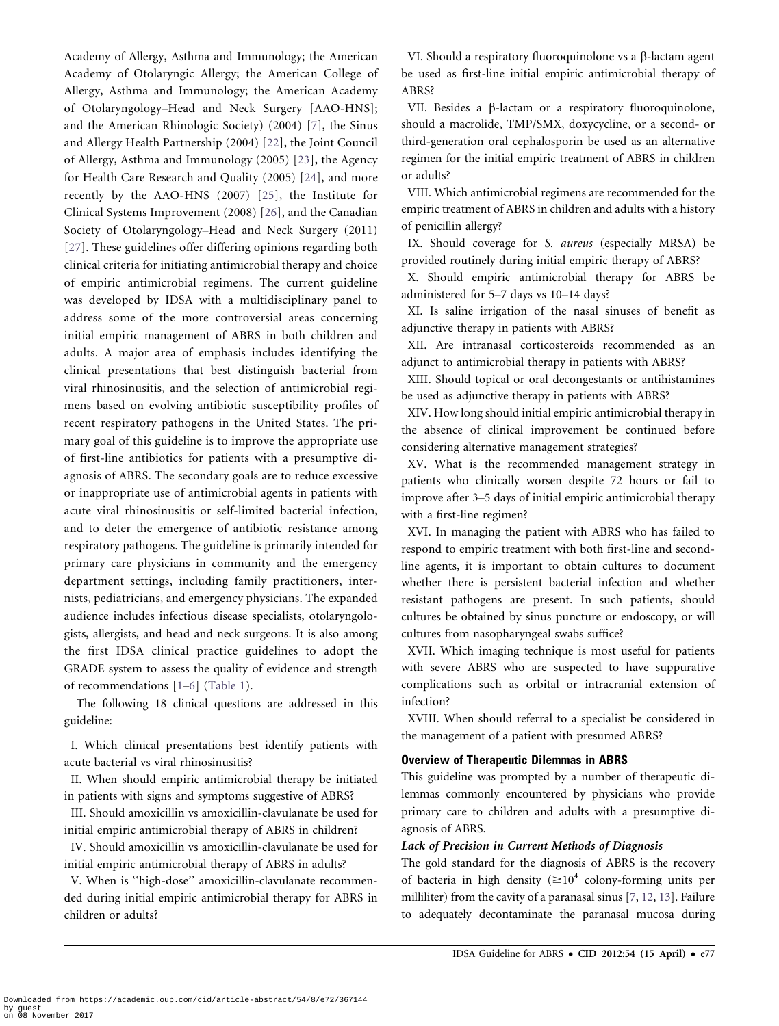Allergy, Asthma and Immunology; the American Academy of Otolaryngology–Head and Neck Surgery [AAO-HNS]; and the American Rhinologic Society) (2004) [\[7\]](#page-35-0), the Sinus and Allergy Health Partnership (2004) [[22\]](#page-35-0), the Joint Council of Allergy, Asthma and Immunology (2005) [\[23](#page-35-0)], the Agency for Health Care Research and Quality (2005) [\[24](#page-35-0)], and more recently by the AAO-HNS (2007) [[25](#page-35-0)], the Institute for Clinical Systems Improvement (2008) [[26](#page-35-0)], and the Canadian Society of Otolaryngology–Head and Neck Surgery (2011) [[27\]](#page-35-0). These guidelines offer differing opinions regarding both clinical criteria for initiating antimicrobial therapy and choice of empiric antimicrobial regimens. The current guideline was developed by IDSA with a multidisciplinary panel to address some of the more controversial areas concerning initial empiric management of ABRS in both children and adults. A major area of emphasis includes identifying the clinical presentations that best distinguish bacterial from viral rhinosinusitis, and the selection of antimicrobial regimens based on evolving antibiotic susceptibility profiles of recent respiratory pathogens in the United States. The primary goal of this guideline is to improve the appropriate use of first-line antibiotics for patients with a presumptive diagnosis of ABRS. The secondary goals are to reduce excessive or inappropriate use of antimicrobial agents in patients with acute viral rhinosinusitis or self-limited bacterial infection, and to deter the emergence of antibiotic resistance among respiratory pathogens. The guideline is primarily intended for primary care physicians in community and the emergency department settings, including family practitioners, internists, pediatricians, and emergency physicians. The expanded audience includes infectious disease specialists, otolaryngologists, allergists, and head and neck surgeons. It is also among the first IDSA clinical practice guidelines to adopt the GRADE system to assess the quality of evidence and strength of recommendations [[1–6\]](#page-35-0) ([Table 1](#page-4-0)). The following 18 clinical questions are addressed in this guideline: I. Which clinical presentations best identify patients with acute bacterial vs viral rhinosinusitis? II. When should empiric antimicrobial therapy be initiated in patients with signs and symptoms suggestive of ABRS? III. Should amoxicillin vs amoxicillin-clavulanate be used for initial empiric antimicrobial therapy of ABRS in children?

Academy of Allergy, Asthma and Immunology; the American Academy of Otolaryngic Allergy; the American College of

IV. Should amoxicillin vs amoxicillin-clavulanate be used for initial empiric antimicrobial therapy of ABRS in adults?

V. When is ''high-dose'' amoxicillin-clavulanate recommended during initial empiric antimicrobial therapy for ABRS in children or adults?

VI. Should a respiratory fluoroquinolone vs a  $\beta$ -lactam agent be used as first-line initial empiric antimicrobial therapy of ABRS?

VII. Besides a b-lactam or a respiratory fluoroquinolone, should a macrolide, TMP/SMX, doxycycline, or a second- or third-generation oral cephalosporin be used as an alternative regimen for the initial empiric treatment of ABRS in children or adults?

VIII. Which antimicrobial regimens are recommended for the empiric treatment of ABRS in children and adults with a history of penicillin allergy?

IX. Should coverage for S. aureus (especially MRSA) be provided routinely during initial empiric therapy of ABRS?

X. Should empiric antimicrobial therapy for ABRS be administered for 5–7 days vs 10–14 days?

XI. Is saline irrigation of the nasal sinuses of benefit as adjunctive therapy in patients with ABRS?

XII. Are intranasal corticosteroids recommended as an adjunct to antimicrobial therapy in patients with ABRS?

XIII. Should topical or oral decongestants or antihistamines be used as adjunctive therapy in patients with ABRS?

XIV. How long should initial empiric antimicrobial therapy in the absence of clinical improvement be continued before considering alternative management strategies?

XV. What is the recommended management strategy in patients who clinically worsen despite 72 hours or fail to improve after 3–5 days of initial empiric antimicrobial therapy with a first-line regimen?

XVI. In managing the patient with ABRS who has failed to respond to empiric treatment with both first-line and secondline agents, it is important to obtain cultures to document whether there is persistent bacterial infection and whether resistant pathogens are present. In such patients, should cultures be obtained by sinus puncture or endoscopy, or will cultures from nasopharyngeal swabs suffice?

XVII. Which imaging technique is most useful for patients with severe ABRS who are suspected to have suppurative complications such as orbital or intracranial extension of infection?

XVIII. When should referral to a specialist be considered in the management of a patient with presumed ABRS?

### Overview of Therapeutic Dilemmas in ABRS

This guideline was prompted by a number of therapeutic dilemmas commonly encountered by physicians who provide primary care to children and adults with a presumptive diagnosis of ABRS.

### Lack of Precision in Current Methods of Diagnosis

The gold standard for the diagnosis of ABRS is the recovery of bacteria in high density  $(\geq 10^4$  colony-forming units per milliliter) from the cavity of a paranasal sinus [\[7,](#page-35-0) [12](#page-35-0), [13](#page-35-0)]. Failure to adequately decontaminate the paranasal mucosa during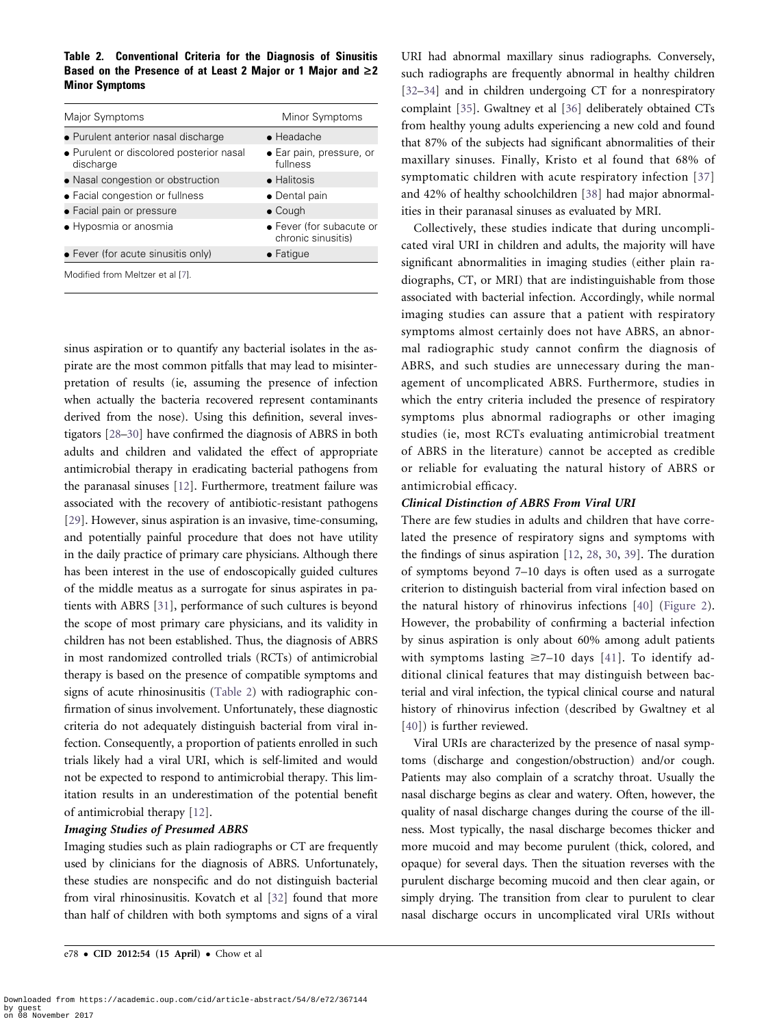<span id="page-6-0"></span>Table 2. Conventional Criteria for the Diagnosis of Sinusitis Based on the Presence of at Least 2 Major or 1 Major and ≥2 Minor Symptoms

| Major Symptoms                                        | Minor Symptoms                                 |
|-------------------------------------------------------|------------------------------------------------|
| • Purulent anterior nasal discharge                   | $\bullet$ Headache                             |
| • Purulent or discolored posterior nasal<br>discharge | • Ear pain, pressure, or<br>fullness           |
| • Nasal congestion or obstruction                     | $\bullet$ Halitosis                            |
| • Facial congestion or fullness                       | • Dental pain                                  |
| • Facial pain or pressure                             | $\bullet$ Cough                                |
| • Hyposmia or anosmia                                 | • Fever (for subacute or<br>chronic sinusitis) |
| • Fever (for acute sinusitis only)                    | $\bullet$ Fatique                              |
| Modified from Meltzer et al [7].                      |                                                |

sinus aspiration or to quantify any bacterial isolates in the aspirate are the most common pitfalls that may lead to misinterpretation of results (ie, assuming the presence of infection when actually the bacteria recovered represent contaminants derived from the nose). Using this definition, several investigators [\[28](#page-35-0)–[30\]](#page-35-0) have confirmed the diagnosis of ABRS in both adults and children and validated the effect of appropriate antimicrobial therapy in eradicating bacterial pathogens from the paranasal sinuses [[12\]](#page-35-0). Furthermore, treatment failure was associated with the recovery of antibiotic-resistant pathogens [\[29](#page-35-0)]. However, sinus aspiration is an invasive, time-consuming, and potentially painful procedure that does not have utility in the daily practice of primary care physicians. Although there has been interest in the use of endoscopically guided cultures of the middle meatus as a surrogate for sinus aspirates in patients with ABRS [\[31](#page-35-0)], performance of such cultures is beyond the scope of most primary care physicians, and its validity in children has not been established. Thus, the diagnosis of ABRS in most randomized controlled trials (RCTs) of antimicrobial therapy is based on the presence of compatible symptoms and signs of acute rhinosinusitis (Table 2) with radiographic confirmation of sinus involvement. Unfortunately, these diagnostic criteria do not adequately distinguish bacterial from viral infection. Consequently, a proportion of patients enrolled in such trials likely had a viral URI, which is self-limited and would not be expected to respond to antimicrobial therapy. This limitation results in an underestimation of the potential benefit of antimicrobial therapy [\[12](#page-35-0)].

#### Imaging Studies of Presumed ABRS

Imaging studies such as plain radiographs or CT are frequently used by clinicians for the diagnosis of ABRS. Unfortunately, these studies are nonspecific and do not distinguish bacterial from viral rhinosinusitis. Kovatch et al [\[32](#page-35-0)] found that more than half of children with both symptoms and signs of a viral

URI had abnormal maxillary sinus radiographs. Conversely, such radiographs are frequently abnormal in healthy children [\[32](#page-35-0)-34] and in children undergoing CT for a nonrespiratory complaint [\[35\]](#page-36-0). Gwaltney et al [\[36](#page-36-0)] deliberately obtained CTs from healthy young adults experiencing a new cold and found that 87% of the subjects had significant abnormalities of their maxillary sinuses. Finally, Kristo et al found that 68% of symptomatic children with acute respiratory infection [[37\]](#page-36-0) and 42% of healthy schoolchildren [[38\]](#page-36-0) had major abnormalities in their paranasal sinuses as evaluated by MRI.

Collectively, these studies indicate that during uncomplicated viral URI in children and adults, the majority will have significant abnormalities in imaging studies (either plain radiographs, CT, or MRI) that are indistinguishable from those associated with bacterial infection. Accordingly, while normal imaging studies can assure that a patient with respiratory symptoms almost certainly does not have ABRS, an abnormal radiographic study cannot confirm the diagnosis of ABRS, and such studies are unnecessary during the management of uncomplicated ABRS. Furthermore, studies in which the entry criteria included the presence of respiratory symptoms plus abnormal radiographs or other imaging studies (ie, most RCTs evaluating antimicrobial treatment of ABRS in the literature) cannot be accepted as credible or reliable for evaluating the natural history of ABRS or antimicrobial efficacy.

#### Clinical Distinction of ABRS From Viral URI

There are few studies in adults and children that have correlated the presence of respiratory signs and symptoms with the findings of sinus aspiration [[12](#page-35-0), [28](#page-35-0), [30,](#page-35-0) [39](#page-36-0)]. The duration of symptoms beyond 7–10 days is often used as a surrogate criterion to distinguish bacterial from viral infection based on the natural history of rhinovirus infections [[40\]](#page-36-0) [\(Figure 2](#page-7-0)). However, the probability of confirming a bacterial infection by sinus aspiration is only about 60% among adult patients with symptoms lasting  $\geq 7-10$  days [\[41\]](#page-36-0). To identify additional clinical features that may distinguish between bacterial and viral infection, the typical clinical course and natural history of rhinovirus infection (described by Gwaltney et al [[40\]](#page-36-0)) is further reviewed.

Viral URIs are characterized by the presence of nasal symptoms (discharge and congestion/obstruction) and/or cough. Patients may also complain of a scratchy throat. Usually the nasal discharge begins as clear and watery. Often, however, the quality of nasal discharge changes during the course of the illness. Most typically, the nasal discharge becomes thicker and more mucoid and may become purulent (thick, colored, and opaque) for several days. Then the situation reverses with the purulent discharge becoming mucoid and then clear again, or simply drying. The transition from clear to purulent to clear nasal discharge occurs in uncomplicated viral URIs without

e78 • CID 2012:54 (15 April) • Chow et al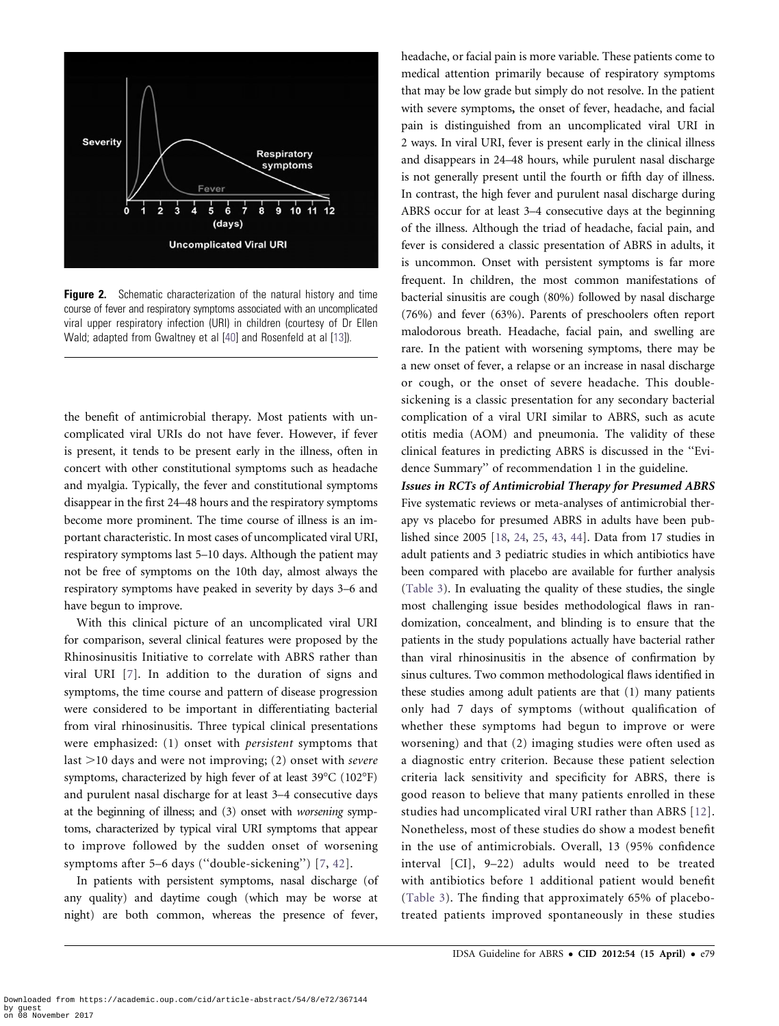<span id="page-7-0"></span>

**Figure 2.** Schematic characterization of the natural history and time course of fever and respiratory symptoms associated with an uncomplicated viral upper respiratory infection (URI) in children (courtesy of Dr Ellen Wald; adapted from Gwaltney et al [[40\]](#page-36-0) and Rosenfeld at al [\[13](#page-35-0)]).

the benefit of antimicrobial therapy. Most patients with uncomplicated viral URIs do not have fever. However, if fever is present, it tends to be present early in the illness, often in concert with other constitutional symptoms such as headache and myalgia. Typically, the fever and constitutional symptoms disappear in the first 24–48 hours and the respiratory symptoms become more prominent. The time course of illness is an important characteristic. In most cases of uncomplicated viral URI, respiratory symptoms last 5–10 days. Although the patient may not be free of symptoms on the 10th day, almost always the respiratory symptoms have peaked in severity by days 3–6 and have begun to improve.

With this clinical picture of an uncomplicated viral URI for comparison, several clinical features were proposed by the Rhinosinusitis Initiative to correlate with ABRS rather than viral URI [[7\]](#page-35-0). In addition to the duration of signs and symptoms, the time course and pattern of disease progression were considered to be important in differentiating bacterial from viral rhinosinusitis. Three typical clinical presentations were emphasized: (1) onset with persistent symptoms that last  $>$ 10 days and were not improving; (2) onset with severe symptoms, characterized by high fever of at least 39°C (102°F) and purulent nasal discharge for at least 3–4 consecutive days at the beginning of illness; and (3) onset with worsening symptoms, characterized by typical viral URI symptoms that appear to improve followed by the sudden onset of worsening symptoms after 5–6 days (''double-sickening'') [[7,](#page-35-0) [42](#page-36-0)].

In patients with persistent symptoms, nasal discharge (of any quality) and daytime cough (which may be worse at night) are both common, whereas the presence of fever, headache, or facial pain is more variable. These patients come to medical attention primarily because of respiratory symptoms that may be low grade but simply do not resolve. In the patient with severe symptoms, the onset of fever, headache, and facial pain is distinguished from an uncomplicated viral URI in 2 ways. In viral URI, fever is present early in the clinical illness and disappears in 24–48 hours, while purulent nasal discharge is not generally present until the fourth or fifth day of illness. In contrast, the high fever and purulent nasal discharge during ABRS occur for at least 3–4 consecutive days at the beginning of the illness. Although the triad of headache, facial pain, and fever is considered a classic presentation of ABRS in adults, it is uncommon. Onset with persistent symptoms is far more frequent. In children, the most common manifestations of bacterial sinusitis are cough (80%) followed by nasal discharge (76%) and fever (63%). Parents of preschoolers often report malodorous breath. Headache, facial pain, and swelling are rare. In the patient with worsening symptoms, there may be a new onset of fever, a relapse or an increase in nasal discharge or cough, or the onset of severe headache. This doublesickening is a classic presentation for any secondary bacterial complication of a viral URI similar to ABRS, such as acute otitis media (AOM) and pneumonia. The validity of these clinical features in predicting ABRS is discussed in the ''Evidence Summary'' of recommendation 1 in the guideline.

Issues in RCTs of Antimicrobial Therapy for Presumed ABRS Five systematic reviews or meta-analyses of antimicrobial therapy vs placebo for presumed ABRS in adults have been published since 2005 [[18](#page-35-0), [24,](#page-35-0) [25](#page-35-0), [43,](#page-36-0) [44](#page-36-0)]. Data from 17 studies in adult patients and 3 pediatric studies in which antibiotics have been compared with placebo are available for further analysis [\(Table 3\)](#page-8-0). In evaluating the quality of these studies, the single most challenging issue besides methodological flaws in randomization, concealment, and blinding is to ensure that the patients in the study populations actually have bacterial rather than viral rhinosinusitis in the absence of confirmation by sinus cultures. Two common methodological flaws identified in these studies among adult patients are that (1) many patients only had 7 days of symptoms (without qualification of whether these symptoms had begun to improve or were worsening) and that (2) imaging studies were often used as a diagnostic entry criterion. Because these patient selection criteria lack sensitivity and specificity for ABRS, there is good reason to believe that many patients enrolled in these studies had uncomplicated viral URI rather than ABRS [[12](#page-35-0)]. Nonetheless, most of these studies do show a modest benefit in the use of antimicrobials. Overall, 13 (95% confidence interval [CI], 9–22) adults would need to be treated with antibiotics before 1 additional patient would benefit ([Table 3\)](#page-8-0). The finding that approximately 65% of placebotreated patients improved spontaneously in these studies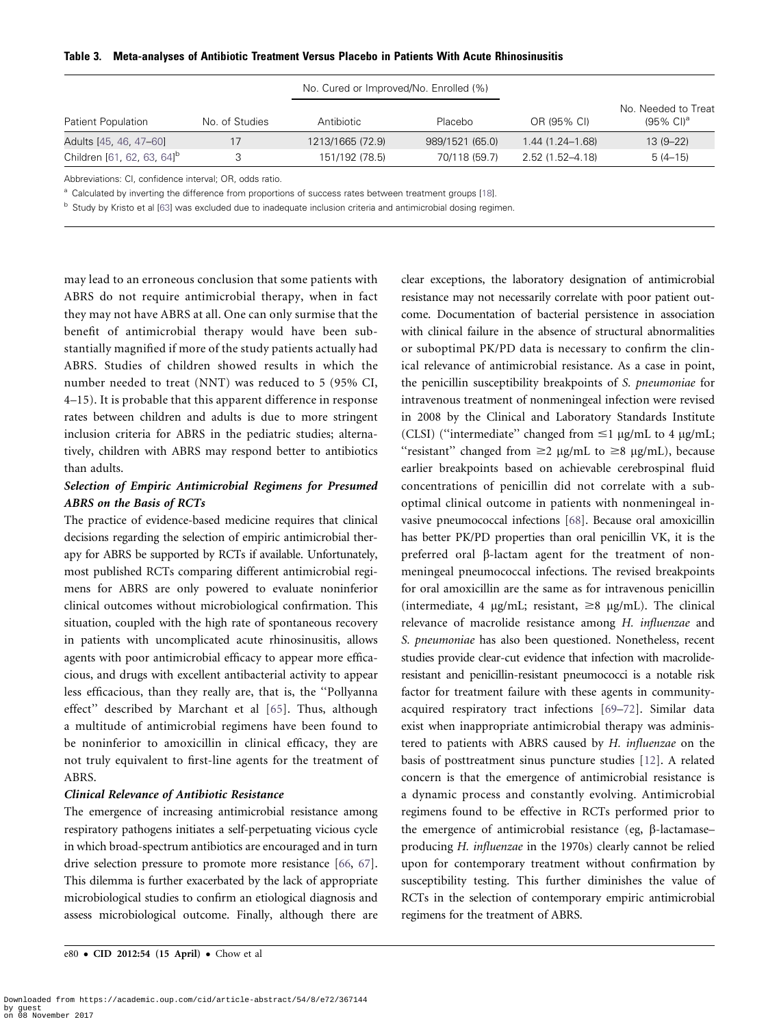#### <span id="page-8-0"></span>Table 3. Meta-analyses of Antibiotic Treatment Versus Placebo in Patients With Acute Rhinosinusitis

|                                        |                | No. Cured or Improved/No. Enrolled (%) |                 |                  |                                              |
|----------------------------------------|----------------|----------------------------------------|-----------------|------------------|----------------------------------------------|
| Patient Population                     | No. of Studies | Antibiotic                             | Placebo         | OR (95% CI)      | No. Needed to Treat<br>$(95\% \text{ Cl})^a$ |
| Adults [45, 46, 47-60]                 |                | 1213/1665 (72.9)                       | 989/1521 (65.0) | 1.44 (1.24–1.68) | $13(9-22)$                                   |
| Children [61, 62, 63, 64] <sup>b</sup> |                | 151/192 (78.5)                         | 70/118 (59.7)   | 2.52 (1.52–4.18) | $5(4-15)$                                    |

Abbreviations: CI, confidence interval; OR, odds ratio.

<sup>a</sup> Calculated by inverting the difference from proportions of success rates between treatment groups [\[18](#page-35-0)].

<sup>b</sup> Study by Kristo et al [[63\]](#page-36-0) was excluded due to inadequate inclusion criteria and antimicrobial dosing regimen.

may lead to an erroneous conclusion that some patients with ABRS do not require antimicrobial therapy, when in fact they may not have ABRS at all. One can only surmise that the benefit of antimicrobial therapy would have been substantially magnified if more of the study patients actually had ABRS. Studies of children showed results in which the number needed to treat (NNT) was reduced to 5 (95% CI, 4–15). It is probable that this apparent difference in response rates between children and adults is due to more stringent inclusion criteria for ABRS in the pediatric studies; alternatively, children with ABRS may respond better to antibiotics than adults.

# Selection of Empiric Antimicrobial Regimens for Presumed ABRS on the Basis of RCTs

The practice of evidence-based medicine requires that clinical decisions regarding the selection of empiric antimicrobial therapy for ABRS be supported by RCTs if available. Unfortunately, most published RCTs comparing different antimicrobial regimens for ABRS are only powered to evaluate noninferior clinical outcomes without microbiological confirmation. This situation, coupled with the high rate of spontaneous recovery in patients with uncomplicated acute rhinosinusitis, allows agents with poor antimicrobial efficacy to appear more efficacious, and drugs with excellent antibacterial activity to appear less efficacious, than they really are, that is, the ''Pollyanna effect'' described by Marchant et al [\[65\]](#page-36-0). Thus, although a multitude of antimicrobial regimens have been found to be noninferior to amoxicillin in clinical efficacy, they are not truly equivalent to first-line agents for the treatment of ABRS.

#### Clinical Relevance of Antibiotic Resistance

The emergence of increasing antimicrobial resistance among respiratory pathogens initiates a self-perpetuating vicious cycle in which broad-spectrum antibiotics are encouraged and in turn drive selection pressure to promote more resistance [\[66](#page-36-0), [67](#page-36-0)]. This dilemma is further exacerbated by the lack of appropriate microbiological studies to confirm an etiological diagnosis and assess microbiological outcome. Finally, although there are

e80 • CID 2012:54 (15 April) • Chow et al

clear exceptions, the laboratory designation of antimicrobial resistance may not necessarily correlate with poor patient outcome. Documentation of bacterial persistence in association with clinical failure in the absence of structural abnormalities or suboptimal PK/PD data is necessary to confirm the clinical relevance of antimicrobial resistance. As a case in point, the penicillin susceptibility breakpoints of S. pneumoniae for intravenous treatment of nonmeningeal infection were revised in 2008 by the Clinical and Laboratory Standards Institute (CLSI) ("intermediate" changed from  $\leq$ 1 µg/mL to 4 µg/mL; "resistant" changed from  $\geq$   $\mu$ g/mL to  $\geq$   $\mu$ g/mL), because earlier breakpoints based on achievable cerebrospinal fluid concentrations of penicillin did not correlate with a suboptimal clinical outcome in patients with nonmeningeal invasive pneumococcal infections [\[68\]](#page-36-0). Because oral amoxicillin has better PK/PD properties than oral penicillin VK, it is the preferred oral  $\beta$ -lactam agent for the treatment of nonmeningeal pneumococcal infections. The revised breakpoints for oral amoxicillin are the same as for intravenous penicillin (intermediate, 4 µg/mL; resistant,  $\geq 8$  µg/mL). The clinical relevance of macrolide resistance among H. influenzae and S. pneumoniae has also been questioned. Nonetheless, recent studies provide clear-cut evidence that infection with macrolideresistant and penicillin-resistant pneumococci is a notable risk factor for treatment failure with these agents in communityacquired respiratory tract infections [\[69–72](#page-36-0)]. Similar data exist when inappropriate antimicrobial therapy was administered to patients with ABRS caused by H. influenzae on the basis of posttreatment sinus puncture studies [\[12](#page-35-0)]. A related concern is that the emergence of antimicrobial resistance is a dynamic process and constantly evolving. Antimicrobial regimens found to be effective in RCTs performed prior to the emergence of antimicrobial resistance (eg,  $\beta$ -lactamase– producing H. influenzae in the 1970s) clearly cannot be relied upon for contemporary treatment without confirmation by susceptibility testing. This further diminishes the value of RCTs in the selection of contemporary empiric antimicrobial regimens for the treatment of ABRS.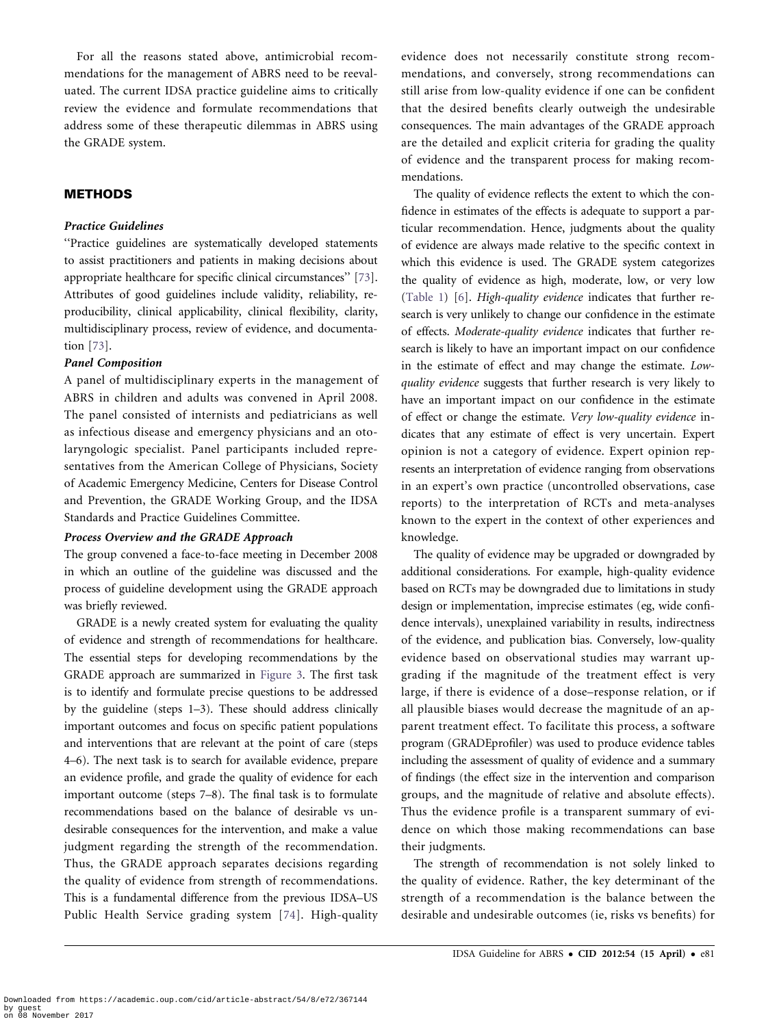For all the reasons stated above, antimicrobial recommendations for the management of ABRS need to be reevaluated. The current IDSA practice guideline aims to critically review the evidence and formulate recommendations that address some of these therapeutic dilemmas in ABRS using the GRADE system.

### METHODS

### Practice Guidelines

''Practice guidelines are systematically developed statements to assist practitioners and patients in making decisions about appropriate healthcare for specific clinical circumstances'' [\[73](#page-36-0)]. Attributes of good guidelines include validity, reliability, reproducibility, clinical applicability, clinical flexibility, clarity, multidisciplinary process, review of evidence, and documentation [[73](#page-36-0)].

### Panel Composition

A panel of multidisciplinary experts in the management of ABRS in children and adults was convened in April 2008. The panel consisted of internists and pediatricians as well as infectious disease and emergency physicians and an otolaryngologic specialist. Panel participants included representatives from the American College of Physicians, Society of Academic Emergency Medicine, Centers for Disease Control and Prevention, the GRADE Working Group, and the IDSA Standards and Practice Guidelines Committee.

#### Process Overview and the GRADE Approach

The group convened a face-to-face meeting in December 2008 in which an outline of the guideline was discussed and the process of guideline development using the GRADE approach was briefly reviewed.

GRADE is a newly created system for evaluating the quality of evidence and strength of recommendations for healthcare. The essential steps for developing recommendations by the GRADE approach are summarized in [Figure 3.](#page-10-0) The first task is to identify and formulate precise questions to be addressed by the guideline (steps 1–3). These should address clinically important outcomes and focus on specific patient populations and interventions that are relevant at the point of care (steps 4–6). The next task is to search for available evidence, prepare an evidence profile, and grade the quality of evidence for each important outcome (steps 7–8). The final task is to formulate recommendations based on the balance of desirable vs undesirable consequences for the intervention, and make a value judgment regarding the strength of the recommendation. Thus, the GRADE approach separates decisions regarding the quality of evidence from strength of recommendations. This is a fundamental difference from the previous IDSA–US Public Health Service grading system [[74\]](#page-36-0). High-quality evidence does not necessarily constitute strong recommendations, and conversely, strong recommendations can still arise from low-quality evidence if one can be confident that the desired benefits clearly outweigh the undesirable consequences. The main advantages of the GRADE approach are the detailed and explicit criteria for grading the quality of evidence and the transparent process for making recommendations.

The quality of evidence reflects the extent to which the confidence in estimates of the effects is adequate to support a particular recommendation. Hence, judgments about the quality of evidence are always made relative to the specific context in which this evidence is used. The GRADE system categorizes the quality of evidence as high, moderate, low, or very low [\(Table 1\)](#page-4-0) [\[6\]](#page-35-0). High-quality evidence indicates that further research is very unlikely to change our confidence in the estimate of effects. Moderate-quality evidence indicates that further research is likely to have an important impact on our confidence in the estimate of effect and may change the estimate. Lowquality evidence suggests that further research is very likely to have an important impact on our confidence in the estimate of effect or change the estimate. Very low-quality evidence indicates that any estimate of effect is very uncertain. Expert opinion is not a category of evidence. Expert opinion represents an interpretation of evidence ranging from observations in an expert's own practice (uncontrolled observations, case reports) to the interpretation of RCTs and meta-analyses known to the expert in the context of other experiences and knowledge.

The quality of evidence may be upgraded or downgraded by additional considerations. For example, high-quality evidence based on RCTs may be downgraded due to limitations in study design or implementation, imprecise estimates (eg, wide confidence intervals), unexplained variability in results, indirectness of the evidence, and publication bias. Conversely, low-quality evidence based on observational studies may warrant upgrading if the magnitude of the treatment effect is very large, if there is evidence of a dose–response relation, or if all plausible biases would decrease the magnitude of an apparent treatment effect. To facilitate this process, a software program (GRADEprofiler) was used to produce evidence tables including the assessment of quality of evidence and a summary of findings (the effect size in the intervention and comparison groups, and the magnitude of relative and absolute effects). Thus the evidence profile is a transparent summary of evidence on which those making recommendations can base their judgments.

The strength of recommendation is not solely linked to the quality of evidence. Rather, the key determinant of the strength of a recommendation is the balance between the desirable and undesirable outcomes (ie, risks vs benefits) for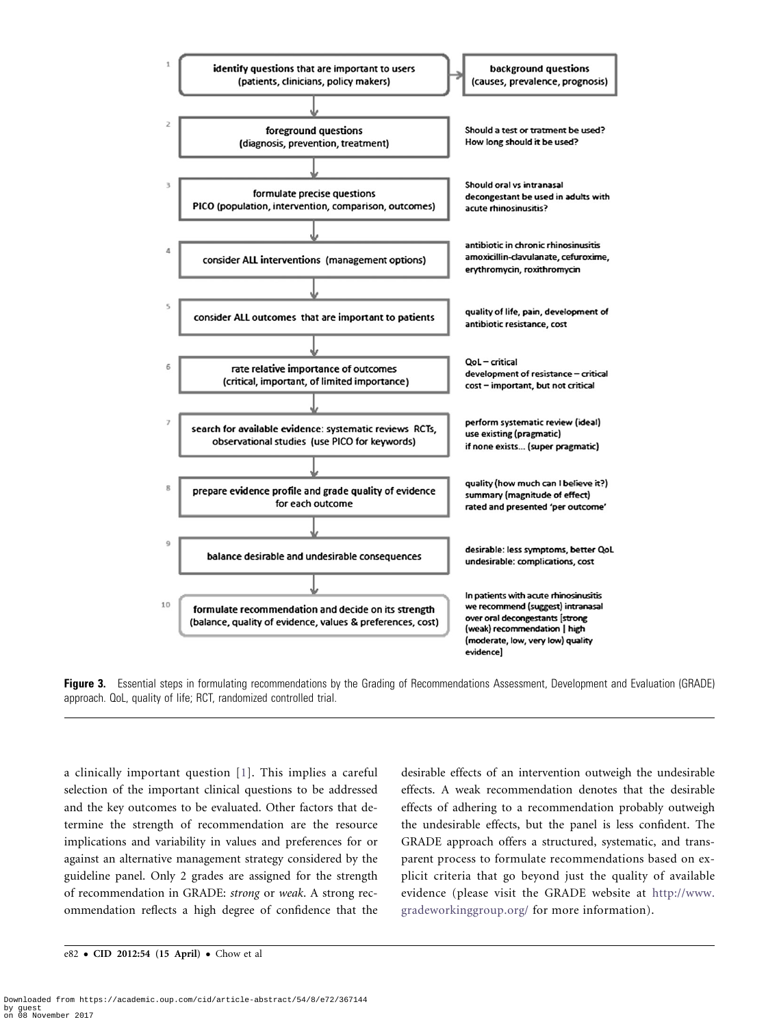<span id="page-10-0"></span>

Figure 3. Essential steps in formulating recommendations by the Grading of Recommendations Assessment, Development and Evaluation (GRADE) approach. QoL, quality of life; RCT, randomized controlled trial.

a clinically important question [[1](#page-35-0)]. This implies a careful selection of the important clinical questions to be addressed and the key outcomes to be evaluated. Other factors that determine the strength of recommendation are the resource implications and variability in values and preferences for or against an alternative management strategy considered by the guideline panel. Only 2 grades are assigned for the strength of recommendation in GRADE: strong or weak. A strong recommendation reflects a high degree of confidence that the

e82 • CID 2012:54 (15 April) • Chow et al

desirable effects of an intervention outweigh the undesirable effects. A weak recommendation denotes that the desirable effects of adhering to a recommendation probably outweigh the undesirable effects, but the panel is less confident. The GRADE approach offers a structured, systematic, and transparent process to formulate recommendations based on explicit criteria that go beyond just the quality of available evidence (please visit the GRADE website at [http://www.](http://www.gradeworkinggroup.org/) [gradeworkinggroup.org/](http://www.gradeworkinggroup.org/) for more information).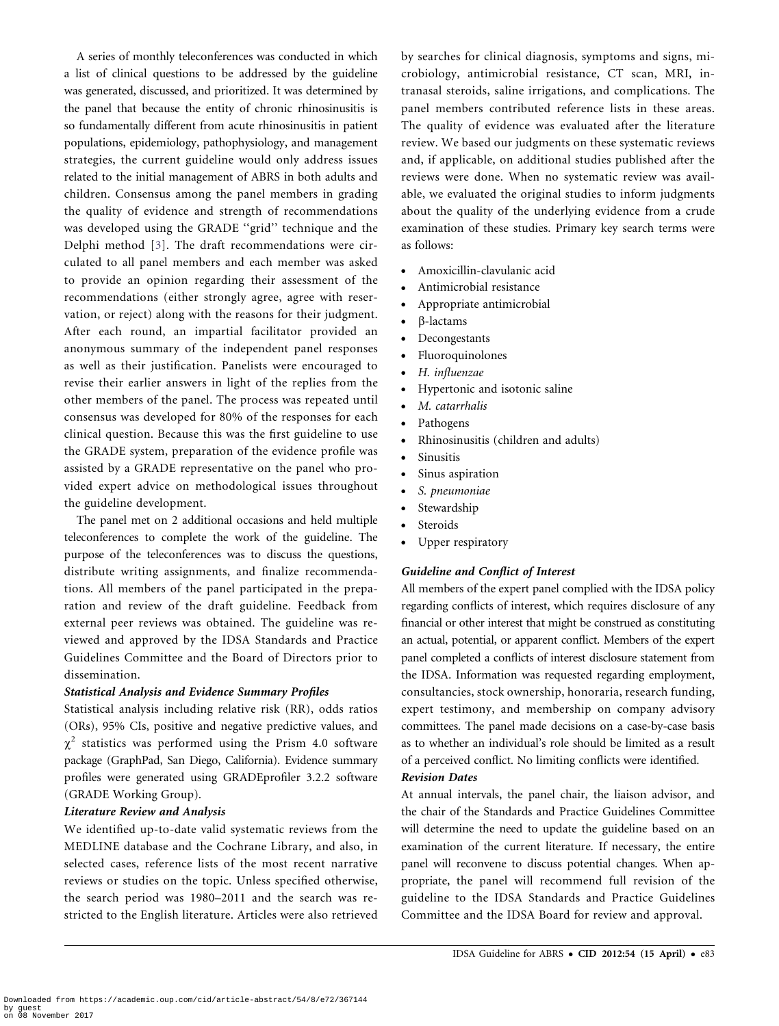A series of monthly teleconferences was conducted in which a list of clinical questions to be addressed by the guideline was generated, discussed, and prioritized. It was determined by the panel that because the entity of chronic rhinosinusitis is so fundamentally different from acute rhinosinusitis in patient populations, epidemiology, pathophysiology, and management strategies, the current guideline would only address issues related to the initial management of ABRS in both adults and children. Consensus among the panel members in grading the quality of evidence and strength of recommendations was developed using the GRADE ''grid'' technique and the Delphi method [\[3](#page-35-0)]. The draft recommendations were circulated to all panel members and each member was asked to provide an opinion regarding their assessment of the recommendations (either strongly agree, agree with reservation, or reject) along with the reasons for their judgment. After each round, an impartial facilitator provided an anonymous summary of the independent panel responses as well as their justification. Panelists were encouraged to revise their earlier answers in light of the replies from the other members of the panel. The process was repeated until consensus was developed for 80% of the responses for each clinical question. Because this was the first guideline to use the GRADE system, preparation of the evidence profile was assisted by a GRADE representative on the panel who provided expert advice on methodological issues throughout the guideline development.

The panel met on 2 additional occasions and held multiple teleconferences to complete the work of the guideline. The purpose of the teleconferences was to discuss the questions, distribute writing assignments, and finalize recommendations. All members of the panel participated in the preparation and review of the draft guideline. Feedback from external peer reviews was obtained. The guideline was reviewed and approved by the IDSA Standards and Practice Guidelines Committee and the Board of Directors prior to dissemination.

# Statistical Analysis and Evidence Summary Profiles

Statistical analysis including relative risk (RR), odds ratios (ORs), 95% CIs, positive and negative predictive values, and  $\chi^2$  statistics was performed using the Prism 4.0 software package (GraphPad, San Diego, California). Evidence summary profiles were generated using GRADEprofiler 3.2.2 software (GRADE Working Group).

### Literature Review and Analysis

We identified up-to-date valid systematic reviews from the MEDLINE database and the Cochrane Library, and also, in selected cases, reference lists of the most recent narrative reviews or studies on the topic. Unless specified otherwise, the search period was 1980–2011 and the search was restricted to the English literature. Articles were also retrieved by searches for clinical diagnosis, symptoms and signs, microbiology, antimicrobial resistance, CT scan, MRI, intranasal steroids, saline irrigations, and complications. The panel members contributed reference lists in these areas. The quality of evidence was evaluated after the literature review. We based our judgments on these systematic reviews and, if applicable, on additional studies published after the reviews were done. When no systematic review was available, we evaluated the original studies to inform judgments about the quality of the underlying evidence from a crude examination of these studies. Primary key search terms were as follows:

- Amoxicillin-clavulanic acid
- Antimicrobial resistance
- Appropriate antimicrobial
- $\cdot$   $\beta$ -lactams
- Decongestants
- Fluoroquinolones
- $\bullet$  H. influenzae
- Hypertonic and isotonic saline
- M. catarrhalis
- Pathogens
- Rhinosinusitis (children and adults)
- Sinusitis
- Sinus aspiration
- S. pneumoniae
- Stewardship
- Steroids
- Upper respiratory

#### Guideline and Conflict of Interest

All members of the expert panel complied with the IDSA policy regarding conflicts of interest, which requires disclosure of any financial or other interest that might be construed as constituting an actual, potential, or apparent conflict. Members of the expert panel completed a conflicts of interest disclosure statement from the IDSA. Information was requested regarding employment, consultancies, stock ownership, honoraria, research funding, expert testimony, and membership on company advisory committees. The panel made decisions on a case-by-case basis as to whether an individual's role should be limited as a result of a perceived conflict. No limiting conflicts were identified.

### Revision Dates

At annual intervals, the panel chair, the liaison advisor, and the chair of the Standards and Practice Guidelines Committee will determine the need to update the guideline based on an examination of the current literature. If necessary, the entire panel will reconvene to discuss potential changes. When appropriate, the panel will recommend full revision of the guideline to the IDSA Standards and Practice Guidelines Committee and the IDSA Board for review and approval.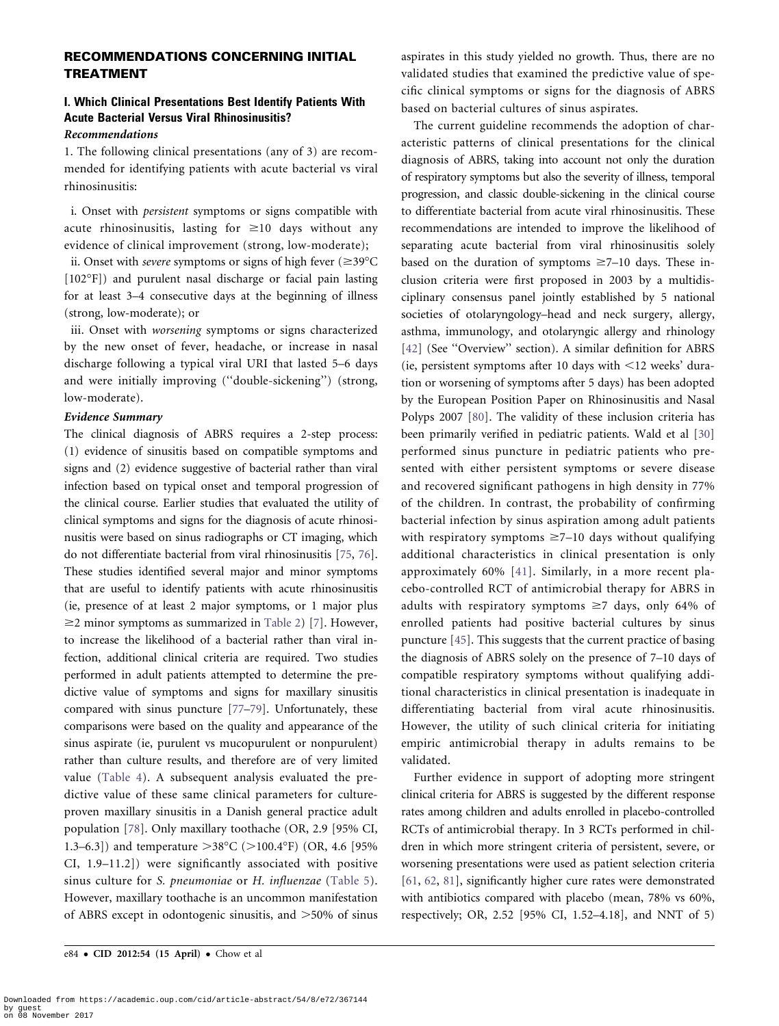# RECOMMENDATIONS CONCERNING INITIAL TREATMENT

# I. Which Clinical Presentations Best Identify Patients With Acute Bacterial Versus Viral Rhinosinusitis?

### Recommendations

1. The following clinical presentations (any of 3) are recommended for identifying patients with acute bacterial vs viral rhinosinusitis:

i. Onset with persistent symptoms or signs compatible with acute rhinosinusitis, lasting for  $\geq 10$  days without any evidence of clinical improvement (strong, low-moderate);

ii. Onset with *severe* symptoms or signs of high fever ( $\geq$ 39°C [102°F]) and purulent nasal discharge or facial pain lasting for at least 3–4 consecutive days at the beginning of illness (strong, low-moderate); or

iii. Onset with worsening symptoms or signs characterized by the new onset of fever, headache, or increase in nasal discharge following a typical viral URI that lasted 5–6 days and were initially improving (''double-sickening'') (strong, low-moderate).

#### Evidence Summary

The clinical diagnosis of ABRS requires a 2-step process: (1) evidence of sinusitis based on compatible symptoms and signs and (2) evidence suggestive of bacterial rather than viral infection based on typical onset and temporal progression of the clinical course. Earlier studies that evaluated the utility of clinical symptoms and signs for the diagnosis of acute rhinosinusitis were based on sinus radiographs or CT imaging, which do not differentiate bacterial from viral rhinosinusitis [\[75](#page-37-0), [76](#page-37-0)]. These studies identified several major and minor symptoms that are useful to identify patients with acute rhinosinusitis (ie, presence of at least 2 major symptoms, or 1 major plus  $\geq$ 2 minor symptoms as summarized in [Table 2](#page-6-0)) [\[7](#page-35-0)]. However, to increase the likelihood of a bacterial rather than viral infection, additional clinical criteria are required. Two studies performed in adult patients attempted to determine the predictive value of symptoms and signs for maxillary sinusitis compared with sinus puncture [\[77](#page-37-0)–[79\]](#page-37-0). Unfortunately, these comparisons were based on the quality and appearance of the sinus aspirate (ie, purulent vs mucopurulent or nonpurulent) rather than culture results, and therefore are of very limited value ([Table 4\)](#page-13-0). A subsequent analysis evaluated the predictive value of these same clinical parameters for cultureproven maxillary sinusitis in a Danish general practice adult population [[78\]](#page-37-0). Only maxillary toothache (OR, 2.9 [95% CI, 1.3–6.3]) and temperature  $>38^{\circ}$ C ( $>100.4^{\circ}$ F) (OR, 4.6 [95% CI, 1.9–11.2]) were significantly associated with positive sinus culture for S. pneumoniae or H. influenzae ([Table 5](#page-14-0)). However, maxillary toothache is an uncommon manifestation of ABRS except in odontogenic sinusitis, and  $>50\%$  of sinus

aspirates in this study yielded no growth. Thus, there are no validated studies that examined the predictive value of specific clinical symptoms or signs for the diagnosis of ABRS based on bacterial cultures of sinus aspirates.

The current guideline recommends the adoption of characteristic patterns of clinical presentations for the clinical diagnosis of ABRS, taking into account not only the duration of respiratory symptoms but also the severity of illness, temporal progression, and classic double-sickening in the clinical course to differentiate bacterial from acute viral rhinosinusitis. These recommendations are intended to improve the likelihood of separating acute bacterial from viral rhinosinusitis solely based on the duration of symptoms  $\geq 7-10$  days. These inclusion criteria were first proposed in 2003 by a multidisciplinary consensus panel jointly established by 5 national societies of otolaryngology–head and neck surgery, allergy, asthma, immunology, and otolaryngic allergy and rhinology [[42\]](#page-36-0) (See "Overview" section). A similar definition for ABRS (ie, persistent symptoms after 10 days with  $\leq$  12 weeks' duration or worsening of symptoms after 5 days) has been adopted by the European Position Paper on Rhinosinusitis and Nasal Polyps 2007 [\[80](#page-37-0)]. The validity of these inclusion criteria has been primarily verified in pediatric patients. Wald et al [\[30\]](#page-35-0) performed sinus puncture in pediatric patients who presented with either persistent symptoms or severe disease and recovered significant pathogens in high density in 77% of the children. In contrast, the probability of confirming bacterial infection by sinus aspiration among adult patients with respiratory symptoms  $\geq 7-10$  days without qualifying additional characteristics in clinical presentation is only approximately 60% [[41\]](#page-36-0). Similarly, in a more recent placebo-controlled RCT of antimicrobial therapy for ABRS in adults with respiratory symptoms  $\geq 7$  days, only 64% of enrolled patients had positive bacterial cultures by sinus puncture [[45\]](#page-36-0). This suggests that the current practice of basing the diagnosis of ABRS solely on the presence of 7–10 days of compatible respiratory symptoms without qualifying additional characteristics in clinical presentation is inadequate in differentiating bacterial from viral acute rhinosinusitis. However, the utility of such clinical criteria for initiating empiric antimicrobial therapy in adults remains to be validated.

Further evidence in support of adopting more stringent clinical criteria for ABRS is suggested by the different response rates among children and adults enrolled in placebo-controlled RCTs of antimicrobial therapy. In 3 RCTs performed in children in which more stringent criteria of persistent, severe, or worsening presentations were used as patient selection criteria [\[61,](#page-36-0) [62,](#page-36-0) [81](#page-37-0)], significantly higher cure rates were demonstrated with antibiotics compared with placebo (mean, 78% vs 60%, respectively; OR, 2.52 [95% CI, 1.52–4.18], and NNT of 5)

e84 • CID 2012:54 (15 April) • Chow et al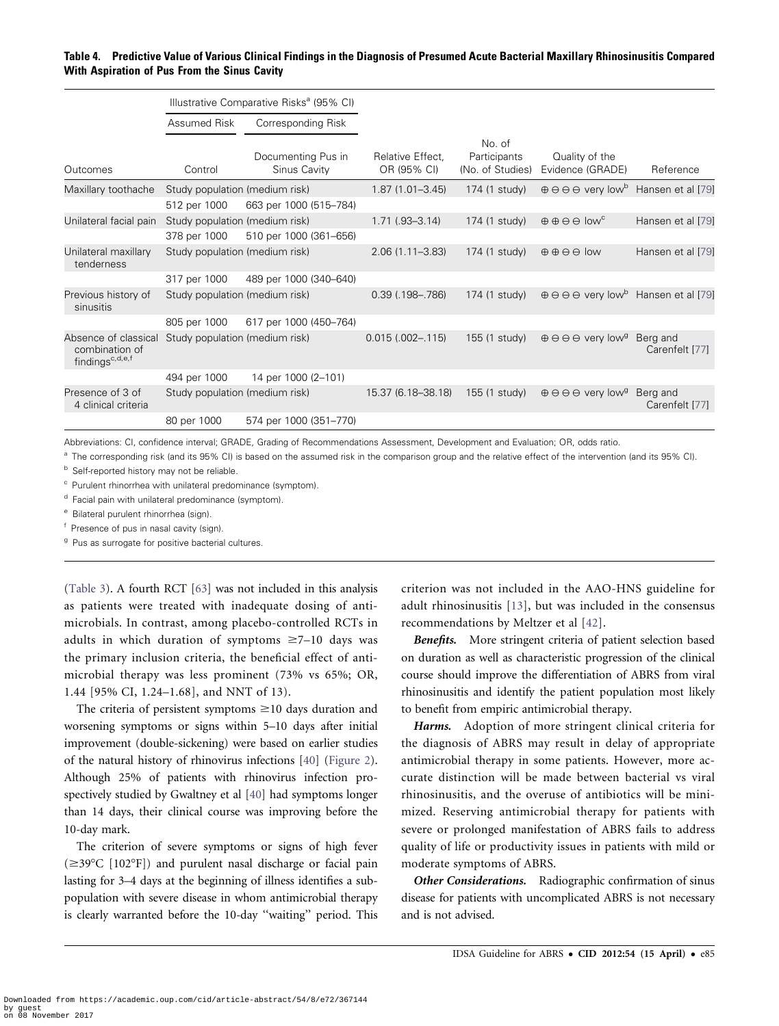#### <span id="page-13-0"></span>Table 4. Predictive Value of Various Clinical Findings in the Diagnosis of Presumed Acute Bacterial Maxillary Rhinosinusitis Compared With Aspiration of Pus From the Sinus Cavity

|                                                                       |                                | Illustrative Comparative Risks <sup>a</sup> (95% CI) |                                 |                                            |                                                                          |                            |
|-----------------------------------------------------------------------|--------------------------------|------------------------------------------------------|---------------------------------|--------------------------------------------|--------------------------------------------------------------------------|----------------------------|
|                                                                       | Assumed Risk                   | Corresponding Risk                                   |                                 |                                            |                                                                          |                            |
| Outcomes                                                              | Control                        | Documenting Pus in<br>Sinus Cavity                   | Relative Effect,<br>OR (95% CI) | No. of<br>Participants<br>(No. of Studies) | Quality of the<br>Evidence (GRADE)                                       | Reference                  |
| Maxillary toothache                                                   | Study population (medium risk) |                                                      | $1.87(1.01 - 3.45)$             | 174 (1 study)                              | $\oplus \ominus \ominus \ominus$ very low <sup>b</sup> Hansen et al [79] |                            |
|                                                                       | 512 per 1000                   | 663 per 1000 (515-784)                               |                                 |                                            |                                                                          |                            |
| Unilateral facial pain                                                | Study population (medium risk) |                                                      | $1.71(.93 - 3.14)$              | 174 (1 study)                              | $\oplus \oplus \ominus \ominus$ low <sup>c</sup>                         | Hansen et al [79]          |
|                                                                       | 378 per 1000                   | 510 per 1000 (361-656)                               |                                 |                                            |                                                                          |                            |
| Unilateral maxillary<br>tenderness                                    | Study population (medium risk) |                                                      | $2.06(1.11 - 3.83)$             | 174 (1 study)                              | $\oplus$ $\oplus$ $\ominus$ $\ominus$ low                                | Hansen et al [79]          |
|                                                                       | 317 per 1000                   | 489 per 1000 (340-640)                               |                                 |                                            |                                                                          |                            |
| Previous history of<br>sinusitis                                      | Study population (medium risk) |                                                      | $0.39$ (.198-.786)              | 174 (1 study)                              | $\oplus \ominus \ominus \ominus$ very low <sup>b</sup> Hansen et al [79] |                            |
|                                                                       | 805 per 1000                   | 617 per 1000 (450-764)                               |                                 |                                            |                                                                          |                            |
| Absence of classical<br>combination of<br>findings <sup>c,d,e,f</sup> | Study population (medium risk) |                                                      | $0.015(.002 - .115)$            | 155 (1 study)                              | $\oplus \ominus \ominus \ominus$ very low <sup>9</sup>                   | Berg and<br>Carenfelt [77] |
|                                                                       | 494 per 1000                   | 14 per 1000 (2-101)                                  |                                 |                                            |                                                                          |                            |
| Presence of 3 of<br>4 clinical criteria                               | Study population (medium risk) |                                                      | 15.37 (6.18-38.18)              | 155 (1 study)                              | $\oplus \ominus \ominus \ominus$ very low <sup>g</sup>                   | Berg and<br>Carenfelt [77] |
|                                                                       | 80 per 1000                    | 574 per 1000 (351-770)                               |                                 |                                            |                                                                          |                            |

Abbreviations: CI, confidence interval; GRADE, Grading of Recommendations Assessment, Development and Evaluation; OR, odds ratio.

a The corresponding risk (and its 95% CI) is based on the assumed risk in the comparison group and the relative effect of the intervention (and its 95% CI).

**b** Self-reported history may not be reliable

<sup>c</sup> Purulent rhinorrhea with unilateral predominance (symptom).

<sup>d</sup> Facial pain with unilateral predominance (symptom).

<sup>e</sup> Bilateral purulent rhinorrhea (sign).

<sup>f</sup> Presence of pus in nasal cavity (sign).

<sup>g</sup> Pus as surrogate for positive bacterial cultures.

[\(Table 3](#page-8-0)). A fourth RCT [\[63\]](#page-36-0) was not included in this analysis as patients were treated with inadequate dosing of antimicrobials. In contrast, among placebo-controlled RCTs in adults in which duration of symptoms  $\geq 7-10$  days was the primary inclusion criteria, the beneficial effect of antimicrobial therapy was less prominent (73% vs 65%; OR, 1.44 [95% CI, 1.24–1.68], and NNT of 13).

The criteria of persistent symptoms  $\geq$  10 days duration and worsening symptoms or signs within 5–10 days after initial improvement (double-sickening) were based on earlier studies of the natural history of rhinovirus infections [\[40](#page-36-0)] ([Figure 2](#page-7-0)). Although 25% of patients with rhinovirus infection prospectively studied by Gwaltney et al [\[40](#page-36-0)] had symptoms longer than 14 days, their clinical course was improving before the 10-day mark.

The criterion of severe symptoms or signs of high fever  $(\geq 39^{\circ}C$  [102°F]) and purulent nasal discharge or facial pain lasting for 3–4 days at the beginning of illness identifies a subpopulation with severe disease in whom antimicrobial therapy is clearly warranted before the 10-day ''waiting'' period. This

criterion was not included in the AAO-HNS guideline for adult rhinosinusitis [[13\]](#page-35-0), but was included in the consensus recommendations by Meltzer et al [[42](#page-36-0)].

Benefits. More stringent criteria of patient selection based on duration as well as characteristic progression of the clinical course should improve the differentiation of ABRS from viral rhinosinusitis and identify the patient population most likely to benefit from empiric antimicrobial therapy.

Harms. Adoption of more stringent clinical criteria for the diagnosis of ABRS may result in delay of appropriate antimicrobial therapy in some patients. However, more accurate distinction will be made between bacterial vs viral rhinosinusitis, and the overuse of antibiotics will be minimized. Reserving antimicrobial therapy for patients with severe or prolonged manifestation of ABRS fails to address quality of life or productivity issues in patients with mild or moderate symptoms of ABRS.

Other Considerations. Radiographic confirmation of sinus disease for patients with uncomplicated ABRS is not necessary and is not advised.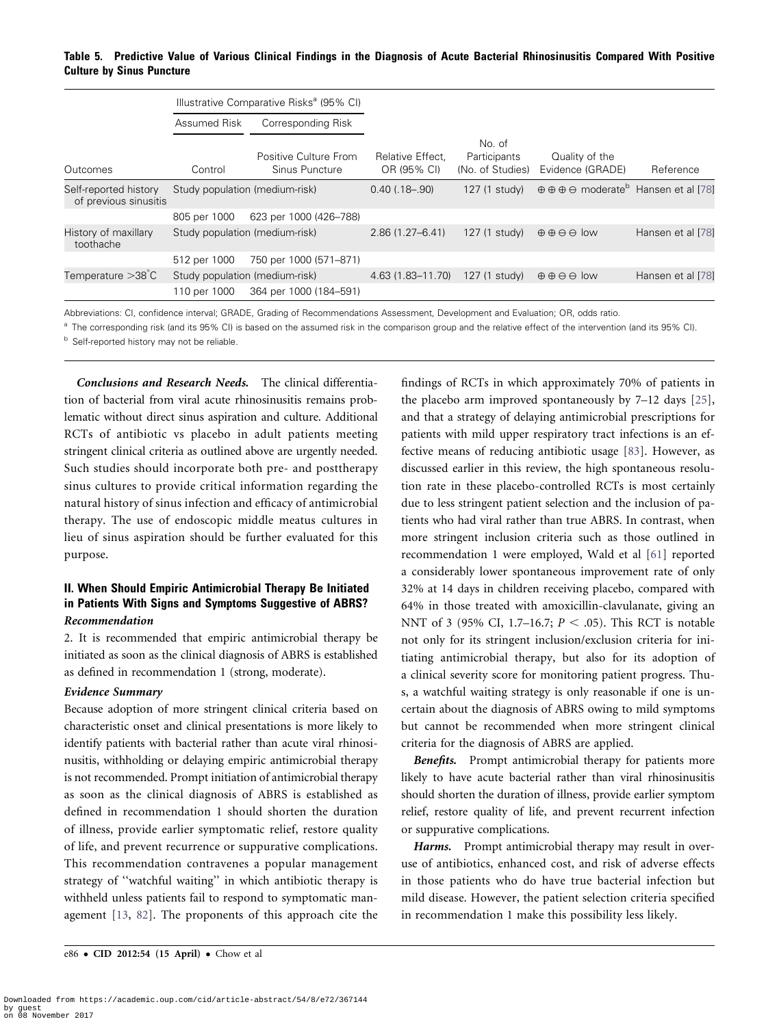#### <span id="page-14-0"></span>Table 5. Predictive Value of Various Clinical Findings in the Diagnosis of Acute Bacterial Rhinosinusitis Compared With Positive Culture by Sinus Puncture

|                                                |                                | Illustrative Comparative Risks <sup>a</sup> (95% CI) |                                 |                                            |                                                                              |                   |
|------------------------------------------------|--------------------------------|------------------------------------------------------|---------------------------------|--------------------------------------------|------------------------------------------------------------------------------|-------------------|
|                                                | Assumed Risk                   | Corresponding Risk                                   |                                 |                                            |                                                                              |                   |
| Outcomes                                       | Control                        | Positive Culture From<br>Sinus Puncture              | Relative Effect.<br>OR (95% CI) | No. of<br>Participants<br>(No. of Studies) | Quality of the<br>Evidence (GRADE)                                           | Reference         |
| Self-reported history<br>of previous sinusitis | Study population (medium-risk) |                                                      | $0.40$ $(.18 - .90)$            | 127 (1 study)                              | $\oplus$ $\oplus$ $\oplus$ $\ominus$ moderate <sup>b</sup> Hansen et al [78] |                   |
|                                                | 805 per 1000                   | 623 per 1000 (426–788)                               |                                 |                                            |                                                                              |                   |
| History of maxillary<br>toothache              |                                | Study population (medium-risk)                       | $2.86(1.27 - 6.41)$             | 127 (1 study)                              | $\oplus$ $\oplus$ $\ominus$ $\ominus$ low                                    | Hansen et al [78] |
|                                                | 512 per 1000                   | 750 per 1000 (571-871)                               |                                 |                                            |                                                                              |                   |
| Temperature $>38^{\circ}$ C                    |                                | Study population (medium-risk)                       | 4.63 (1.83-11.70)               | 127 (1 study)                              | $\oplus$ $\oplus$ $\ominus$ $\ominus$ low                                    | Hansen et al [78] |
|                                                | 110 per 1000                   | 364 per 1000 (184–591)                               |                                 |                                            |                                                                              |                   |

Abbreviations: CI, confidence interval; GRADE, Grading of Recommendations Assessment, Development and Evaluation; OR, odds ratio.

a The corresponding risk (and its 95% CI) is based on the assumed risk in the comparison group and the relative effect of the intervention (and its 95% CI).

b Self-reported history may not be reliable.

Conclusions and Research Needs. The clinical differentiation of bacterial from viral acute rhinosinusitis remains problematic without direct sinus aspiration and culture. Additional RCTs of antibiotic vs placebo in adult patients meeting stringent clinical criteria as outlined above are urgently needed. Such studies should incorporate both pre- and posttherapy sinus cultures to provide critical information regarding the natural history of sinus infection and efficacy of antimicrobial therapy. The use of endoscopic middle meatus cultures in lieu of sinus aspiration should be further evaluated for this purpose.

### II. When Should Empiric Antimicrobial Therapy Be Initiated in Patients With Signs and Symptoms Suggestive of ABRS? Recommendation

2. It is recommended that empiric antimicrobial therapy be initiated as soon as the clinical diagnosis of ABRS is established as defined in recommendation 1 (strong, moderate).

#### Evidence Summary

Because adoption of more stringent clinical criteria based on characteristic onset and clinical presentations is more likely to identify patients with bacterial rather than acute viral rhinosinusitis, withholding or delaying empiric antimicrobial therapy is not recommended. Prompt initiation of antimicrobial therapy as soon as the clinical diagnosis of ABRS is established as defined in recommendation 1 should shorten the duration of illness, provide earlier symptomatic relief, restore quality of life, and prevent recurrence or suppurative complications. This recommendation contravenes a popular management strategy of ''watchful waiting'' in which antibiotic therapy is withheld unless patients fail to respond to symptomatic management [[13,](#page-35-0) [82](#page-37-0)]. The proponents of this approach cite the

findings of RCTs in which approximately 70% of patients in the placebo arm improved spontaneously by 7–12 days [\[25](#page-35-0)], and that a strategy of delaying antimicrobial prescriptions for patients with mild upper respiratory tract infections is an effective means of reducing antibiotic usage [[83\]](#page-37-0). However, as discussed earlier in this review, the high spontaneous resolution rate in these placebo-controlled RCTs is most certainly due to less stringent patient selection and the inclusion of patients who had viral rather than true ABRS. In contrast, when more stringent inclusion criteria such as those outlined in recommendation 1 were employed, Wald et al [\[61](#page-36-0)] reported a considerably lower spontaneous improvement rate of only 32% at 14 days in children receiving placebo, compared with 64% in those treated with amoxicillin-clavulanate, giving an NNT of 3 (95% CI, 1.7-16.7;  $P < .05$ ). This RCT is notable not only for its stringent inclusion/exclusion criteria for initiating antimicrobial therapy, but also for its adoption of a clinical severity score for monitoring patient progress. Thus, a watchful waiting strategy is only reasonable if one is uncertain about the diagnosis of ABRS owing to mild symptoms but cannot be recommended when more stringent clinical criteria for the diagnosis of ABRS are applied.

Benefits. Prompt antimicrobial therapy for patients more likely to have acute bacterial rather than viral rhinosinusitis should shorten the duration of illness, provide earlier symptom relief, restore quality of life, and prevent recurrent infection or suppurative complications.

Harms. Prompt antimicrobial therapy may result in overuse of antibiotics, enhanced cost, and risk of adverse effects in those patients who do have true bacterial infection but mild disease. However, the patient selection criteria specified in recommendation 1 make this possibility less likely.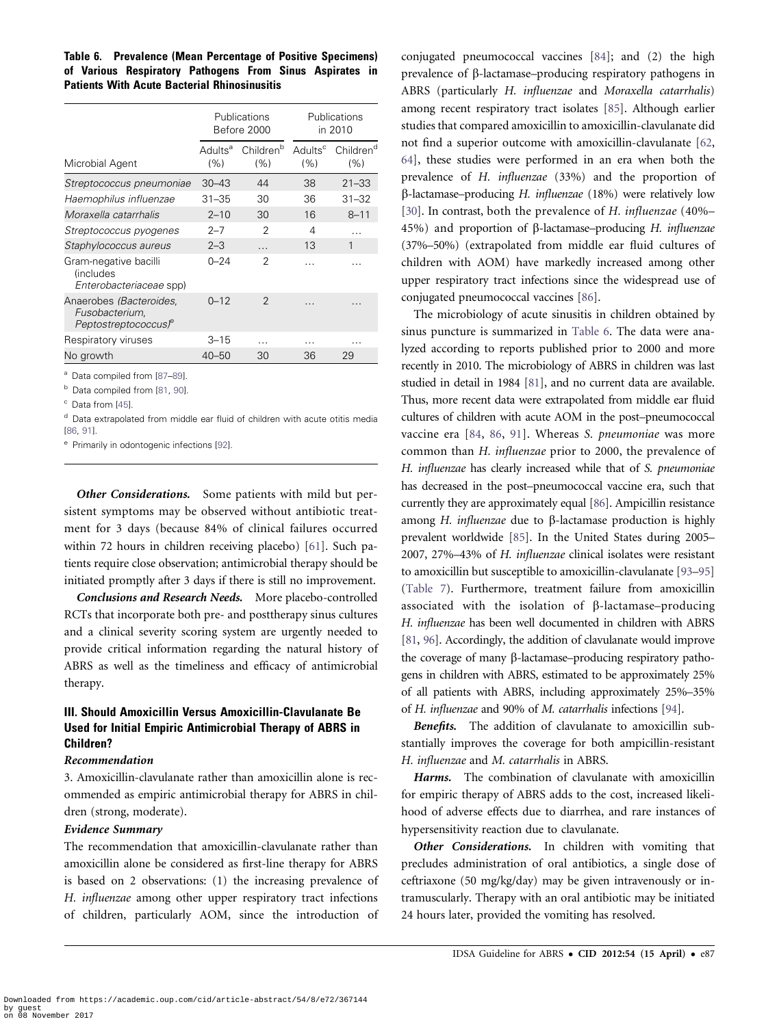<span id="page-15-0"></span>Table 6. Prevalence (Mean Percentage of Positive Specimens) of Various Respiratory Pathogens From Sinus Aspirates in Patients With Acute Bacterial Rhinosinusitis

|                                                                               |                            | Publications<br>Before 2000  |                            | Publications<br>in 2010      |
|-------------------------------------------------------------------------------|----------------------------|------------------------------|----------------------------|------------------------------|
| Microbial Agent                                                               | Adults <sup>a</sup><br>(%) | Children <sup>b</sup><br>(%) | Adults <sup>c</sup><br>(%) | Children <sup>a</sup><br>(%) |
| Streptococcus pneumoniae                                                      | $30 - 43$                  | 44                           | 38                         | $21 - 33$                    |
| Haemophilus influenzae                                                        | $31 - 35$                  | 30                           | 36                         | $31 - 32$                    |
| Moraxella catarrhalis                                                         | $2 - 10$                   | 30                           | 16                         | $8 - 11$                     |
| Streptococcus pyogenes                                                        | $2 - 7$                    | 2                            | 4                          |                              |
| Staphylococcus aureus                                                         | $2 - 3$                    | .                            | 13                         | 1                            |
| Gram-negative bacilli<br><i>lincludes</i><br>Enterobacteriaceae spp)          | $0 - 24$                   | 2                            |                            |                              |
| Anaerobes (Bacteroides,<br>Fusobacterium,<br>Peptostreptococcus) <sup>e</sup> | $0 - 12$                   | $\mathcal{P}$                |                            |                              |
| Respiratory viruses                                                           | $3 - 15$                   |                              |                            |                              |
| No growth                                                                     | $40 - 50$                  | 30                           | 36                         | 29                           |

<sup>a</sup> Data compiled from [\[87](#page-37-0)-[89](#page-37-0)].

b Data compiled from [[81](#page-37-0), [90](#page-37-0)].

 $c$  Data from  $[45]$ .

<sup>d</sup> Data extrapolated from middle ear fluid of children with acute otitis media [[86,](#page-37-0) [91](#page-37-0)].

<sup>e</sup> Primarily in odontogenic infections [[92\]](#page-37-0).

Other Considerations. Some patients with mild but persistent symptoms may be observed without antibiotic treatment for 3 days (because 84% of clinical failures occurred within 72 hours in children receiving placebo) [[61](#page-36-0)]. Such patients require close observation; antimicrobial therapy should be initiated promptly after 3 days if there is still no improvement.

Conclusions and Research Needs. More placebo-controlled RCTs that incorporate both pre- and posttherapy sinus cultures and a clinical severity scoring system are urgently needed to provide critical information regarding the natural history of ABRS as well as the timeliness and efficacy of antimicrobial therapy.

# III. Should Amoxicillin Versus Amoxicillin-Clavulanate Be Used for Initial Empiric Antimicrobial Therapy of ABRS in Children?

#### Recommendation

3. Amoxicillin-clavulanate rather than amoxicillin alone is recommended as empiric antimicrobial therapy for ABRS in children (strong, moderate).

### Evidence Summary

The recommendation that amoxicillin-clavulanate rather than amoxicillin alone be considered as first-line therapy for ABRS is based on 2 observations: (1) the increasing prevalence of H. influenzae among other upper respiratory tract infections of children, particularly AOM, since the introduction of

conjugated pneumococcal vaccines [\[84](#page-37-0)]; and (2) the high prevalence of b-lactamase–producing respiratory pathogens in ABRS (particularly H. influenzae and Moraxella catarrhalis) among recent respiratory tract isolates [[85](#page-37-0)]. Although earlier studies that compared amoxicillin to amoxicillin-clavulanate did not find a superior outcome with amoxicillin-clavulanate [[62,](#page-36-0) [64\]](#page-36-0), these studies were performed in an era when both the prevalence of H. influenzae (33%) and the proportion of  $\beta$ -lactamase–producing H. influenzae (18%) were relatively low [\[30\]](#page-35-0). In contrast, both the prevalence of H. influenzae (40%– 45%) and proportion of  $\beta$ -lactamase–producing H. influenzae (37%–50%) (extrapolated from middle ear fluid cultures of children with AOM) have markedly increased among other upper respiratory tract infections since the widespread use of conjugated pneumococcal vaccines [[86](#page-37-0)].

The microbiology of acute sinusitis in children obtained by sinus puncture is summarized in Table 6. The data were analyzed according to reports published prior to 2000 and more recently in 2010. The microbiology of ABRS in children was last studied in detail in 1984 [\[81\]](#page-37-0), and no current data are available. Thus, more recent data were extrapolated from middle ear fluid cultures of children with acute AOM in the post–pneumococcal vaccine era [[84](#page-37-0), [86,](#page-37-0) [91](#page-37-0)]. Whereas S. pneumoniae was more common than H. influenzae prior to 2000, the prevalence of H. influenzae has clearly increased while that of S. pneumoniae has decreased in the post–pneumococcal vaccine era, such that currently they are approximately equal [[86](#page-37-0)]. Ampicillin resistance among  $H$ . *influenzae* due to  $\beta$ -lactamase production is highly prevalent worldwide [\[85](#page-37-0)]. In the United States during 2005– 2007, 27%–43% of H. influenzae clinical isolates were resistant to amoxicillin but susceptible to amoxicillin-clavulanate [\[93](#page-37-0)–[95\]](#page-37-0) [\(Table 7](#page-16-0)). Furthermore, treatment failure from amoxicillin associated with the isolation of  $\beta$ -lactamase–producing H. influenzae has been well documented in children with ABRS [\[81,](#page-37-0) [96](#page-37-0)]. Accordingly, the addition of clavulanate would improve the coverage of many  $\beta$ -lactamase–producing respiratory pathogens in children with ABRS, estimated to be approximately 25% of all patients with ABRS, including approximately 25%–35% of H. influenzae and 90% of M. catarrhalis infections [[94](#page-37-0)].

Benefits. The addition of clavulanate to amoxicillin substantially improves the coverage for both ampicillin-resistant H. influenzae and M. catarrhalis in ABRS.

Harms. The combination of clavulanate with amoxicillin for empiric therapy of ABRS adds to the cost, increased likelihood of adverse effects due to diarrhea, and rare instances of hypersensitivity reaction due to clavulanate.

Other Considerations. In children with vomiting that precludes administration of oral antibiotics, a single dose of ceftriaxone (50 mg/kg/day) may be given intravenously or intramuscularly. Therapy with an oral antibiotic may be initiated 24 hours later, provided the vomiting has resolved.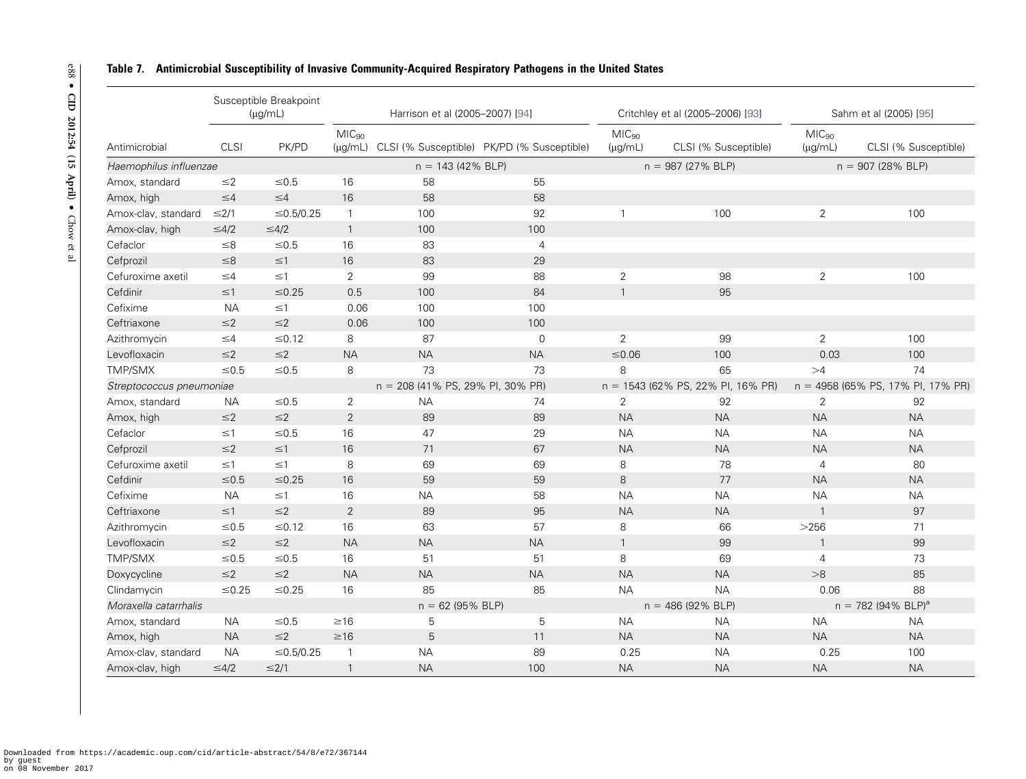|                          |            | Susceptible Breakpoint<br>$(\mu g/mL)$ |                   | Harrison et al (2005-2007) [94]  |                                                    |                                   | Critchley et al (2005-2006) [93]  |                                   | Sahm et al (2005) [95]            |
|--------------------------|------------|----------------------------------------|-------------------|----------------------------------|----------------------------------------------------|-----------------------------------|-----------------------------------|-----------------------------------|-----------------------------------|
| Antimicrobial            | CLSI       | PK/PD                                  | MIC <sub>90</sub> |                                  | (µg/mL) CLSI (% Susceptible) PK/PD (% Susceptible) | MIC <sub>90</sub><br>$(\mu g/mL)$ | CLSI (% Susceptible)              | MIC <sub>90</sub><br>$(\mu g/mL)$ | CLSI (% Susceptible)              |
| Haemophilus influenzae   |            |                                        |                   | $n = 143(42\% \text{ BLP})$      |                                                    |                                   | $n = 987(27\% \text{ BLP})$       |                                   | $n = 907(28\% \text{ BLP})$       |
| Amox, standard           | $\leq$ 2   | $≤0.5$                                 | 16                | 58                               | 55                                                 |                                   |                                   |                                   |                                   |
| Amox, high               | $\leq 4$   | $\leq 4$                               | 16                | 58                               | 58                                                 |                                   |                                   |                                   |                                   |
| Amox-clav, standard      | $\leq$ 2/1 | ≤0.5/0.25                              | 1                 | 100                              | 92                                                 | $\mathbf{1}$                      | 100                               | 2                                 | 100                               |
| Amox-clav, high          | $\leq 4/2$ | $\leq 4/2$                             | $\mathbf{1}$      | 100                              | 100                                                |                                   |                                   |                                   |                                   |
| Cefaclor                 | ≤8         | $\leq 0.5$                             | 16                | 83                               | $\overline{4}$                                     |                                   |                                   |                                   |                                   |
| Cefprozil                | $\leq 8$   | $\leq$ 1                               | 16                | 83                               | 29                                                 |                                   |                                   |                                   |                                   |
| Cefuroxime axetil        | $\leq 4$   | $\leq$ 1                               | $\overline{2}$    | 99                               | 88                                                 | $\overline{2}$                    | 98                                | 2                                 | 100                               |
| Cefdinir                 | $\leq$ 1   | $≤0.25$                                | 0.5               | 100                              | 84                                                 | $\mathbf{1}$                      | 95                                |                                   |                                   |
| Cefixime                 | <b>NA</b>  | $\leq$ 1                               | 0.06              | 100                              | 100                                                |                                   |                                   |                                   |                                   |
| Ceftriaxone              | $\leq$ 2   | $\leq$ 2                               | 0.06              | 100                              | 100                                                |                                   |                                   |                                   |                                   |
| Azithromycin             | $\leq 4$   | ≤0.12                                  | 8                 | 87                               | $\overline{0}$                                     | 2                                 | 99                                | 2                                 | 100                               |
| Levofloxacin             | $\leq$ 2   | $\leq$ 2                               | <b>NA</b>         | <b>NA</b>                        | <b>NA</b>                                          | $≤0.06$                           | 100                               | 0.03                              | 100                               |
| TMP/SMX                  | $\leq 0.5$ | $≤0.5$                                 | 8                 | 73                               | 73                                                 | 8                                 | 65                                | >4                                | 74                                |
| Streptococcus pneumoniae |            |                                        |                   | n = 208 (41% PS, 29% PI, 30% PR) |                                                    |                                   | n = 1543 (62% PS, 22% PI, 16% PR) |                                   | n = 4958 (65% PS, 17% PI, 17% PR) |
| Amox, standard           | <b>NA</b>  | $\leq 0.5$                             | $\overline{2}$    | <b>NA</b>                        | 74                                                 | 2                                 | 92                                | 2                                 | 92                                |
| Amox, high               | $\leq$ 2   | $\leq$ 2                               | $\overline{2}$    | 89                               | 89                                                 | <b>NA</b>                         | <b>NA</b>                         | <b>NA</b>                         | <b>NA</b>                         |
| Cefaclor                 | $\leq$ 1   | $≤0.5$                                 | 16                | 47                               | 29                                                 | <b>NA</b>                         | <b>NA</b>                         | <b>NA</b>                         | <b>NA</b>                         |
| Cefprozil                | $\leq$ 2   | $\leq$ 1                               | 16                | 71                               | 67                                                 | <b>NA</b>                         | <b>NA</b>                         | <b>NA</b>                         | <b>NA</b>                         |
| Cefuroxime axetil        | $\leq$ 1   | $\leq$ 1                               | 8                 | 69                               | 69                                                 | 8                                 | 78                                | $\overline{4}$                    | 80                                |
| Cefdinir                 | $\leq 0.5$ | $≤0.25$                                | 16                | 59                               | 59                                                 | $\,8\,$                           | 77                                | <b>NA</b>                         | <b>NA</b>                         |
| Cefixime                 | <b>NA</b>  | $\leq$ 1                               | 16                | <b>NA</b>                        | 58                                                 | <b>NA</b>                         | <b>NA</b>                         | <b>NA</b>                         | <b>NA</b>                         |
| Ceftriaxone              | $\leq$ 1   | $\leq$ 2                               | $\overline{2}$    | 89                               | 95                                                 | <b>NA</b>                         | <b>NA</b>                         | $\overline{1}$                    | 97                                |
| Azithromycin             | $\leq 0.5$ | ≤ 0.12                                 | 16                | 63                               | 57                                                 | 8                                 | 66                                | >256                              | 71                                |
| Levofloxacin             | $\leq$ 2   | $\leq$ 2                               | <b>NA</b>         | <b>NA</b>                        | <b>NA</b>                                          | $\mathbf{1}$                      | 99                                | $\overline{1}$                    | 99                                |
| TMP/SMX                  | $≤0.5$     | $≤0.5$                                 | 16                | 51                               | 51                                                 | 8                                 | 69                                | $\overline{4}$                    | 73                                |
| Doxycycline              | $\leq$ 2   | $\leq$ 2                               | <b>NA</b>         | <b>NA</b>                        | <b>NA</b>                                          | <b>NA</b>                         | <b>NA</b>                         | >8                                | 85                                |
| Clindamycin              | $≤0.25$    | $≤0.25$                                | 16                | 85                               | 85                                                 | <b>NA</b>                         | <b>NA</b>                         | 0.06                              | 88                                |
| Moraxella catarrhalis    |            |                                        |                   | $n = 62 (95\% BLP)$              |                                                    |                                   | $n = 486 (92\% BLP)$              |                                   | $n = 782 (94\% BLP)^a$            |
| Amox, standard           | <b>NA</b>  | $≤0.5$                                 | $\geq 16$         | 5                                | 5                                                  | <b>NA</b>                         | <b>NA</b>                         | <b>NA</b>                         | <b>NA</b>                         |
| Amox, high               | <b>NA</b>  | $\leq$ 2                               | $\geq 16$         | 5                                | 11                                                 | <b>NA</b>                         | <b>NA</b>                         | <b>NA</b>                         | <b>NA</b>                         |
| Amox-clav, standard      | <b>NA</b>  | ≤0.5/0.25                              | $\mathbf 1$       | <b>NA</b>                        | 89                                                 | 0.25                              | <b>NA</b>                         | 0.25                              | 100                               |
| Amox-clav, high          | $\leq 4/2$ | $\leq$ 2/1                             | $\mathbf{1}$      | <b>NA</b>                        | 100                                                | <b>NA</b>                         | <b>NA</b>                         | <b>NA</b>                         | <b>NA</b>                         |

# <span id="page-16-0"></span>Table 7. Antimicrobial Susceptibility of Invasive Community-Acquired Respiratory Pathogens in the United States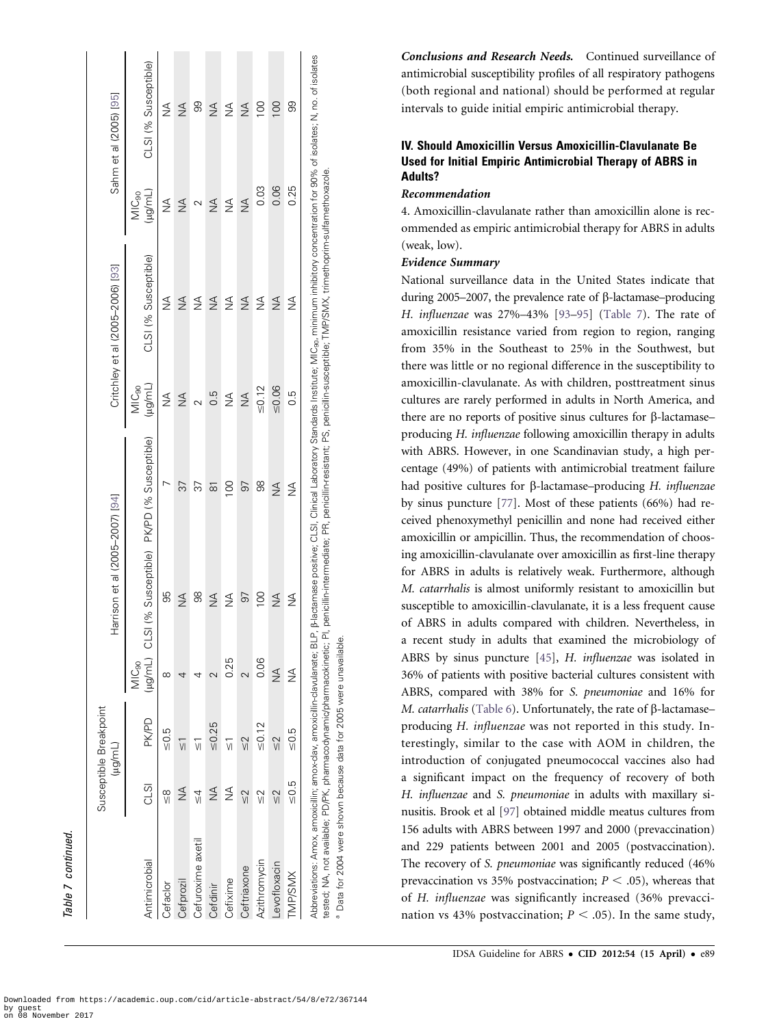|                   | Harrison et al (2005-2007) [94] |
|-------------------|---------------------------------|
| Table 7 continued | usceptible Breakpoint<br>ーデジー   |

|                                                                                                                                                      |                | susceptible Breakpoint<br>(Luu/bri) |                   | Harrison et al (2005-2007) [94] |                                                    |                              | Critchley et al (2005-2006) [93]                                                                                                                                                                                                                                                            |                                | Sahm et al (2005) [95] |
|------------------------------------------------------------------------------------------------------------------------------------------------------|----------------|-------------------------------------|-------------------|---------------------------------|----------------------------------------------------|------------------------------|---------------------------------------------------------------------------------------------------------------------------------------------------------------------------------------------------------------------------------------------------------------------------------------------|--------------------------------|------------------------|
| Antimicrobial                                                                                                                                        | CLSI           | <b>PK/PD</b>                        | MIC <sub>90</sub> |                                 | (ug/mL) CLSI (% Susceptible) PK/PD (% Susceptible) | (µg/mL)<br>MIC <sub>90</sub> | CLSI (% Susceptible)                                                                                                                                                                                                                                                                        | (Liu/pri)<br>MIC <sub>90</sub> | CLSI (% Susceptible)   |
| Cefaclor                                                                                                                                             | 8<br>Vl        | ی<br>©<br>⊠                         | $^\infty$         | 95                              |                                                    | $\frac{1}{2}$                | $\frac{1}{2}$                                                                                                                                                                                                                                                                               | ≸                              | ≸                      |
| Cefprozil                                                                                                                                            |                | νī                                  |                   | $\frac{1}{2}$                   | 37                                                 | $\frac{4}{2}$                | $\frac{4}{2}$                                                                                                                                                                                                                                                                               | $\frac{1}{2}$                  | ≸                      |
| Cefuroxime axetil                                                                                                                                    | $\frac{4}{5}$  |                                     |                   | 88                              | 37                                                 |                              | $\frac{1}{2}$                                                                                                                                                                                                                                                                               |                                | 99                     |
| Cefdinir                                                                                                                                             | $\frac{1}{2}$  | $\leq 0.25$                         |                   | $\frac{1}{2}$                   | 8                                                  | G.G                          | $\frac{1}{2}$                                                                                                                                                                                                                                                                               | $\frac{1}{2}$                  | $\frac{1}{2}$          |
| Cefixime                                                                                                                                             | ≸              | VI                                  | 0.25              | ≸                               | $\infty$                                           | $\frac{1}{2}$                | $\frac{4}{2}$                                                                                                                                                                                                                                                                               | ≸                              | $\frac{1}{2}$          |
| Ceftriaxone                                                                                                                                          | 2              |                                     |                   | 50                              | 50                                                 | $\frac{4}{2}$                | $\frac{4}{2}$                                                                                                                                                                                                                                                                               | $\frac{1}{2}$                  | $\frac{1}{2}$          |
| Azithromycin                                                                                                                                         | ู<br>ท         | $\leq 0.12$                         | 0.06              | 8                               | 88                                                 | $\leq 0.12$                  | $\frac{1}{2}$                                                                                                                                                                                                                                                                               | 0.03                           | 8                      |
| evofloxacin                                                                                                                                          | 2<br>2         | V                                   | $\frac{1}{2}$     | $\frac{4}{2}$                   | $\frac{1}{2}$                                      | $\leq 0.06$                  | $\frac{4}{2}$                                                                                                                                                                                                                                                                               | 0.06                           | $\infty$               |
| <b>TMP/SMX</b>                                                                                                                                       | $\frac{5}{20}$ | ی<br>©<br>⊠                         | ≸                 | ≸                               | $\frac{1}{2}$                                      | С.<br>О                      | $\frac{1}{2}$                                                                                                                                                                                                                                                                               | 0.25                           | 99                     |
| Abbreviations: Amox, amoxicillin; amox-clav, amoxicillin-clavulanate; BLP,<br>tested; NA, not available; PD/PK, pharmacodynamic/pharmacokinetic; PI, |                |                                     |                   |                                 |                                                    |                              | B-lactamase positive; CLSI, Clinical Laboratory Standards Institute; MIC <sub>90</sub> , minimum inhibitory concentration for 90% of isolates; N, no. of isolates<br>penicillin-intermediate; PR, penicillin-resistant; PS, penicillin-susceptible; TMP/SMX, trimethoprim-sulfamethoxazole. |                                |                        |

Data for 2004 were shown because data for 2005 were unavailable.

Data for 2004 were shown because data for 2005 were unavailable

Conclusions and Research Needs. Continued surveillance of antimicrobial susceptibility profiles of all respiratory pathogens (both regional and national) should be performed at regular intervals to guide initial empiric antimicrobial therapy.

# IV. Should Amoxicillin Versus Amoxicillin-Clavulanate Be Used for Initial Empiric Antimicrobial Therapy of ABRS in Adults?

# Recommendation

4. Amoxicillin-clavulanate rather than amoxicillin alone is recommended as empiric antimicrobial therapy for ABRS in adults (weak, low).

# Evidence Summary

National surveillance data in the United States indicate that during 2005–2007, the prevalence rate of b-lactamase–producing H. influenzae was 27%–43% [\[93](#page-37-0)–[95\]](#page-37-0) [\(Table 7\)](#page-16-0). The rate of amoxicillin resistance varied from region to region, ranging from 35% in the Southeast to 25% in the Southwest, but there was little or no regional difference in the susceptibility to amoxicillin-clavulanate. As with children, posttreatment sinus cultures are rarely performed in adults in North America, and there are no reports of positive sinus cultures for  $\beta$ -lactamase– producing H. influenzae following amoxicillin therapy in adults with ABRS. However, in one Scandinavian study, a high percentage (49%) of patients with antimicrobial treatment failure had positive cultures for  $\beta$ -lactamase-producing H. influenzae by sinus puncture [\[77](#page-37-0)]. Most of these patients (66%) had received phenoxymethyl penicillin and none had received either amoxicillin or ampicillin. Thus, the recommendation of choosing amoxicillin-clavulanate over amoxicillin as first-line therapy for ABRS in adults is relatively weak. Furthermore, although M. catarrhalis is almost uniformly resistant to amoxicillin but susceptible to amoxicillin-clavulanate, it is a less frequent cause of ABRS in adults compared with children. Nevertheless, in a recent study in adults that examined the microbiology of ABRS by sinus puncture [[45](#page-36-0)], H. influenzae was isolated in 36% of patients with positive bacterial cultures consistent with ABRS, compared with 38% for S. pneumoniae and 16% for M. catarrhalis ([Table 6](#page-15-0)). Unfortunately, the rate of  $\beta$ -lactamaseproducing H. influenzae was not reported in this study. Interestingly, similar to the case with AOM in children, the introduction of conjugated pneumococcal vaccines also had a significant impact on the frequency of recovery of both H. influenzae and S. pneumoniae in adults with maxillary sinusitis. Brook et al [\[97\]](#page-37-0) obtained middle meatus cultures from 156 adults with ABRS between 1997 and 2000 (prevaccination) and 229 patients between 2001 and 2005 (postvaccination). The recovery of S. pneumoniae was significantly reduced (46% prevaccination vs 35% postvaccination;  $P < .05$ ), whereas that of H. influenzae was significantly increased (36% prevaccination vs 43% postvaccination;  $P < .05$ ). In the same study,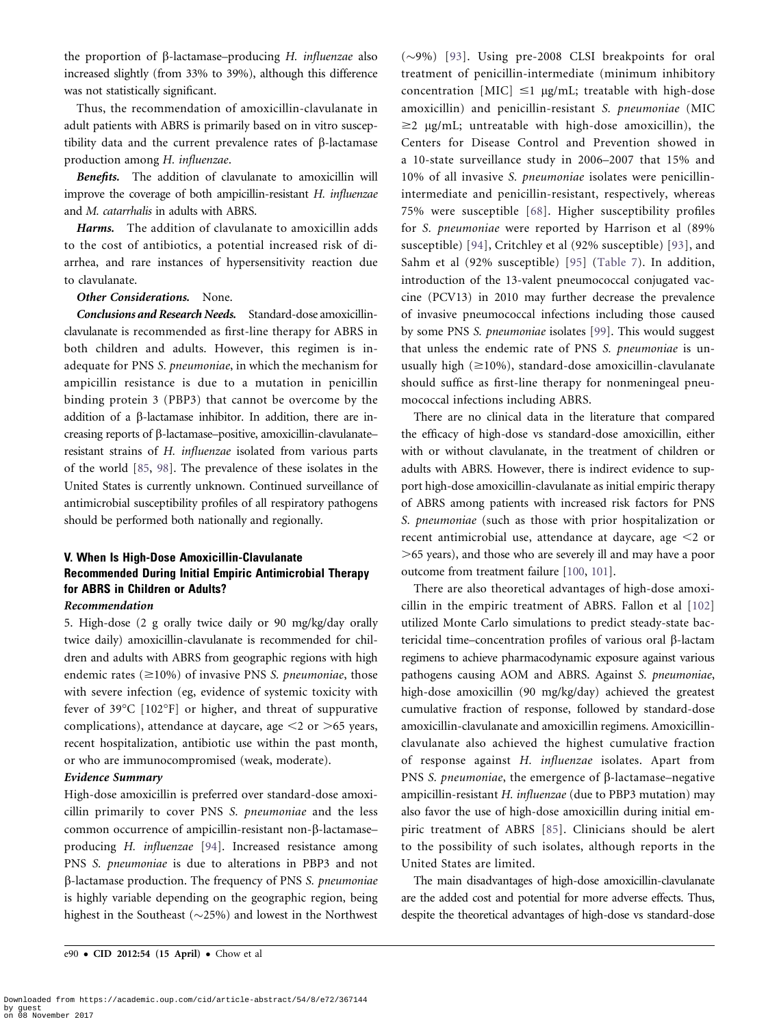the proportion of  $\beta$ -lactamase–producing H. *influenzae* also increased slightly (from 33% to 39%), although this difference was not statistically significant.

Thus, the recommendation of amoxicillin-clavulanate in adult patients with ABRS is primarily based on in vitro susceptibility data and the current prevalence rates of  $\beta$ -lactamase production among H. influenzae.

Benefits. The addition of clavulanate to amoxicillin will improve the coverage of both ampicillin-resistant H. influenzae and M. catarrhalis in adults with ABRS.

Harms. The addition of clavulanate to amoxicillin adds to the cost of antibiotics, a potential increased risk of diarrhea, and rare instances of hypersensitivity reaction due to clavulanate.

#### Other Considerations. None.

Conclusions and Research Needs. Standard-dose amoxicillinclavulanate is recommended as first-line therapy for ABRS in both children and adults. However, this regimen is inadequate for PNS S. pneumoniae, in which the mechanism for ampicillin resistance is due to a mutation in penicillin binding protein 3 (PBP3) that cannot be overcome by the addition of a  $\beta$ -lactamase inhibitor. In addition, there are increasing reports of b-lactamase–positive, amoxicillin-clavulanate– resistant strains of H. influenzae isolated from various parts of the world [[85,](#page-37-0) [98\]](#page-37-0). The prevalence of these isolates in the United States is currently unknown. Continued surveillance of antimicrobial susceptibility profiles of all respiratory pathogens should be performed both nationally and regionally.

# V. When Is High-Dose Amoxicillin-Clavulanate Recommended During Initial Empiric Antimicrobial Therapy for ABRS in Children or Adults?

#### Recommendation

5. High-dose (2 g orally twice daily or 90 mg/kg/day orally twice daily) amoxicillin-clavulanate is recommended for children and adults with ABRS from geographic regions with high endemic rates ( $\geq$ 10%) of invasive PNS S. pneumoniae, those with severe infection (eg, evidence of systemic toxicity with fever of 39°C [102°F] or higher, and threat of suppurative complications), attendance at daycare, age  $\leq$  2 or  $\geq$  65 years, recent hospitalization, antibiotic use within the past month, or who are immunocompromised (weak, moderate).

#### Evidence Summary

High-dose amoxicillin is preferred over standard-dose amoxicillin primarily to cover PNS S. pneumoniae and the less common occurrence of ampicillin-resistant non-b-lactamase– producing H. influenzae [[94\]](#page-37-0). Increased resistance among PNS S. pneumoniae is due to alterations in PBP3 and not b-lactamase production. The frequency of PNS S. pneumoniae is highly variable depending on the geographic region, being highest in the Southeast ( $\sim$ 25%) and lowest in the Northwest

(9%) [[93](#page-37-0)]. Using pre-2008 CLSI breakpoints for oral treatment of penicillin-intermediate (minimum inhibitory concentration [MIC]  $\leq$ 1 µg/mL; treatable with high-dose amoxicillin) and penicillin-resistant S. pneumoniae (MIC  $\geq$   $2 \mu$ g/mL; untreatable with high-dose amoxicillin), the Centers for Disease Control and Prevention showed in a 10-state surveillance study in 2006–2007 that 15% and 10% of all invasive S. pneumoniae isolates were penicillinintermediate and penicillin-resistant, respectively, whereas 75% were susceptible [[68](#page-36-0)]. Higher susceptibility profiles for S. pneumoniae were reported by Harrison et al (89% susceptible) [\[94\]](#page-37-0), Critchley et al (92% susceptible) [\[93\]](#page-37-0), and Sahm et al (92% susceptible) [[95](#page-37-0)] ([Table 7](#page-16-0)). In addition, introduction of the 13-valent pneumococcal conjugated vaccine (PCV13) in 2010 may further decrease the prevalence of invasive pneumococcal infections including those caused by some PNS S. pneumoniae isolates [\[99](#page-37-0)]. This would suggest that unless the endemic rate of PNS S. pneumoniae is unusually high  $(\geq 10\%)$ , standard-dose amoxicillin-clavulanate should suffice as first-line therapy for nonmeningeal pneumococcal infections including ABRS.

There are no clinical data in the literature that compared the efficacy of high-dose vs standard-dose amoxicillin, either with or without clavulanate, in the treatment of children or adults with ABRS. However, there is indirect evidence to support high-dose amoxicillin-clavulanate as initial empiric therapy of ABRS among patients with increased risk factors for PNS S. pneumoniae (such as those with prior hospitalization or recent antimicrobial use, attendance at daycare, age  $\leq$  or .65 years), and those who are severely ill and may have a poor outcome from treatment failure [\[100,](#page-37-0) [101\]](#page-37-0).

There are also theoretical advantages of high-dose amoxicillin in the empiric treatment of ABRS. Fallon et al [[102\]](#page-37-0) utilized Monte Carlo simulations to predict steady-state bactericidal time–concentration profiles of various oral  $\beta$ -lactam regimens to achieve pharmacodynamic exposure against various pathogens causing AOM and ABRS. Against S. pneumoniae, high-dose amoxicillin (90 mg/kg/day) achieved the greatest cumulative fraction of response, followed by standard-dose amoxicillin-clavulanate and amoxicillin regimens. Amoxicillinclavulanate also achieved the highest cumulative fraction of response against H. influenzae isolates. Apart from PNS S. pneumoniae, the emergence of  $\beta$ -lactamase–negative ampicillin-resistant H. influenzae (due to PBP3 mutation) may also favor the use of high-dose amoxicillin during initial empiric treatment of ABRS [[85\]](#page-37-0). Clinicians should be alert to the possibility of such isolates, although reports in the United States are limited.

The main disadvantages of high-dose amoxicillin-clavulanate are the added cost and potential for more adverse effects. Thus, despite the theoretical advantages of high-dose vs standard-dose

e90 • CID 2012:54 (15 April) • Chow et al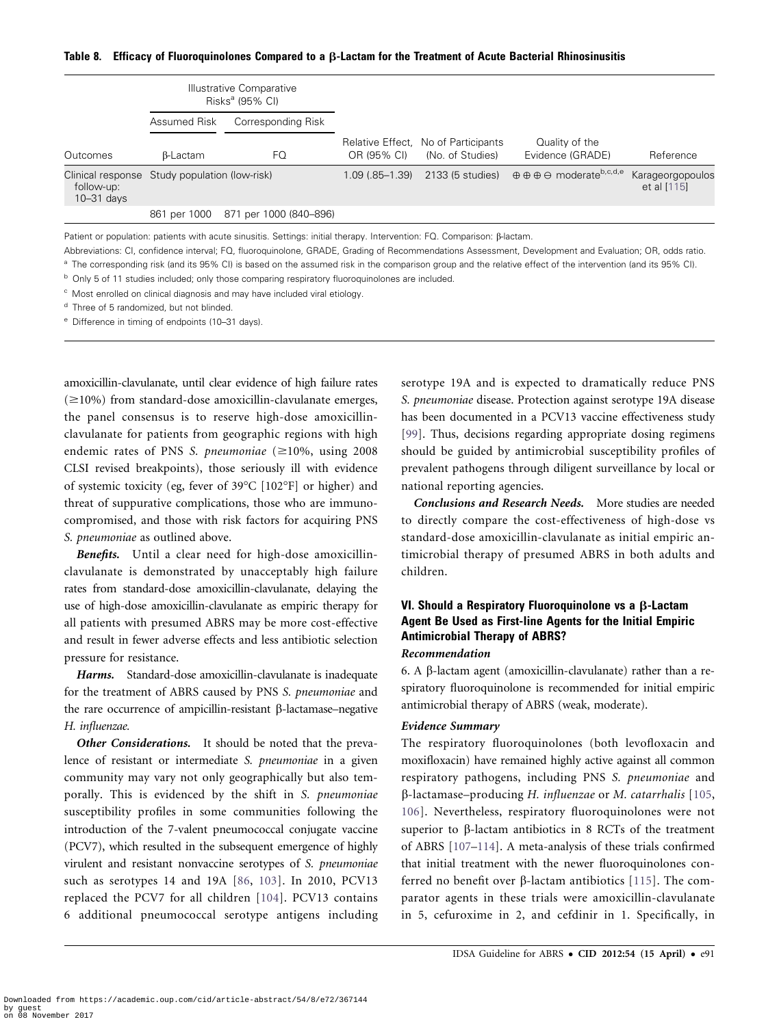#### <span id="page-19-0"></span>Table 8. Efficacy of Fluoroquinolones Compared to a  $\beta$ -Lactam for the Treatment of Acute Bacterial Rhinosinusitis

|                            |                                               | Illustrative Comparative<br>Risks <sup>a</sup> (95% CI) |             |                                                         |                                                           |                                 |
|----------------------------|-----------------------------------------------|---------------------------------------------------------|-------------|---------------------------------------------------------|-----------------------------------------------------------|---------------------------------|
|                            | Assumed Risk                                  | Corresponding Risk                                      |             |                                                         |                                                           |                                 |
| Outcomes                   | β-Lactam                                      | FΟ                                                      | OR (95% CI) | Relative Effect, No of Participants<br>(No. of Studies) | Quality of the<br>Evidence (GRADE)                        | Reference                       |
| follow-up:<br>$10-31$ days | Clinical response Study population (low-risk) |                                                         |             | 1.09 (.85–1.39) 2133 (5 studies)                        | $\oplus \oplus \oplus \oplus$ moderate <sup>b,c,d,e</sup> | Karageorgopoulos<br>et al [115] |
|                            | 861 per 1000                                  | 871 per 1000 (840–896)                                  |             |                                                         |                                                           |                                 |

Patient or population: patients with acute sinusitis. Settings: initial therapy. Intervention: FQ. Comparison: B-lactam.

Abbreviations: CI, confidence interval; FQ, fluoroquinolone, GRADE, Grading of Recommendations Assessment, Development and Evaluation; OR, odds ratio. <sup>a</sup> The corresponding risk (and its 95% CI) is based on the assumed risk in the comparison group and the relative effect of the intervention (and its 95% CI).

b Only 5 of 11 studies included; only those comparing respiratory fluoroquinolones are included.

<sup>c</sup> Most enrolled on clinical diagnosis and may have included viral etiology.

<sup>d</sup> Three of 5 randomized, but not blinded.

<sup>e</sup> Difference in timing of endpoints (10–31 days).

amoxicillin-clavulanate, until clear evidence of high failure rates  $(\geq$ 10%) from standard-dose amoxicillin-clavulanate emerges, the panel consensus is to reserve high-dose amoxicillinclavulanate for patients from geographic regions with high endemic rates of PNS S. pneumoniae  $(\geq 10\%$ , using 2008 CLSI revised breakpoints), those seriously ill with evidence of systemic toxicity (eg, fever of 39°C [102°F] or higher) and threat of suppurative complications, those who are immunocompromised, and those with risk factors for acquiring PNS S. pneumoniae as outlined above.

Benefits. Until a clear need for high-dose amoxicillinclavulanate is demonstrated by unacceptably high failure rates from standard-dose amoxicillin-clavulanate, delaying the use of high-dose amoxicillin-clavulanate as empiric therapy for all patients with presumed ABRS may be more cost-effective and result in fewer adverse effects and less antibiotic selection pressure for resistance.

Harms. Standard-dose amoxicillin-clavulanate is inadequate for the treatment of ABRS caused by PNS S. pneumoniae and the rare occurrence of ampicillin-resistant  $\beta$ -lactamase–negative H. influenzae.

Other Considerations. It should be noted that the prevalence of resistant or intermediate S. pneumoniae in a given community may vary not only geographically but also temporally. This is evidenced by the shift in S. pneumoniae susceptibility profiles in some communities following the introduction of the 7-valent pneumococcal conjugate vaccine (PCV7), which resulted in the subsequent emergence of highly virulent and resistant nonvaccine serotypes of S. pneumoniae such as serotypes 14 and 19A [[86,](#page-37-0) [103](#page-37-0)]. In 2010, PCV13 replaced the PCV7 for all children [[104\]](#page-37-0). PCV13 contains 6 additional pneumococcal serotype antigens including serotype 19A and is expected to dramatically reduce PNS S. pneumoniae disease. Protection against serotype 19A disease has been documented in a PCV13 vaccine effectiveness study [\[99\]](#page-37-0). Thus, decisions regarding appropriate dosing regimens should be guided by antimicrobial susceptibility profiles of prevalent pathogens through diligent surveillance by local or national reporting agencies.

Conclusions and Research Needs. More studies are needed to directly compare the cost-effectiveness of high-dose vs standard-dose amoxicillin-clavulanate as initial empiric antimicrobial therapy of presumed ABRS in both adults and children.

### VI. Should a Respiratory Fluoroquinolone vs a  $\beta$ -Lactam Agent Be Used as First-line Agents for the Initial Empiric Antimicrobial Therapy of ABRS? Recommendation

6. A  $\beta$ -lactam agent (amoxicillin-clavulanate) rather than a respiratory fluoroquinolone is recommended for initial empiric antimicrobial therapy of ABRS (weak, moderate).

#### Evidence Summary

The respiratory fluoroquinolones (both levofloxacin and moxifloxacin) have remained highly active against all common respiratory pathogens, including PNS S. pneumoniae and b-lactamase–producing H. influenzae or M. catarrhalis [[105,](#page-37-0) [106](#page-37-0)]. Nevertheless, respiratory fluoroquinolones were not superior to  $\beta$ -lactam antibiotics in 8 RCTs of the treatment of ABRS [[107](#page-37-0)–[114\]](#page-37-0). A meta-analysis of these trials confirmed that initial treatment with the newer fluoroquinolones conferred no benefit over  $\beta$ -lactam antibiotics [[115](#page-37-0)]. The comparator agents in these trials were amoxicillin-clavulanate in 5, cefuroxime in 2, and cefdinir in 1. Specifically, in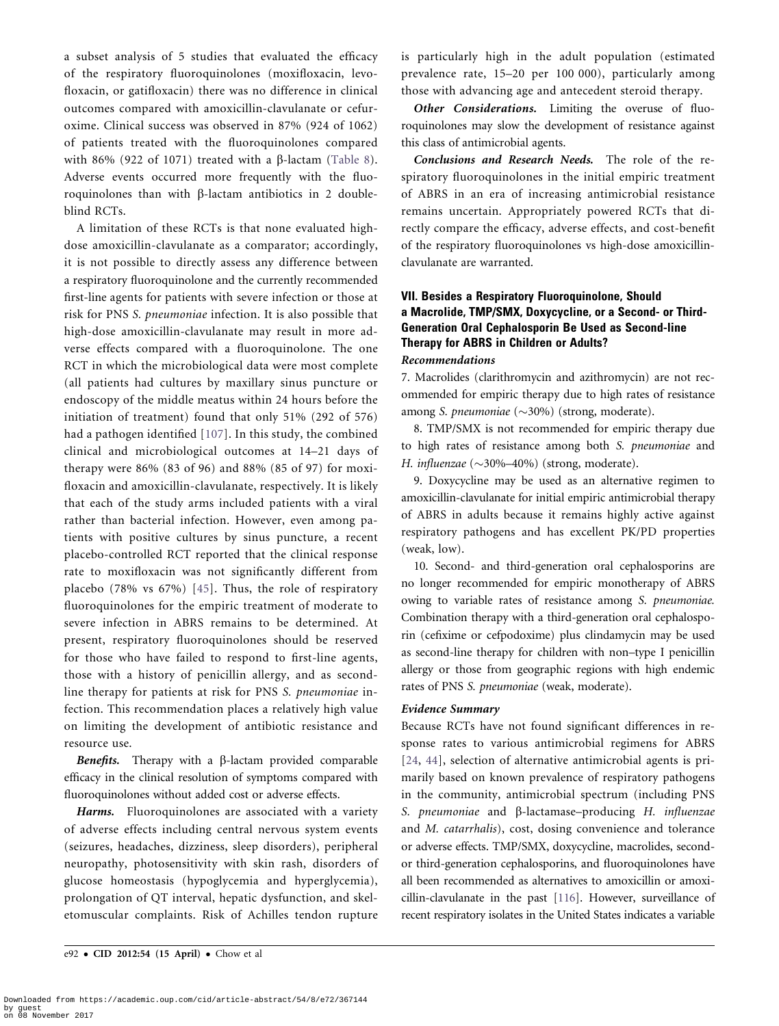a subset analysis of 5 studies that evaluated the efficacy of the respiratory fluoroquinolones (moxifloxacin, levofloxacin, or gatifloxacin) there was no difference in clinical outcomes compared with amoxicillin-clavulanate or cefuroxime. Clinical success was observed in 87% (924 of 1062) of patients treated with the fluoroquinolones compared with 86% (922 of 1071) treated with a  $\beta$ -lactam ([Table 8](#page-19-0)). Adverse events occurred more frequently with the fluoroquinolones than with  $\beta$ -lactam antibiotics in 2 doubleblind RCTs.

A limitation of these RCTs is that none evaluated highdose amoxicillin-clavulanate as a comparator; accordingly, it is not possible to directly assess any difference between a respiratory fluoroquinolone and the currently recommended first-line agents for patients with severe infection or those at risk for PNS S. pneumoniae infection. It is also possible that high-dose amoxicillin-clavulanate may result in more adverse effects compared with a fluoroquinolone. The one RCT in which the microbiological data were most complete (all patients had cultures by maxillary sinus puncture or endoscopy of the middle meatus within 24 hours before the initiation of treatment) found that only 51% (292 of 576) had a pathogen identified [\[107\]](#page-37-0). In this study, the combined clinical and microbiological outcomes at 14–21 days of therapy were 86% (83 of 96) and 88% (85 of 97) for moxifloxacin and amoxicillin-clavulanate, respectively. It is likely that each of the study arms included patients with a viral rather than bacterial infection. However, even among patients with positive cultures by sinus puncture, a recent placebo-controlled RCT reported that the clinical response rate to moxifloxacin was not significantly different from placebo (78% vs 67%) [\[45\]](#page-36-0). Thus, the role of respiratory fluoroquinolones for the empiric treatment of moderate to severe infection in ABRS remains to be determined. At present, respiratory fluoroquinolones should be reserved for those who have failed to respond to first-line agents, those with a history of penicillin allergy, and as secondline therapy for patients at risk for PNS S. pneumoniae infection. This recommendation places a relatively high value on limiting the development of antibiotic resistance and resource use.

Benefits. Therapy with a  $\beta$ -lactam provided comparable efficacy in the clinical resolution of symptoms compared with fluoroquinolones without added cost or adverse effects.

Harms. Fluoroquinolones are associated with a variety of adverse effects including central nervous system events (seizures, headaches, dizziness, sleep disorders), peripheral neuropathy, photosensitivity with skin rash, disorders of glucose homeostasis (hypoglycemia and hyperglycemia), prolongation of QT interval, hepatic dysfunction, and skeletomuscular complaints. Risk of Achilles tendon rupture

is particularly high in the adult population (estimated prevalence rate, 15–20 per 100 000), particularly among those with advancing age and antecedent steroid therapy.

Other Considerations. Limiting the overuse of fluoroquinolones may slow the development of resistance against this class of antimicrobial agents.

Conclusions and Research Needs. The role of the respiratory fluoroquinolones in the initial empiric treatment of ABRS in an era of increasing antimicrobial resistance remains uncertain. Appropriately powered RCTs that directly compare the efficacy, adverse effects, and cost-benefit of the respiratory fluoroquinolones vs high-dose amoxicillinclavulanate are warranted.

### VII. Besides a Respiratory Fluoroquinolone, Should a Macrolide, TMP/SMX, Doxycycline, or a Second- or Third-Generation Oral Cephalosporin Be Used as Second-line Therapy for ABRS in Children or Adults? Recommendations

7. Macrolides (clarithromycin and azithromycin) are not recommended for empiric therapy due to high rates of resistance among S. pneumoniae  $(\sim 30\%)$  (strong, moderate).

8. TMP/SMX is not recommended for empiric therapy due to high rates of resistance among both S. pneumoniae and H. influenzae  $(\sim 30\% - 40\%)$  (strong, moderate).

9. Doxycycline may be used as an alternative regimen to amoxicillin-clavulanate for initial empiric antimicrobial therapy of ABRS in adults because it remains highly active against respiratory pathogens and has excellent PK/PD properties (weak, low).

10. Second- and third-generation oral cephalosporins are no longer recommended for empiric monotherapy of ABRS owing to variable rates of resistance among S. pneumoniae. Combination therapy with a third-generation oral cephalosporin (cefixime or cefpodoxime) plus clindamycin may be used as second-line therapy for children with non–type I penicillin allergy or those from geographic regions with high endemic rates of PNS S. pneumoniae (weak, moderate).

#### Evidence Summary

Because RCTs have not found significant differences in response rates to various antimicrobial regimens for ABRS [[24,](#page-35-0) [44\]](#page-36-0), selection of alternative antimicrobial agents is primarily based on known prevalence of respiratory pathogens in the community, antimicrobial spectrum (including PNS S. pneumoniae and b-lactamase–producing H. influenzae and M. catarrhalis), cost, dosing convenience and tolerance or adverse effects. TMP/SMX, doxycycline, macrolides, secondor third-generation cephalosporins, and fluoroquinolones have all been recommended as alternatives to amoxicillin or amoxicillin-clavulanate in the past [\[116\]](#page-38-0). However, surveillance of recent respiratory isolates in the United States indicates a variable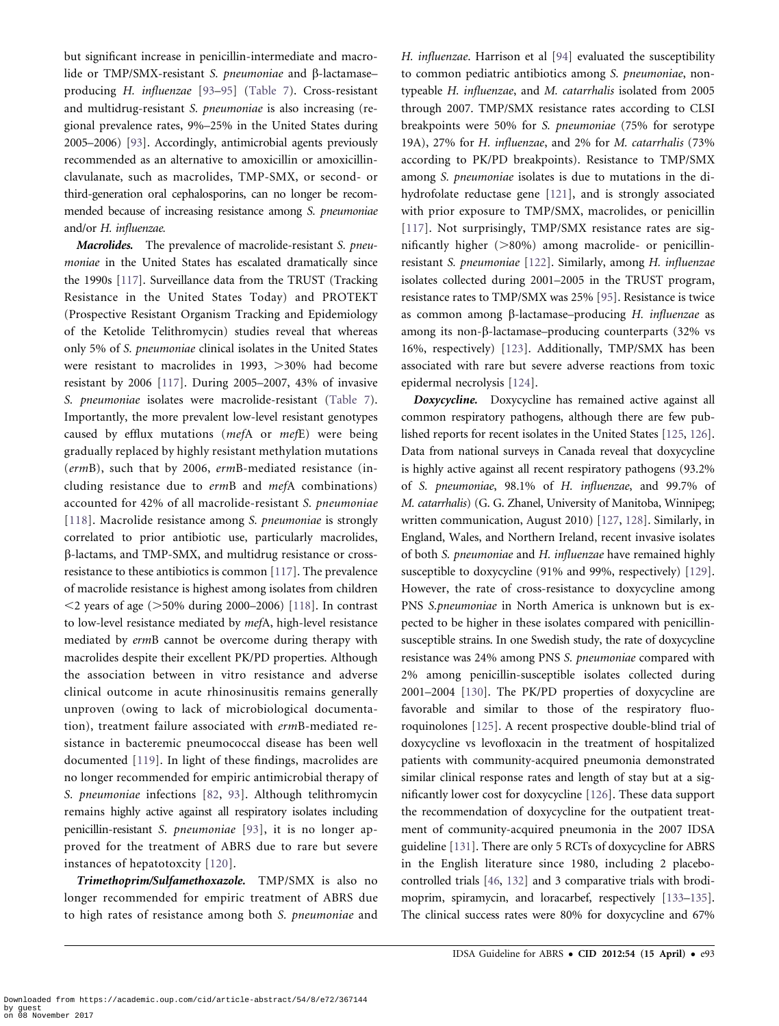but significant increase in penicillin-intermediate and macrolide or TMP/SMX-resistant S. pneumoniae and  $\beta$ -lactamaseproducing H. influenzae [[93–95\]](#page-37-0) ([Table 7](#page-16-0)). Cross-resistant and multidrug-resistant S. pneumoniae is also increasing (regional prevalence rates, 9%–25% in the United States during 2005–2006) [[93\]](#page-37-0). Accordingly, antimicrobial agents previously recommended as an alternative to amoxicillin or amoxicillinclavulanate, such as macrolides, TMP-SMX, or second- or third-generation oral cephalosporins, can no longer be recommended because of increasing resistance among S. pneumoniae and/or H. influenzae.

Macrolides. The prevalence of macrolide-resistant S. pneumoniae in the United States has escalated dramatically since the 1990s [\[117](#page-38-0)]. Surveillance data from the TRUST (Tracking Resistance in the United States Today) and PROTEKT (Prospective Resistant Organism Tracking and Epidemiology of the Ketolide Telithromycin) studies reveal that whereas only 5% of S. pneumoniae clinical isolates in the United States were resistant to macrolides in 1993,  $>30\%$  had become resistant by 2006 [\[117\]](#page-38-0). During 2005–2007, 43% of invasive S. pneumoniae isolates were macrolide-resistant [\(Table 7](#page-16-0)). Importantly, the more prevalent low-level resistant genotypes caused by efflux mutations (mefA or mefE) were being gradually replaced by highly resistant methylation mutations (ermB), such that by 2006, ermB-mediated resistance (including resistance due to ermB and mefA combinations) accounted for 42% of all macrolide-resistant S. pneumoniae [[118\]](#page-38-0). Macrolide resistance among S. pneumoniae is strongly correlated to prior antibiotic use, particularly macrolides, b-lactams, and TMP-SMX, and multidrug resistance or crossresistance to these antibiotics is common [\[117](#page-38-0)]. The prevalence of macrolide resistance is highest among isolates from children  $<$ 2 years of age ( $>$ 50% during 2000–2006) [\[118](#page-38-0)]. In contrast to low-level resistance mediated by mefA, high-level resistance mediated by ermB cannot be overcome during therapy with macrolides despite their excellent PK/PD properties. Although the association between in vitro resistance and adverse clinical outcome in acute rhinosinusitis remains generally unproven (owing to lack of microbiological documentation), treatment failure associated with ermB-mediated resistance in bacteremic pneumococcal disease has been well documented [\[119](#page-38-0)]. In light of these findings, macrolides are no longer recommended for empiric antimicrobial therapy of S. pneumoniae infections [[82](#page-37-0), [93](#page-37-0)]. Although telithromycin remains highly active against all respiratory isolates including penicillin-resistant S. pneumoniae [[93\]](#page-37-0), it is no longer approved for the treatment of ABRS due to rare but severe instances of hepatotoxcity [[120](#page-38-0)].

Trimethoprim/Sulfamethoxazole. TMP/SMX is also no longer recommended for empiric treatment of ABRS due to high rates of resistance among both S. pneumoniae and H. influenzae. Harrison et al [\[94](#page-37-0)] evaluated the susceptibility to common pediatric antibiotics among S. pneumoniae, nontypeable H. influenzae, and M. catarrhalis isolated from 2005 through 2007. TMP/SMX resistance rates according to CLSI breakpoints were 50% for S. pneumoniae (75% for serotype 19A), 27% for H. influenzae, and 2% for M. catarrhalis (73% according to PK/PD breakpoints). Resistance to TMP/SMX among S. pneumoniae isolates is due to mutations in the dihydrofolate reductase gene [\[121\]](#page-38-0), and is strongly associated with prior exposure to TMP/SMX, macrolides, or penicillin [[117](#page-38-0)]. Not surprisingly, TMP/SMX resistance rates are significantly higher  $(>80%)$  among macrolide- or penicillinresistant S. pneumoniae [\[122\]](#page-38-0). Similarly, among H. influenzae isolates collected during 2001–2005 in the TRUST program, resistance rates to TMP/SMX was 25% [\[95](#page-37-0)]. Resistance is twice as common among b-lactamase–producing H. influenzae as among its non- $\beta$ -lactamase–producing counterparts (32% vs 16%, respectively) [[123](#page-38-0)]. Additionally, TMP/SMX has been associated with rare but severe adverse reactions from toxic epidermal necrolysis [[124\]](#page-38-0).

Doxycycline. Doxycycline has remained active against all common respiratory pathogens, although there are few published reports for recent isolates in the United States [[125](#page-38-0), [126](#page-38-0)]. Data from national surveys in Canada reveal that doxycycline is highly active against all recent respiratory pathogens (93.2% of S. pneumoniae, 98.1% of H. influenzae, and 99.7% of M. catarrhalis) (G. G. Zhanel, University of Manitoba, Winnipeg; written communication, August 2010) [\[127](#page-38-0), [128](#page-38-0)]. Similarly, in England, Wales, and Northern Ireland, recent invasive isolates of both S. pneumoniae and H. influenzae have remained highly susceptible to doxycycline (91% and 99%, respectively) [[129](#page-38-0)]. However, the rate of cross-resistance to doxycycline among PNS S.pneumoniae in North America is unknown but is expected to be higher in these isolates compared with penicillinsusceptible strains. In one Swedish study, the rate of doxycycline resistance was 24% among PNS S. pneumoniae compared with 2% among penicillin-susceptible isolates collected during 2001–2004 [[130\]](#page-38-0). The PK/PD properties of doxycycline are favorable and similar to those of the respiratory fluoroquinolones [[125](#page-38-0)]. A recent prospective double-blind trial of doxycycline vs levofloxacin in the treatment of hospitalized patients with community-acquired pneumonia demonstrated similar clinical response rates and length of stay but at a significantly lower cost for doxycycline [\[126\]](#page-38-0). These data support the recommendation of doxycycline for the outpatient treatment of community-acquired pneumonia in the 2007 IDSA guideline [\[131](#page-38-0)]. There are only 5 RCTs of doxycycline for ABRS in the English literature since 1980, including 2 placebocontrolled trials [\[46,](#page-36-0) [132\]](#page-38-0) and 3 comparative trials with brodimoprim, spiramycin, and loracarbef, respectively [\[133–135](#page-38-0)]. The clinical success rates were 80% for doxycycline and 67%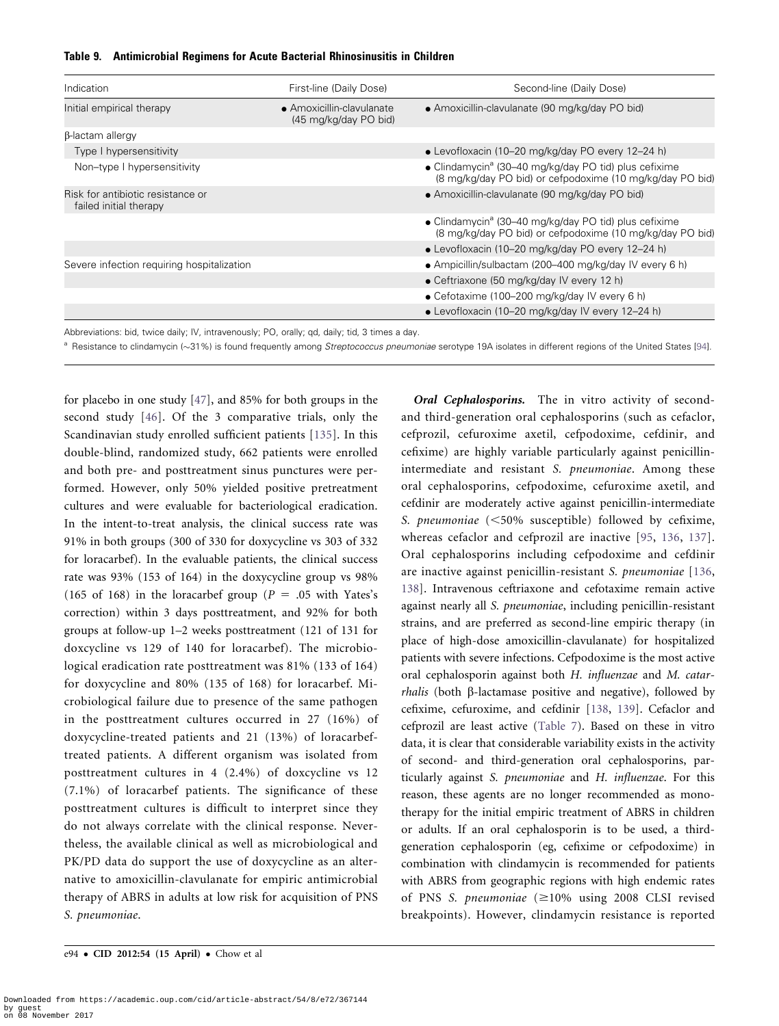<span id="page-22-0"></span>

|  |  |  | Table 9. Antimicrobial Regimens for Acute Bacterial Rhinosinusitis in Children |  |  |
|--|--|--|--------------------------------------------------------------------------------|--|--|
|--|--|--|--------------------------------------------------------------------------------|--|--|

| Indication                                                  | First-line (Daily Dose)                                    | Second-line (Daily Dose)                                                                                                       |
|-------------------------------------------------------------|------------------------------------------------------------|--------------------------------------------------------------------------------------------------------------------------------|
| Initial empirical therapy                                   | $\bullet$ Amoxicillin-clavulanate<br>(45 mg/kg/day PO bid) | • Amoxicillin-clavulanate (90 mg/kg/day PO bid)                                                                                |
| β-lactam allergy                                            |                                                            |                                                                                                                                |
| Type I hypersensitivity                                     |                                                            | • Levofloxacin (10-20 mg/kg/day PO every 12-24 h)                                                                              |
| Non-type I hypersensitivity                                 |                                                            | • Clindamycin <sup>a</sup> (30–40 mg/kg/day PO tid) plus cefixime<br>(8 mg/kg/day PO bid) or cefpodoxime (10 mg/kg/day PO bid) |
| Risk for antibiotic resistance or<br>failed initial therapy |                                                            | • Amoxicillin-clavulanate (90 mg/kg/day PO bid)                                                                                |
|                                                             |                                                            | • Clindamycin <sup>a</sup> (30–40 mg/kg/day PO tid) plus cefixime<br>(8 mg/kg/day PO bid) or cefpodoxime (10 mg/kg/day PO bid) |
|                                                             |                                                            | • Levofloxacin (10–20 mg/kg/day PO every 12–24 h)                                                                              |
| Severe infection requiring hospitalization                  |                                                            | • Ampicillin/sulbactam (200–400 mg/kg/day IV every 6 h)                                                                        |
|                                                             |                                                            | • Ceftriaxone (50 mg/kg/day IV every 12 h)                                                                                     |
|                                                             |                                                            | • Cefotaxime (100–200 mg/kg/day IV every 6 h)                                                                                  |
|                                                             |                                                            | • Levofloxacin (10-20 mg/kg/day IV every 12-24 h)                                                                              |

Abbreviations: bid, twice daily; IV, intravenously; PO, orally; qd, daily; tid, 3 times a day.

<sup>a</sup> Resistance to clindamycin (~31%) is found frequently among Streptococcus pneumoniae serotype 19A isolates in different regions of the United States [\[94\]](#page-37-0).

for placebo in one study [\[47](#page-36-0)], and 85% for both groups in the second study [[46](#page-36-0)]. Of the 3 comparative trials, only the Scandinavian study enrolled sufficient patients [\[135](#page-38-0)]. In this double-blind, randomized study, 662 patients were enrolled and both pre- and posttreatment sinus punctures were performed. However, only 50% yielded positive pretreatment cultures and were evaluable for bacteriological eradication. In the intent-to-treat analysis, the clinical success rate was 91% in both groups (300 of 330 for doxycycline vs 303 of 332 for loracarbef). In the evaluable patients, the clinical success rate was 93% (153 of 164) in the doxycycline group vs 98% (165 of 168) in the loracarbef group ( $P = .05$  with Yates's correction) within 3 days posttreatment, and 92% for both groups at follow-up 1–2 weeks posttreatment (121 of 131 for doxcycline vs 129 of 140 for loracarbef). The microbiological eradication rate posttreatment was 81% (133 of 164) for doxycycline and 80% (135 of 168) for loracarbef. Microbiological failure due to presence of the same pathogen in the posttreatment cultures occurred in 27 (16%) of doxycycline-treated patients and 21 (13%) of loracarbeftreated patients. A different organism was isolated from posttreatment cultures in 4 (2.4%) of doxcycline vs 12 (7.1%) of loracarbef patients. The significance of these posttreatment cultures is difficult to interpret since they do not always correlate with the clinical response. Nevertheless, the available clinical as well as microbiological and PK/PD data do support the use of doxycycline as an alternative to amoxicillin-clavulanate for empiric antimicrobial therapy of ABRS in adults at low risk for acquisition of PNS S. pneumoniae.

e94 • CID 2012:54 (15 April) • Chow et al

Oral Cephalosporins. The in vitro activity of secondand third-generation oral cephalosporins (such as cefaclor, cefprozil, cefuroxime axetil, cefpodoxime, cefdinir, and cefixime) are highly variable particularly against penicillinintermediate and resistant S. pneumoniae. Among these oral cephalosporins, cefpodoxime, cefuroxime axetil, and cefdinir are moderately active against penicillin-intermediate S. pneumoniae  $(<50\%$  susceptible) followed by cefixime, whereas cefaclor and cefprozil are inactive [\[95,](#page-37-0) [136,](#page-38-0) [137](#page-38-0)]. Oral cephalosporins including cefpodoxime and cefdinir are inactive against penicillin-resistant S. pneumoniae [[136,](#page-38-0) [138\]](#page-38-0). Intravenous ceftriaxone and cefotaxime remain active against nearly all S. pneumoniae, including penicillin-resistant strains, and are preferred as second-line empiric therapy (in place of high-dose amoxicillin-clavulanate) for hospitalized patients with severe infections. Cefpodoxime is the most active oral cephalosporin against both H. influenzae and M. catar $rhalis$  (both  $\beta$ -lactamase positive and negative), followed by cefixime, cefuroxime, and cefdinir [\[138,](#page-38-0) [139](#page-38-0)]. Cefaclor and cefprozil are least active [\(Table 7](#page-16-0)). Based on these in vitro data, it is clear that considerable variability exists in the activity of second- and third-generation oral cephalosporins, particularly against S. pneumoniae and H. influenzae. For this reason, these agents are no longer recommended as monotherapy for the initial empiric treatment of ABRS in children or adults. If an oral cephalosporin is to be used, a thirdgeneration cephalosporin (eg, cefixime or cefpodoxime) in combination with clindamycin is recommended for patients with ABRS from geographic regions with high endemic rates of PNS S. pneumoniae  $(\geq 10\%$  using 2008 CLSI revised breakpoints). However, clindamycin resistance is reported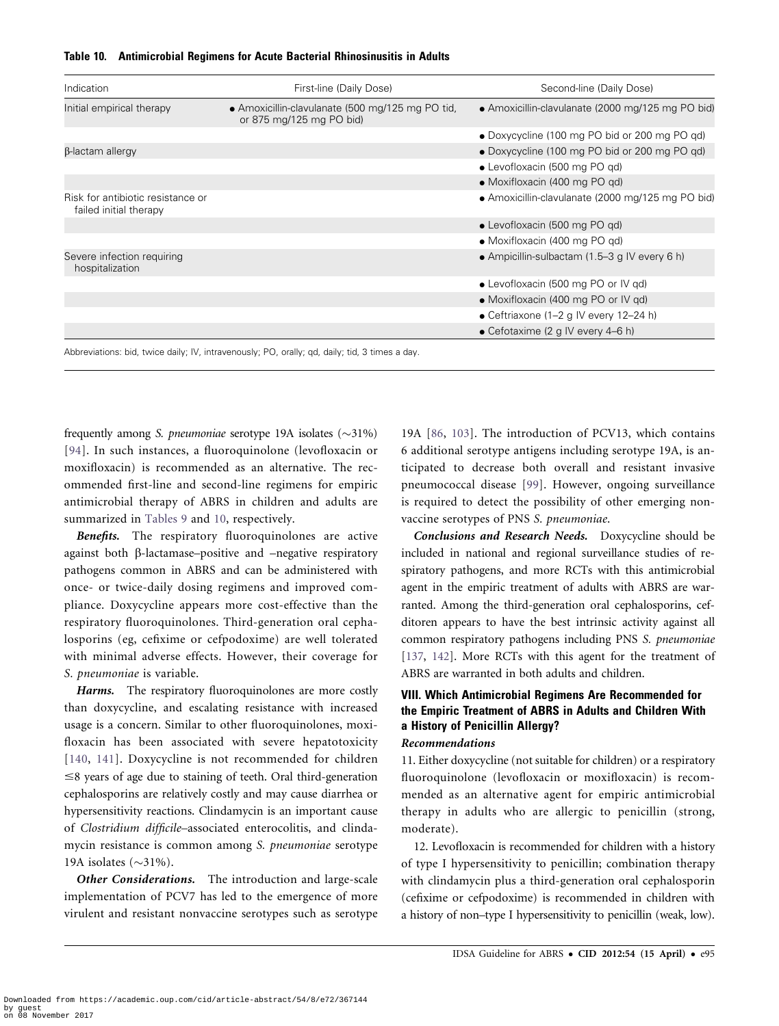<span id="page-23-0"></span>

|  |  |  | Table 10. Antimicrobial Regimens for Acute Bacterial Rhinosinusitis in Adults |  |  |  |
|--|--|--|-------------------------------------------------------------------------------|--|--|--|
|--|--|--|-------------------------------------------------------------------------------|--|--|--|

| Indication                                                  | First-line (Daily Dose)                                                                        | Second-line (Daily Dose)                          |
|-------------------------------------------------------------|------------------------------------------------------------------------------------------------|---------------------------------------------------|
| Initial empirical therapy                                   | • Amoxicillin-clavulanate (500 mg/125 mg PO tid,<br>or 875 mg/125 mg PO bid)                   | • Amoxicillin-clavulanate (2000 mg/125 mg PO bid) |
|                                                             |                                                                                                | • Doxycycline (100 mg PO bid or 200 mg PO gd)     |
| β-lactam allergy                                            |                                                                                                | • Doxycycline (100 mg PO bid or 200 mg PO gd)     |
|                                                             |                                                                                                | • Levofloxacin (500 mg PO gd)                     |
|                                                             |                                                                                                | • Moxifloxacin (400 mg PO qd)                     |
| Risk for antibiotic resistance or<br>failed initial therapy |                                                                                                | • Amoxicillin-clavulanate (2000 mg/125 mg PO bid) |
|                                                             |                                                                                                | • Levofloxacin (500 mg PO qd)                     |
|                                                             |                                                                                                | • Moxifloxacin (400 mg PO qd)                     |
| Severe infection requiring<br>hospitalization               |                                                                                                | • Ampicillin-sulbactam (1.5–3 g IV every 6 h)     |
|                                                             |                                                                                                | • Levofloxacin (500 mg PO or IV gd)               |
|                                                             |                                                                                                | • Moxifloxacin (400 mg PO or IV gd)               |
|                                                             |                                                                                                | • Ceftriaxone (1-2 g IV every 12-24 h)            |
|                                                             |                                                                                                | • Cefotaxime (2 g IV every 4-6 h)                 |
|                                                             | Abbreviations: bid, twice daily; IV, intravenously; PO, orally; qd, daily; tid, 3 times a day. |                                                   |

frequently among S. pneumoniae serotype 19A isolates  $(\sim 31\%)$ [[94](#page-37-0)]. In such instances, a fluoroquinolone (levofloxacin or moxifloxacin) is recommended as an alternative. The recommended first-line and second-line regimens for empiric antimicrobial therapy of ABRS in children and adults are summarized in Tables 9 and [10](#page-22-0), respectively.

Benefits. The respiratory fluoroquinolones are active against both  $\beta$ -lactamase–positive and –negative respiratory pathogens common in ABRS and can be administered with once- or twice-daily dosing regimens and improved compliance. Doxycycline appears more cost-effective than the respiratory fluoroquinolones. Third-generation oral cephalosporins (eg, cefixime or cefpodoxime) are well tolerated with minimal adverse effects. However, their coverage for S. pneumoniae is variable.

Harms. The respiratory fluoroquinolones are more costly than doxycycline, and escalating resistance with increased usage is a concern. Similar to other fluoroquinolones, moxifloxacin has been associated with severe hepatotoxicity [[140,](#page-38-0) [141\]](#page-38-0). Doxycycline is not recommended for children  $\leq$ 8 years of age due to staining of teeth. Oral third-generation cephalosporins are relatively costly and may cause diarrhea or hypersensitivity reactions. Clindamycin is an important cause of Clostridium difficile–associated enterocolitis, and clindamycin resistance is common among S. pneumoniae serotype 19A isolates  $(\sim 31\%)$ .

Other Considerations. The introduction and large-scale implementation of PCV7 has led to the emergence of more virulent and resistant nonvaccine serotypes such as serotype

19A [[86](#page-37-0), [103](#page-37-0)]. The introduction of PCV13, which contains 6 additional serotype antigens including serotype 19A, is anticipated to decrease both overall and resistant invasive pneumococcal disease [[99\]](#page-37-0). However, ongoing surveillance is required to detect the possibility of other emerging nonvaccine serotypes of PNS S. pneumoniae.

Conclusions and Research Needs. Doxycycline should be included in national and regional surveillance studies of respiratory pathogens, and more RCTs with this antimicrobial agent in the empiric treatment of adults with ABRS are warranted. Among the third-generation oral cephalosporins, cefditoren appears to have the best intrinsic activity against all common respiratory pathogens including PNS S. pneumoniae [\[137,](#page-38-0) [142\]](#page-38-0). More RCTs with this agent for the treatment of ABRS are warranted in both adults and children.

# VIII. Which Antimicrobial Regimens Are Recommended for the Empiric Treatment of ABRS in Adults and Children With a History of Penicillin Allergy?

# Recommendations

11. Either doxycycline (not suitable for children) or a respiratory fluoroquinolone (levofloxacin or moxifloxacin) is recommended as an alternative agent for empiric antimicrobial therapy in adults who are allergic to penicillin (strong, moderate).

12. Levofloxacin is recommended for children with a history of type I hypersensitivity to penicillin; combination therapy with clindamycin plus a third-generation oral cephalosporin (cefixime or cefpodoxime) is recommended in children with a history of non–type I hypersensitivity to penicillin (weak, low).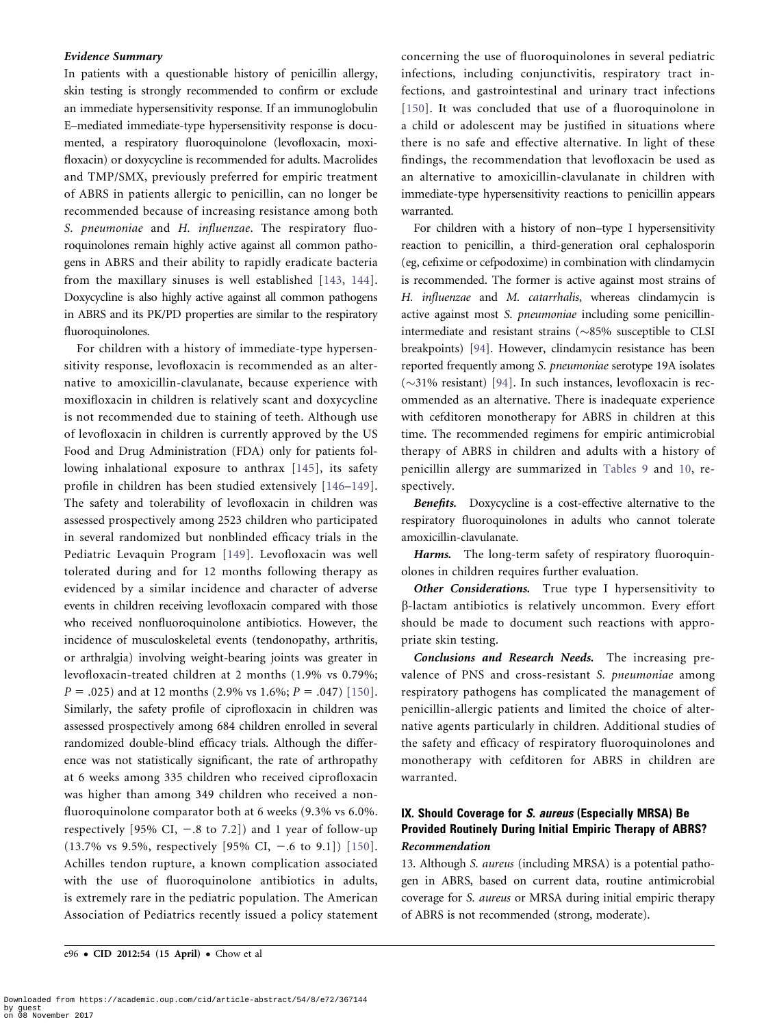#### Evidence Summary

In patients with a questionable history of penicillin allergy, skin testing is strongly recommended to confirm or exclude an immediate hypersensitivity response. If an immunoglobulin E–mediated immediate-type hypersensitivity response is documented, a respiratory fluoroquinolone (levofloxacin, moxifloxacin) or doxycycline is recommended for adults. Macrolides and TMP/SMX, previously preferred for empiric treatment of ABRS in patients allergic to penicillin, can no longer be recommended because of increasing resistance among both S. pneumoniae and H. influenzae. The respiratory fluoroquinolones remain highly active against all common pathogens in ABRS and their ability to rapidly eradicate bacteria from the maxillary sinuses is well established [[143,](#page-38-0) [144](#page-38-0)]. Doxycycline is also highly active against all common pathogens in ABRS and its PK/PD properties are similar to the respiratory fluoroquinolones.

For children with a history of immediate-type hypersensitivity response, levofloxacin is recommended as an alternative to amoxicillin-clavulanate, because experience with moxifloxacin in children is relatively scant and doxycycline is not recommended due to staining of teeth. Although use of levofloxacin in children is currently approved by the US Food and Drug Administration (FDA) only for patients following inhalational exposure to anthrax [[145](#page-38-0)], its safety profile in children has been studied extensively [[146–149](#page-38-0)]. The safety and tolerability of levofloxacin in children was assessed prospectively among 2523 children who participated in several randomized but nonblinded efficacy trials in the Pediatric Levaquin Program [\[149](#page-38-0)]. Levofloxacin was well tolerated during and for 12 months following therapy as evidenced by a similar incidence and character of adverse events in children receiving levofloxacin compared with those who received nonfluoroquinolone antibiotics. However, the incidence of musculoskeletal events (tendonopathy, arthritis, or arthralgia) involving weight-bearing joints was greater in levofloxacin-treated children at 2 months (1.9% vs 0.79%;  $P = .025$ ) and at 12 months (2.9% vs 1.6%;  $P = .047$ ) [[150](#page-38-0)]. Similarly, the safety profile of ciprofloxacin in children was assessed prospectively among 684 children enrolled in several randomized double-blind efficacy trials. Although the difference was not statistically significant, the rate of arthropathy at 6 weeks among 335 children who received ciprofloxacin was higher than among 349 children who received a nonfluoroquinolone comparator both at 6 weeks (9.3% vs 6.0%. respectively [95% CI,  $-.8$  to 7.2]) and 1 year of follow-up (13.7% vs 9.5%, respectively [95% CI,  $-.6$  to 9.1]) [[150](#page-38-0)]. Achilles tendon rupture, a known complication associated with the use of fluoroquinolone antibiotics in adults, is extremely rare in the pediatric population. The American Association of Pediatrics recently issued a policy statement concerning the use of fluoroquinolones in several pediatric infections, including conjunctivitis, respiratory tract infections, and gastrointestinal and urinary tract infections [[150\]](#page-38-0). It was concluded that use of a fluoroquinolone in a child or adolescent may be justified in situations where there is no safe and effective alternative. In light of these findings, the recommendation that levofloxacin be used as an alternative to amoxicillin-clavulanate in children with immediate-type hypersensitivity reactions to penicillin appears warranted.

For children with a history of non–type I hypersensitivity reaction to penicillin, a third-generation oral cephalosporin (eg, cefixime or cefpodoxime) in combination with clindamycin is recommended. The former is active against most strains of H. influenzae and M. catarrhalis, whereas clindamycin is active against most S. pneumoniae including some penicillinintermediate and resistant strains  $(\sim 85\%$  susceptible to CLSI breakpoints) [\[94](#page-37-0)]. However, clindamycin resistance has been reported frequently among S. pneumoniae serotype 19A isolates  $(\sim$ 31% resistant) [\[94\]](#page-37-0). In such instances, levofloxacin is recommended as an alternative. There is inadequate experience with cefditoren monotherapy for ABRS in children at this time. The recommended regimens for empiric antimicrobial therapy of ABRS in children and adults with a history of penicillin allergy are summarized in [Tables 9](#page-23-0) and [10](#page-22-0), respectively.

Benefits. Doxycycline is a cost-effective alternative to the respiratory fluoroquinolones in adults who cannot tolerate amoxicillin-clavulanate.

Harms. The long-term safety of respiratory fluoroquinolones in children requires further evaluation.

Other Considerations. True type I hypersensitivity to b-lactam antibiotics is relatively uncommon. Every effort should be made to document such reactions with appropriate skin testing.

Conclusions and Research Needs. The increasing prevalence of PNS and cross-resistant S. pneumoniae among respiratory pathogens has complicated the management of penicillin-allergic patients and limited the choice of alternative agents particularly in children. Additional studies of the safety and efficacy of respiratory fluoroquinolones and monotherapy with cefditoren for ABRS in children are warranted.

## IX. Should Coverage for S. aureus (Especially MRSA) Be Provided Routinely During Initial Empiric Therapy of ABRS? Recommendation

13. Although S. aureus (including MRSA) is a potential pathogen in ABRS, based on current data, routine antimicrobial coverage for S. aureus or MRSA during initial empiric therapy of ABRS is not recommended (strong, moderate).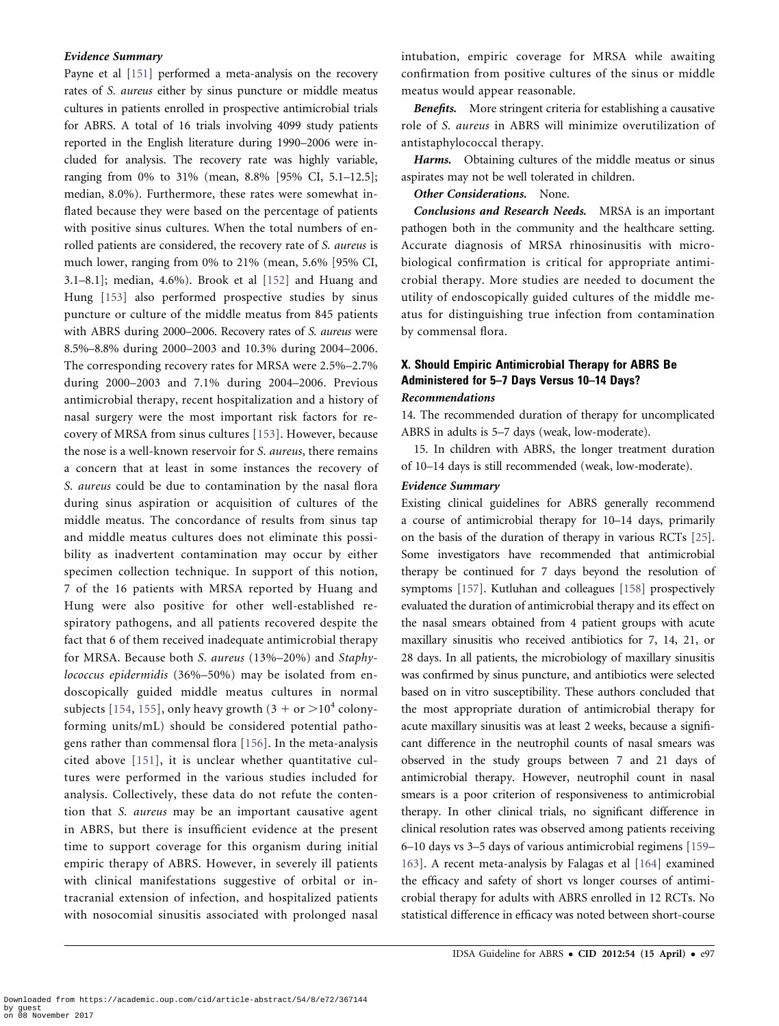#### Evidence Summary

Payne et al [[151](#page-38-0)] performed a meta-analysis on the recovery rates of S. aureus either by sinus puncture or middle meatus cultures in patients enrolled in prospective antimicrobial trials for ABRS. A total of 16 trials involving 4099 study patients reported in the English literature during 1990–2006 were included for analysis. The recovery rate was highly variable, ranging from 0% to 31% (mean, 8.8% [95% CI, 5.1–12.5]; median, 8.0%). Furthermore, these rates were somewhat inflated because they were based on the percentage of patients with positive sinus cultures. When the total numbers of enrolled patients are considered, the recovery rate of S. aureus is much lower, ranging from 0% to 21% (mean, 5.6% [95% CI, 3.1–8.1]; median, 4.6%). Brook et al [[152](#page-38-0)] and Huang and Hung [\[153\]](#page-38-0) also performed prospective studies by sinus puncture or culture of the middle meatus from 845 patients with ABRS during 2000–2006. Recovery rates of S. *aureus* were 8.5%–8.8% during 2000–2003 and 10.3% during 2004–2006. The corresponding recovery rates for MRSA were 2.5%–2.7% during 2000–2003 and 7.1% during 2004–2006. Previous antimicrobial therapy, recent hospitalization and a history of nasal surgery were the most important risk factors for recovery of MRSA from sinus cultures [\[153](#page-38-0)]. However, because the nose is a well-known reservoir for S. aureus, there remains a concern that at least in some instances the recovery of S. aureus could be due to contamination by the nasal flora during sinus aspiration or acquisition of cultures of the middle meatus. The concordance of results from sinus tap and middle meatus cultures does not eliminate this possibility as inadvertent contamination may occur by either specimen collection technique. In support of this notion, 7 of the 16 patients with MRSA reported by Huang and Hung were also positive for other well-established respiratory pathogens, and all patients recovered despite the fact that 6 of them received inadequate antimicrobial therapy for MRSA. Because both S. aureus (13%–20%) and Staphylococcus epidermidis (36%–50%) may be isolated from endoscopically guided middle meatus cultures in normal subjects [\[154](#page-39-0), [155](#page-39-0)], only heavy growth  $(3 + or >10<sup>4</sup>$  colonyforming units/mL) should be considered potential pathogens rather than commensal flora [[156\]](#page-39-0). In the meta-analysis cited above [[151](#page-38-0)], it is unclear whether quantitative cultures were performed in the various studies included for analysis. Collectively, these data do not refute the contention that S. aureus may be an important causative agent in ABRS, but there is insufficient evidence at the present time to support coverage for this organism during initial empiric therapy of ABRS. However, in severely ill patients with clinical manifestations suggestive of orbital or intracranial extension of infection, and hospitalized patients with nosocomial sinusitis associated with prolonged nasal

intubation, empiric coverage for MRSA while awaiting confirmation from positive cultures of the sinus or middle meatus would appear reasonable.

Benefits. More stringent criteria for establishing a causative role of S. aureus in ABRS will minimize overutilization of antistaphylococcal therapy.

Harms. Obtaining cultures of the middle meatus or sinus aspirates may not be well tolerated in children.

#### Other Considerations. None.

Conclusions and Research Needs. MRSA is an important pathogen both in the community and the healthcare setting. Accurate diagnosis of MRSA rhinosinusitis with microbiological confirmation is critical for appropriate antimicrobial therapy. More studies are needed to document the utility of endoscopically guided cultures of the middle meatus for distinguishing true infection from contamination by commensal flora.

### X. Should Empiric Antimicrobial Therapy for ABRS Be Administered for 5–7 Days Versus 10–14 Days? Recommendations

# 14. The recommended duration of therapy for uncomplicated ABRS in adults is 5–7 days (weak, low-moderate).

15. In children with ABRS, the longer treatment duration of 10–14 days is still recommended (weak, low-moderate).

### Evidence Summary

Existing clinical guidelines for ABRS generally recommend a course of antimicrobial therapy for 10–14 days, primarily on the basis of the duration of therapy in various RCTs [\[25](#page-35-0)]. Some investigators have recommended that antimicrobial therapy be continued for 7 days beyond the resolution of symptoms [[157](#page-39-0)]. Kutluhan and colleagues [[158\]](#page-39-0) prospectively evaluated the duration of antimicrobial therapy and its effect on the nasal smears obtained from 4 patient groups with acute maxillary sinusitis who received antibiotics for 7, 14, 21, or 28 days. In all patients, the microbiology of maxillary sinusitis was confirmed by sinus puncture, and antibiotics were selected based on in vitro susceptibility. These authors concluded that the most appropriate duration of antimicrobial therapy for acute maxillary sinusitis was at least 2 weeks, because a significant difference in the neutrophil counts of nasal smears was observed in the study groups between 7 and 21 days of antimicrobial therapy. However, neutrophil count in nasal smears is a poor criterion of responsiveness to antimicrobial therapy. In other clinical trials, no significant difference in clinical resolution rates was observed among patients receiving 6–10 days vs 3–5 days of various antimicrobial regimens [[159](#page-39-0)– [163\]](#page-39-0). A recent meta-analysis by Falagas et al [\[164](#page-39-0)] examined the efficacy and safety of short vs longer courses of antimicrobial therapy for adults with ABRS enrolled in 12 RCTs. No statistical difference in efficacy was noted between short-course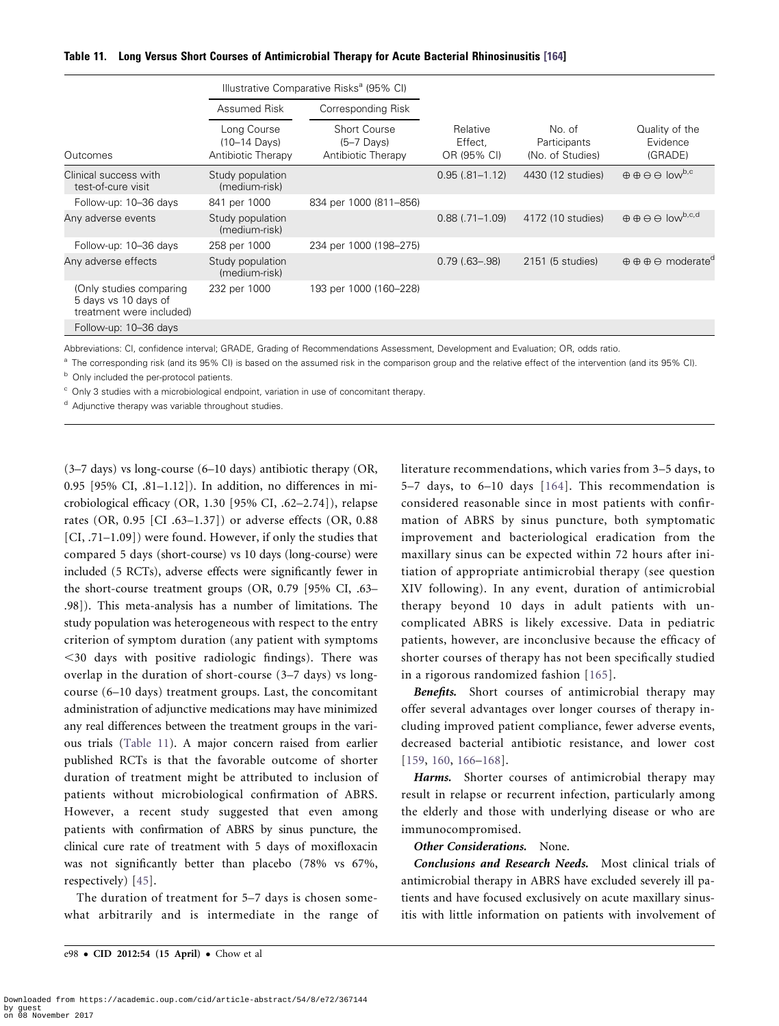#### Table 11. Long Versus Short Courses of Antimicrobial Therapy for Acute Bacterial Rhinosinusitis [\[164](#page-39-0)]

|                                                                             | Illustrative Comparative Risks <sup>a</sup> (95% CI)         |                                                    |                                    |                                            |                                                            |
|-----------------------------------------------------------------------------|--------------------------------------------------------------|----------------------------------------------------|------------------------------------|--------------------------------------------|------------------------------------------------------------|
|                                                                             | Assumed Risk                                                 | Corresponding Risk                                 |                                    |                                            |                                                            |
| Outcomes                                                                    | Long Course<br>$(10-14 \text{ Davis})$<br>Antibiotic Therapy | Short Course<br>$(5-7$ Days)<br>Antibiotic Therapy | Relative<br>Effect.<br>OR (95% CI) | No. of<br>Participants<br>(No. of Studies) | Quality of the<br>Evidence<br>(GRADE)                      |
| Clinical success with<br>test-of-cure visit                                 | Study population<br>(medium-risk)                            |                                                    | $0.95(.81 - 1.12)$                 | 4430 (12 studies)                          | $\oplus \oplus \ominus \ominus$ low <sup>b,c</sup>         |
| Follow-up: 10-36 days                                                       | 841 per 1000                                                 | 834 per 1000 (811-856)                             |                                    |                                            |                                                            |
| Any adverse events                                                          | Study population<br>(medium-risk)                            |                                                    | $0.88$ $(.71 - 1.09)$              | 4172 (10 studies)                          | $\oplus$ $\oplus$ $\ominus$ $\ominus$ low <sup>b,c,d</sup> |
| Follow-up: 10-36 days                                                       | 258 per 1000                                                 | 234 per 1000 (198-275)                             |                                    |                                            |                                                            |
| Any adverse effects                                                         | Study population<br>(medium-risk)                            |                                                    | $0.79(.63-.98)$                    | 2151 (5 studies)                           | $\oplus$ $\oplus$ $\oplus$ $\oplus$ moderate <sup>d</sup>  |
| (Only studies comparing<br>5 days vs 10 days of<br>treatment were included) | 232 per 1000                                                 | 193 per 1000 (160-228)                             |                                    |                                            |                                                            |
| Follow-up: 10-36 days                                                       |                                                              |                                                    |                                    |                                            |                                                            |

Abbreviations: CI, confidence interval; GRADE, Grading of Recommendations Assessment, Development and Evaluation; OR, odds ratio.

<sup>a</sup> The corresponding risk (and its 95% CI) is based on the assumed risk in the comparison group and the relative effect of the intervention (and its 95% CI). **b** Only included the per-protocol patients.

<sup>c</sup> Only 3 studies with a microbiological endpoint, variation in use of concomitant therapy.

<sup>d</sup> Adjunctive therapy was variable throughout studies.

(3–7 days) vs long-course (6–10 days) antibiotic therapy (OR, 0.95 [95% CI, .81–1.12]). In addition, no differences in microbiological efficacy (OR, 1.30 [95% CI, .62–2.74]), relapse rates (OR, 0.95 [CI .63–1.37]) or adverse effects (OR, 0.88 [CI, .71–1.09]) were found. However, if only the studies that compared 5 days (short-course) vs 10 days (long-course) were included (5 RCTs), adverse effects were significantly fewer in the short-course treatment groups (OR, 0.79 [95% CI, .63– .98]). This meta-analysis has a number of limitations. The study population was heterogeneous with respect to the entry criterion of symptom duration (any patient with symptoms ,30 days with positive radiologic findings). There was overlap in the duration of short-course (3–7 days) vs longcourse (6–10 days) treatment groups. Last, the concomitant administration of adjunctive medications may have minimized any real differences between the treatment groups in the various trials (Table 11). A major concern raised from earlier published RCTs is that the favorable outcome of shorter duration of treatment might be attributed to inclusion of patients without microbiological confirmation of ABRS. However, a recent study suggested that even among patients with confirmation of ABRS by sinus puncture, the clinical cure rate of treatment with 5 days of moxifloxacin was not significantly better than placebo (78% vs 67%, respectively) [\[45](#page-36-0)].

The duration of treatment for 5–7 days is chosen somewhat arbitrarily and is intermediate in the range of literature recommendations, which varies from 3–5 days, to 5–7 days, to 6–10 days [[164](#page-39-0)]. This recommendation is considered reasonable since in most patients with confirmation of ABRS by sinus puncture, both symptomatic improvement and bacteriological eradication from the maxillary sinus can be expected within 72 hours after initiation of appropriate antimicrobial therapy (see question XIV following). In any event, duration of antimicrobial therapy beyond 10 days in adult patients with uncomplicated ABRS is likely excessive. Data in pediatric patients, however, are inconclusive because the efficacy of shorter courses of therapy has not been specifically studied in a rigorous randomized fashion [\[165\]](#page-39-0).

Benefits. Short courses of antimicrobial therapy may offer several advantages over longer courses of therapy including improved patient compliance, fewer adverse events, decreased bacterial antibiotic resistance, and lower cost [[159,](#page-39-0) [160](#page-39-0), [166–168\]](#page-39-0).

Harms. Shorter courses of antimicrobial therapy may result in relapse or recurrent infection, particularly among the elderly and those with underlying disease or who are immunocompromised.

Other Considerations. None.

Conclusions and Research Needs. Most clinical trials of antimicrobial therapy in ABRS have excluded severely ill patients and have focused exclusively on acute maxillary sinusitis with little information on patients with involvement of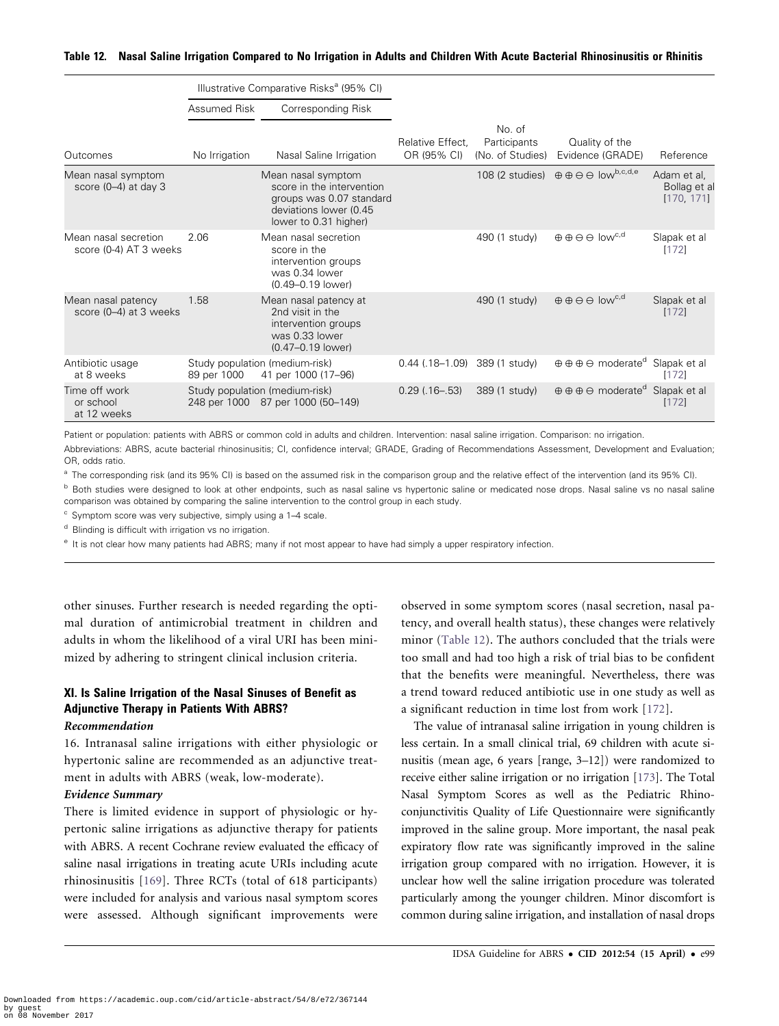|                                                | Illustrative Comparative Risks <sup>a</sup> (95% CI) |                                                                                                                                |                                 |                                            |                                                                        |                                           |
|------------------------------------------------|------------------------------------------------------|--------------------------------------------------------------------------------------------------------------------------------|---------------------------------|--------------------------------------------|------------------------------------------------------------------------|-------------------------------------------|
|                                                | Assumed Risk                                         | Corresponding Risk                                                                                                             |                                 |                                            |                                                                        |                                           |
| Outcomes                                       | No Irrigation                                        | Nasal Saline Irrigation                                                                                                        | Relative Effect.<br>OR (95% CI) | No. of<br>Participants<br>(No. of Studies) | Quality of the<br>Evidence (GRADE)                                     | Reference                                 |
| Mean nasal symptom<br>score $(0-4)$ at day 3   |                                                      | Mean nasal symptom<br>score in the intervention<br>groups was 0.07 standard<br>deviations lower (0.45<br>lower to 0.31 higher) |                                 | 108 (2 studies)                            | $\oplus$ $\oplus$ $\ominus$ lowb,c,d,e                                 | Adam et al,<br>Bollag et al<br>[170, 171] |
| Mean nasal secretion<br>score (0-4) AT 3 weeks | 2.06                                                 | Mean nasal secretion<br>score in the<br>intervention groups<br>was 0.34 lower<br>(0.49-0.19 lower)                             |                                 | 490 (1 study)                              | $\oplus$ $\oplus$ $\ominus$ $\oplus$ low <sup>c,d</sup>                | Slapak et al<br>[172]                     |
| Mean nasal patency<br>score (0-4) at 3 weeks   | 1.58                                                 | Mean nasal patency at<br>2nd visit in the<br>intervention groups<br>was 0.33 lower<br>$(0.47 - 0.19$ lower)                    |                                 | 490 (1 study)                              | $\oplus \oplus \ominus \ominus$ low <sup>c,d</sup>                     | Slapak et al<br>[172]                     |
| Antibiotic usage<br>at 8 weeks                 | 89 per 1000                                          | Study population (medium-risk)<br>41 per 1000 (17-96)                                                                          | $0.44$ (.18-1.09)               | 389 (1 study)                              | $\oplus \oplus \oplus \oplus$ moderate <sup>d</sup> Slapak et al       | [172]                                     |
| Time off work<br>or school<br>at 12 weeks      |                                                      | Study population (medium-risk)<br>248 per 1000 87 per 1000 (50-149)                                                            | $0.29$ $(.16 - .53)$            | 389 (1 study)                              | $\oplus$ $\oplus$ $\oplus$ $\oplus$ moderate <sup>d</sup> Slapak et al | [172]                                     |

Patient or population: patients with ABRS or common cold in adults and children. Intervention: nasal saline irrigation. Comparison: no irrigation.

Abbreviations: ABRS, acute bacterial rhinosinusitis; CI, confidence interval; GRADE, Grading of Recommendations Assessment, Development and Evaluation; OR, odds ratio.

a The corresponding risk (and its 95% CI) is based on the assumed risk in the comparison group and the relative effect of the intervention (and its 95% CI). <sup>b</sup> Both studies were designed to look at other endpoints, such as nasal saline vs hypertonic saline or medicated nose drops. Nasal saline vs no nasal saline

comparison was obtained by comparing the saline intervention to the control group in each study.

<sup>c</sup> Symptom score was very subjective, simply using a 1–4 scale.

<sup>d</sup> Blinding is difficult with irrigation vs no irrigation.

<sup>e</sup> It is not clear how many patients had ABRS; many if not most appear to have had simply a upper respiratory infection.

other sinuses. Further research is needed regarding the optimal duration of antimicrobial treatment in children and adults in whom the likelihood of a viral URI has been minimized by adhering to stringent clinical inclusion criteria.

# XI. Is Saline Irrigation of the Nasal Sinuses of Benefit as Adjunctive Therapy in Patients With ABRS?

### Recommendation

16. Intranasal saline irrigations with either physiologic or hypertonic saline are recommended as an adjunctive treatment in adults with ABRS (weak, low-moderate).

#### Evidence Summary

There is limited evidence in support of physiologic or hypertonic saline irrigations as adjunctive therapy for patients with ABRS. A recent Cochrane review evaluated the efficacy of saline nasal irrigations in treating acute URIs including acute rhinosinusitis [\[169](#page-39-0)]. Three RCTs (total of 618 participants) were included for analysis and various nasal symptom scores were assessed. Although significant improvements were

observed in some symptom scores (nasal secretion, nasal patency, and overall health status), these changes were relatively minor (Table 12). The authors concluded that the trials were too small and had too high a risk of trial bias to be confident that the benefits were meaningful. Nevertheless, there was a trend toward reduced antibiotic use in one study as well as a significant reduction in time lost from work [\[172](#page-39-0)].

The value of intranasal saline irrigation in young children is less certain. In a small clinical trial, 69 children with acute sinusitis (mean age, 6 years [range, 3–12]) were randomized to receive either saline irrigation or no irrigation [\[173](#page-39-0)]. The Total Nasal Symptom Scores as well as the Pediatric Rhinoconjunctivitis Quality of Life Questionnaire were significantly improved in the saline group. More important, the nasal peak expiratory flow rate was significantly improved in the saline irrigation group compared with no irrigation. However, it is unclear how well the saline irrigation procedure was tolerated particularly among the younger children. Minor discomfort is common during saline irrigation, and installation of nasal drops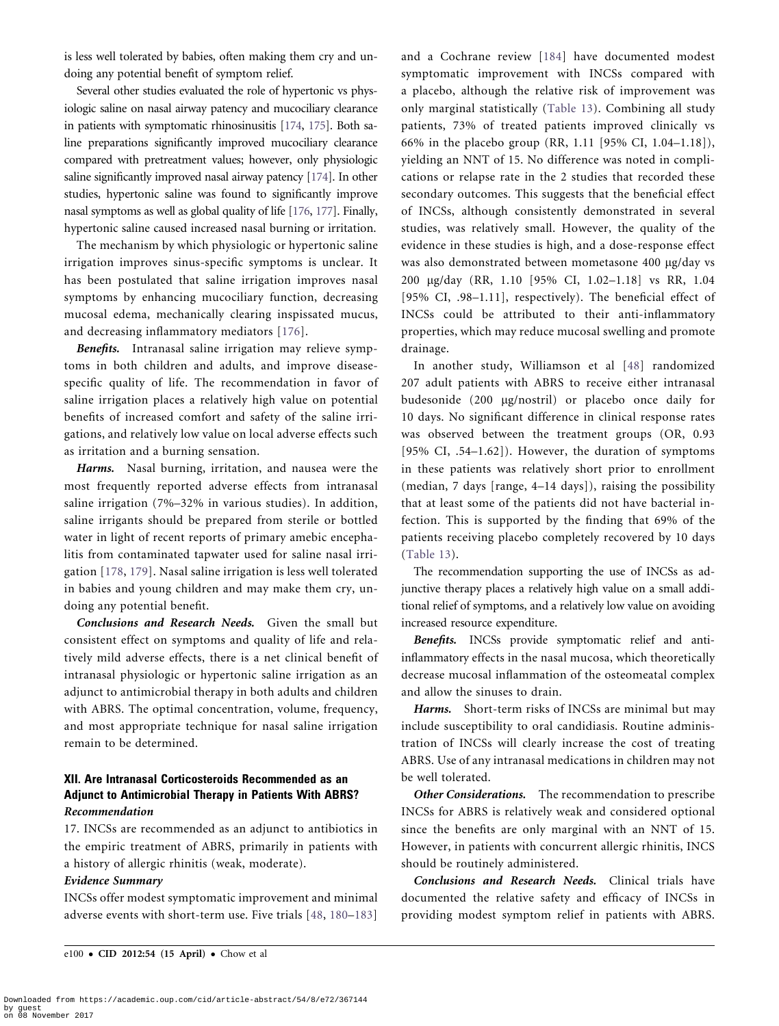is less well tolerated by babies, often making them cry and undoing any potential benefit of symptom relief.

Several other studies evaluated the role of hypertonic vs physiologic saline on nasal airway patency and mucociliary clearance in patients with symptomatic rhinosinusitis [\[174,](#page-39-0) [175](#page-39-0)]. Both saline preparations significantly improved mucociliary clearance compared with pretreatment values; however, only physiologic saline significantly improved nasal airway patency [\[174](#page-39-0)]. In other studies, hypertonic saline was found to significantly improve nasal symptoms as well as global quality of life [\[176](#page-39-0), [177\]](#page-39-0). Finally, hypertonic saline caused increased nasal burning or irritation.

The mechanism by which physiologic or hypertonic saline irrigation improves sinus-specific symptoms is unclear. It has been postulated that saline irrigation improves nasal symptoms by enhancing mucociliary function, decreasing mucosal edema, mechanically clearing inspissated mucus, and decreasing inflammatory mediators [[176\]](#page-39-0).

Benefits. Intranasal saline irrigation may relieve symptoms in both children and adults, and improve diseasespecific quality of life. The recommendation in favor of saline irrigation places a relatively high value on potential benefits of increased comfort and safety of the saline irrigations, and relatively low value on local adverse effects such as irritation and a burning sensation.

Harms. Nasal burning, irritation, and nausea were the most frequently reported adverse effects from intranasal saline irrigation (7%–32% in various studies). In addition, saline irrigants should be prepared from sterile or bottled water in light of recent reports of primary amebic encephalitis from contaminated tapwater used for saline nasal irrigation [[178](#page-39-0), [179\]](#page-39-0). Nasal saline irrigation is less well tolerated in babies and young children and may make them cry, undoing any potential benefit.

Conclusions and Research Needs. Given the small but consistent effect on symptoms and quality of life and relatively mild adverse effects, there is a net clinical benefit of intranasal physiologic or hypertonic saline irrigation as an adjunct to antimicrobial therapy in both adults and children with ABRS. The optimal concentration, volume, frequency, and most appropriate technique for nasal saline irrigation remain to be determined.

## XII. Are Intranasal Corticosteroids Recommended as an Adjunct to Antimicrobial Therapy in Patients With ABRS? Recommendation

17. INCSs are recommended as an adjunct to antibiotics in the empiric treatment of ABRS, primarily in patients with a history of allergic rhinitis (weak, moderate).

### Evidence Summary

INCSs offer modest symptomatic improvement and minimal adverse events with short-term use. Five trials [[48](#page-36-0), [180–183](#page-39-0)]

and a Cochrane review [\[184](#page-39-0)] have documented modest symptomatic improvement with INCSs compared with a placebo, although the relative risk of improvement was only marginal statistically [\(Table 13](#page-29-0)). Combining all study patients, 73% of treated patients improved clinically vs 66% in the placebo group (RR, 1.11 [95% CI, 1.04–1.18]), yielding an NNT of 15. No difference was noted in complications or relapse rate in the 2 studies that recorded these secondary outcomes. This suggests that the beneficial effect of INCSs, although consistently demonstrated in several studies, was relatively small. However, the quality of the evidence in these studies is high, and a dose-response effect was also demonstrated between mometasone 400 µg/day vs 200 lg/day (RR, 1.10 [95% CI, 1.02–1.18] vs RR, 1.04 [95% CI, .98–1.11], respectively). The beneficial effect of INCSs could be attributed to their anti-inflammatory properties, which may reduce mucosal swelling and promote drainage.

In another study, Williamson et al [\[48\]](#page-36-0) randomized 207 adult patients with ABRS to receive either intranasal budesonide (200 µg/nostril) or placebo once daily for 10 days. No significant difference in clinical response rates was observed between the treatment groups (OR, 0.93 [95% CI, .54–1.62]). However, the duration of symptoms in these patients was relatively short prior to enrollment (median, 7 days [range, 4–14 days]), raising the possibility that at least some of the patients did not have bacterial infection. This is supported by the finding that 69% of the patients receiving placebo completely recovered by 10 days ([Table 13\)](#page-29-0).

The recommendation supporting the use of INCSs as adjunctive therapy places a relatively high value on a small additional relief of symptoms, and a relatively low value on avoiding increased resource expenditure.

Benefits. INCSs provide symptomatic relief and antiinflammatory effects in the nasal mucosa, which theoretically decrease mucosal inflammation of the osteomeatal complex and allow the sinuses to drain.

Harms. Short-term risks of INCSs are minimal but may include susceptibility to oral candidiasis. Routine administration of INCSs will clearly increase the cost of treating ABRS. Use of any intranasal medications in children may not be well tolerated.

Other Considerations. The recommendation to prescribe INCSs for ABRS is relatively weak and considered optional since the benefits are only marginal with an NNT of 15. However, in patients with concurrent allergic rhinitis, INCS should be routinely administered.

Conclusions and Research Needs. Clinical trials have documented the relative safety and efficacy of INCSs in providing modest symptom relief in patients with ABRS.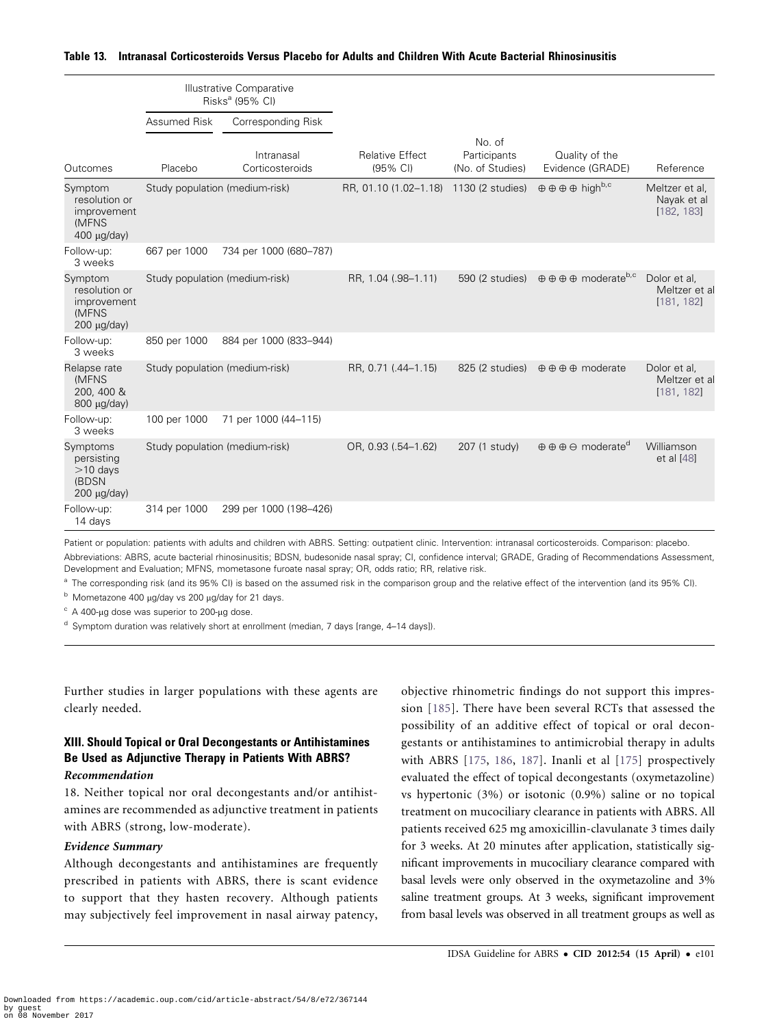#### <span id="page-29-0"></span>Table 13. Intranasal Corticosteroids Versus Placebo for Adults and Children With Acute Bacterial Rhinosinusitis

|                                                                     | Illustrative Comparative<br>Risks <sup>a</sup> (95% CI) |                               |                                        |                                            |                                                    |                                             |
|---------------------------------------------------------------------|---------------------------------------------------------|-------------------------------|----------------------------------------|--------------------------------------------|----------------------------------------------------|---------------------------------------------|
|                                                                     | Assumed Risk                                            | Corresponding Risk            |                                        |                                            |                                                    |                                             |
| Outcomes                                                            | Placebo                                                 | Intranasal<br>Corticosteroids | <b>Relative Effect</b><br>(95% CI)     | No. of<br>Participants<br>(No. of Studies) | Quality of the<br>Evidence (GRADE)                 | Reference                                   |
| Symptom<br>resolution or<br>improvement<br>(MFNS<br>$400 \mu g/day$ | Study population (medium-risk)                          |                               | RR, 01.10 (1.02-1.18) 1130 (2 studies) |                                            | $\oplus$ $\oplus$ $\oplus$ high <sup>b,c</sup>     | Meltzer et al,<br>Nayak et al<br>[182, 183] |
| Follow-up:<br>3 weeks                                               | 667 per 1000                                            | 734 per 1000 (680-787)        |                                        |                                            |                                                    |                                             |
| Symptom<br>resolution or<br>improvement<br>(MFNS<br>$200 \mu g/day$ | Study population (medium-risk)                          |                               | RR, 1.04 (.98-1.11)                    | 590 (2 studies)                            | $\oplus$ $\oplus$ $\oplus$ moderate <sup>b,c</sup> | Dolor et al,<br>Meltzer et al<br>[181, 182] |
| Follow-up:<br>3 weeks                                               | 850 per 1000                                            | 884 per 1000 (833-944)        |                                        |                                            |                                                    |                                             |
| Relapse rate<br><b>IMFNS</b><br>200, 400 &<br>800 μg/day)           | Study population (medium-risk)                          |                               | RR, 0.71 (.44–1.15)                    | 825 (2 studies)                            | $\oplus$ $\oplus$ $\oplus$ moderate                | Dolor et al,<br>Meltzer et al<br>[181, 182] |
| Follow-up:<br>3 weeks                                               | 100 per 1000                                            | 71 per 1000 (44-115)          |                                        |                                            |                                                    |                                             |
| Symptoms<br>persisting<br>$>10$ days<br>(BDSN<br>200 μg/day)        | Study population (medium-risk)                          |                               | OR, 0.93 (.54-1.62)                    | 207 (1 study)                              | $\oplus$ $\oplus$ $\oplus$ moderate <sup>d</sup>   | Williamson<br>et al [48]                    |
| Follow-up:<br>14 days                                               | 314 per 1000                                            | 299 per 1000 (198-426)        |                                        |                                            |                                                    |                                             |

Patient or population: patients with adults and children with ABRS. Setting: outpatient clinic. Intervention: intranasal corticosteroids. Comparison: placebo. Abbreviations: ABRS, acute bacterial rhinosinusitis; BDSN, budesonide nasal spray; CI, confidence interval; GRADE, Grading of Recommendations Assessment, Development and Evaluation; MFNS, mometasone furoate nasal spray; OR, odds ratio; RR, relative risk.

a The corresponding risk (and its 95% CI) is based on the assumed risk in the comparison group and the relative effect of the intervention (and its 95% CI).

 $<sup>b</sup>$  Mometazone 400 µg/day vs 200 µg/day for 21 days.</sup>

 $\degree$  A 400-µg dose was superior to 200-µg dose.

<sup>d</sup> Symptom duration was relatively short at enrollment (median, 7 days [range, 4-14 days]).

Further studies in larger populations with these agents are clearly needed.

## XIII. Should Topical or Oral Decongestants or Antihistamines Be Used as Adjunctive Therapy in Patients With ABRS? Recommendation

18. Neither topical nor oral decongestants and/or antihistamines are recommended as adjunctive treatment in patients with ABRS (strong, low-moderate).

# Evidence Summary

Although decongestants and antihistamines are frequently prescribed in patients with ABRS, there is scant evidence to support that they hasten recovery. Although patients may subjectively feel improvement in nasal airway patency,

objective rhinometric findings do not support this impression [[185\]](#page-39-0). There have been several RCTs that assessed the possibility of an additive effect of topical or oral decongestants or antihistamines to antimicrobial therapy in adults with ABRS [[175,](#page-39-0) [186,](#page-39-0) [187\]](#page-39-0). Inanli et al [[175](#page-39-0)] prospectively evaluated the effect of topical decongestants (oxymetazoline) vs hypertonic (3%) or isotonic (0.9%) saline or no topical treatment on mucociliary clearance in patients with ABRS. All patients received 625 mg amoxicillin-clavulanate 3 times daily for 3 weeks. At 20 minutes after application, statistically significant improvements in mucociliary clearance compared with basal levels were only observed in the oxymetazoline and 3% saline treatment groups. At 3 weeks, significant improvement from basal levels was observed in all treatment groups as well as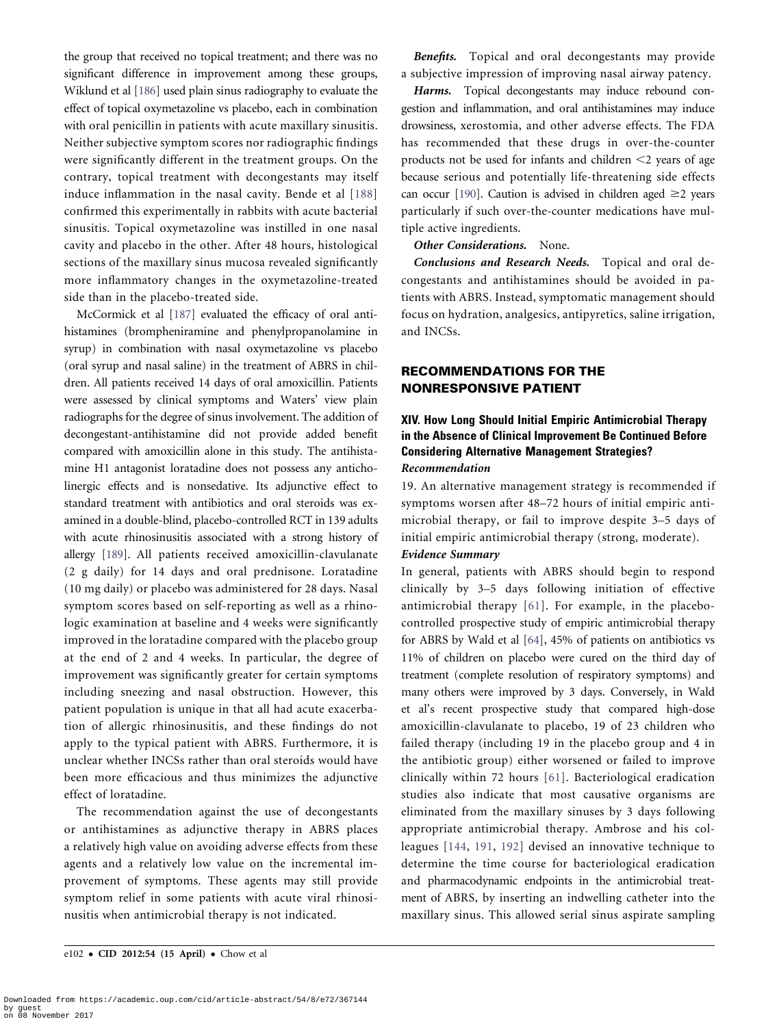the group that received no topical treatment; and there was no significant difference in improvement among these groups, Wiklund et al [\[186\]](#page-39-0) used plain sinus radiography to evaluate the effect of topical oxymetazoline vs placebo, each in combination with oral penicillin in patients with acute maxillary sinusitis. Neither subjective symptom scores nor radiographic findings were significantly different in the treatment groups. On the contrary, topical treatment with decongestants may itself induce inflammation in the nasal cavity. Bende et al [\[188](#page-39-0)] confirmed this experimentally in rabbits with acute bacterial sinusitis. Topical oxymetazoline was instilled in one nasal cavity and placebo in the other. After 48 hours, histological sections of the maxillary sinus mucosa revealed significantly more inflammatory changes in the oxymetazoline-treated side than in the placebo-treated side.

McCormick et al [\[187\]](#page-39-0) evaluated the efficacy of oral antihistamines (brompheniramine and phenylpropanolamine in syrup) in combination with nasal oxymetazoline vs placebo (oral syrup and nasal saline) in the treatment of ABRS in children. All patients received 14 days of oral amoxicillin. Patients were assessed by clinical symptoms and Waters' view plain radiographs for the degree of sinus involvement. The addition of decongestant-antihistamine did not provide added benefit compared with amoxicillin alone in this study. The antihistamine H1 antagonist loratadine does not possess any anticholinergic effects and is nonsedative. Its adjunctive effect to standard treatment with antibiotics and oral steroids was examined in a double-blind, placebo-controlled RCT in 139 adults with acute rhinosinusitis associated with a strong history of allergy [\[189\]](#page-39-0). All patients received amoxicillin-clavulanate (2 g daily) for 14 days and oral prednisone. Loratadine (10 mg daily) or placebo was administered for 28 days. Nasal symptom scores based on self-reporting as well as a rhinologic examination at baseline and 4 weeks were significantly improved in the loratadine compared with the placebo group at the end of 2 and 4 weeks. In particular, the degree of improvement was significantly greater for certain symptoms including sneezing and nasal obstruction. However, this patient population is unique in that all had acute exacerbation of allergic rhinosinusitis, and these findings do not apply to the typical patient with ABRS. Furthermore, it is unclear whether INCSs rather than oral steroids would have been more efficacious and thus minimizes the adjunctive effect of loratadine.

The recommendation against the use of decongestants or antihistamines as adjunctive therapy in ABRS places a relatively high value on avoiding adverse effects from these agents and a relatively low value on the incremental improvement of symptoms. These agents may still provide symptom relief in some patients with acute viral rhinosinusitis when antimicrobial therapy is not indicated.

e102 · CID 2012:54 (15 April) · Chow et al

Benefits. Topical and oral decongestants may provide a subjective impression of improving nasal airway patency.

Harms. Topical decongestants may induce rebound congestion and inflammation, and oral antihistamines may induce drowsiness, xerostomia, and other adverse effects. The FDA has recommended that these drugs in over-the-counter products not be used for infants and children  $\leq$  years of age because serious and potentially life-threatening side effects can occur [\[190\]](#page-39-0). Caution is advised in children aged  $\geq$ 2 years particularly if such over-the-counter medications have multiple active ingredients.

#### **Other Considerations.** None.

Conclusions and Research Needs. Topical and oral decongestants and antihistamines should be avoided in patients with ABRS. Instead, symptomatic management should focus on hydration, analgesics, antipyretics, saline irrigation, and INCSs.

# RECOMMENDATIONS FOR THE NONRESPONSIVE PATIENT

# XIV. How Long Should Initial Empiric Antimicrobial Therapy in the Absence of Clinical Improvement Be Continued Before Considering Alternative Management Strategies?

#### Recommendation

19. An alternative management strategy is recommended if symptoms worsen after 48–72 hours of initial empiric antimicrobial therapy, or fail to improve despite 3–5 days of initial empiric antimicrobial therapy (strong, moderate).

### Evidence Summary

In general, patients with ABRS should begin to respond clinically by 3–5 days following initiation of effective antimicrobial therapy [[61](#page-36-0)]. For example, in the placebocontrolled prospective study of empiric antimicrobial therapy for ABRS by Wald et al [\[64](#page-36-0)], 45% of patients on antibiotics vs 11% of children on placebo were cured on the third day of treatment (complete resolution of respiratory symptoms) and many others were improved by 3 days. Conversely, in Wald et al's recent prospective study that compared high-dose amoxicillin-clavulanate to placebo, 19 of 23 children who failed therapy (including 19 in the placebo group and 4 in the antibiotic group) either worsened or failed to improve clinically within 72 hours [\[61\]](#page-36-0). Bacteriological eradication studies also indicate that most causative organisms are eliminated from the maxillary sinuses by 3 days following appropriate antimicrobial therapy. Ambrose and his colleagues [[144,](#page-38-0) [191,](#page-39-0) [192\]](#page-39-0) devised an innovative technique to determine the time course for bacteriological eradication and pharmacodynamic endpoints in the antimicrobial treatment of ABRS, by inserting an indwelling catheter into the maxillary sinus. This allowed serial sinus aspirate sampling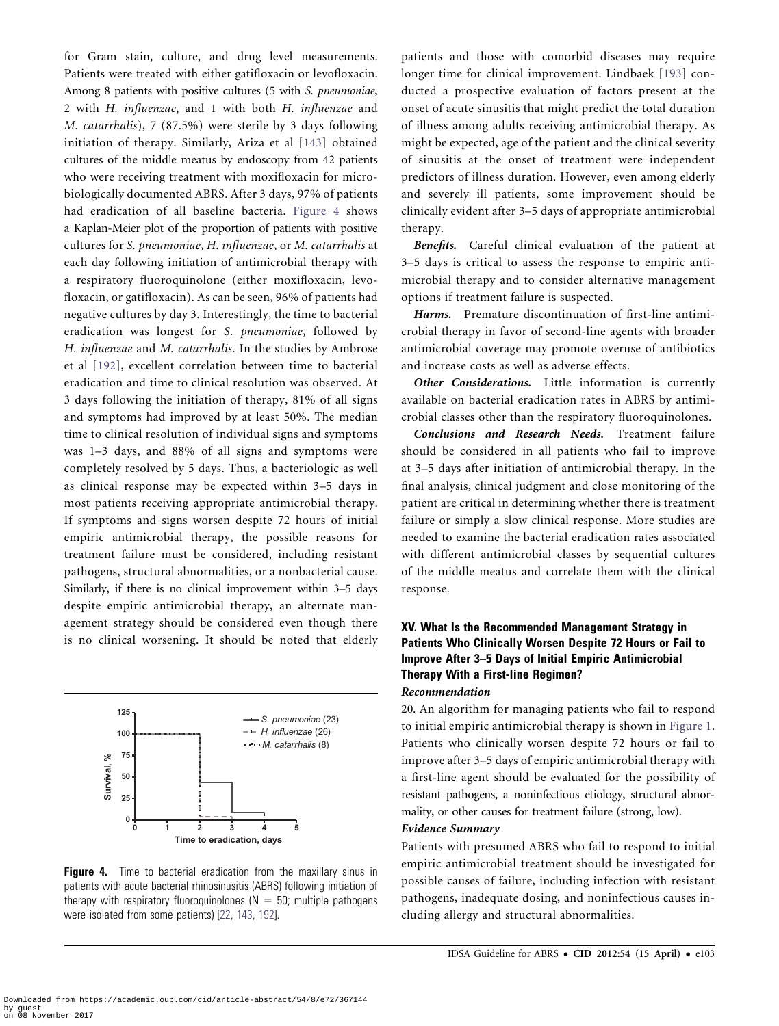for Gram stain, culture, and drug level measurements. Patients were treated with either gatifloxacin or levofloxacin. Among 8 patients with positive cultures (5 with S. pneumoniae, 2 with H. influenzae, and 1 with both H. influenzae and M. catarrhalis), 7 (87.5%) were sterile by 3 days following initiation of therapy. Similarly, Ariza et al [\[143\]](#page-38-0) obtained cultures of the middle meatus by endoscopy from 42 patients who were receiving treatment with moxifloxacin for microbiologically documented ABRS. After 3 days, 97% of patients had eradication of all baseline bacteria. Figure 4 shows a Kaplan-Meier plot of the proportion of patients with positive cultures for S. pneumoniae, H. influenzae, or M. catarrhalis at each day following initiation of antimicrobial therapy with a respiratory fluoroquinolone (either moxifloxacin, levofloxacin, or gatifloxacin). As can be seen, 96% of patients had negative cultures by day 3. Interestingly, the time to bacterial eradication was longest for S. pneumoniae, followed by H. influenzae and M. catarrhalis. In the studies by Ambrose et al [\[192](#page-39-0)], excellent correlation between time to bacterial eradication and time to clinical resolution was observed. At 3 days following the initiation of therapy, 81% of all signs and symptoms had improved by at least 50%. The median time to clinical resolution of individual signs and symptoms was 1–3 days, and 88% of all signs and symptoms were completely resolved by 5 days. Thus, a bacteriologic as well as clinical response may be expected within 3–5 days in most patients receiving appropriate antimicrobial therapy. If symptoms and signs worsen despite 72 hours of initial empiric antimicrobial therapy, the possible reasons for treatment failure must be considered, including resistant pathogens, structural abnormalities, or a nonbacterial cause. Similarly, if there is no clinical improvement within 3–5 days despite empiric antimicrobial therapy, an alternate management strategy should be considered even though there is no clinical worsening. It should be noted that elderly



**Figure 4.** Time to bacterial eradication from the maxillary sinus in patients with acute bacterial rhinosinusitis (ABRS) following initiation of therapy with respiratory fluoroquinolones ( $N = 50$ ; multiple pathogens were isolated from some patients) [[22,](#page-35-0) [143,](#page-38-0) [192](#page-39-0)].

patients and those with comorbid diseases may require longer time for clinical improvement. Lindbaek [[193](#page-40-0)] conducted a prospective evaluation of factors present at the onset of acute sinusitis that might predict the total duration of illness among adults receiving antimicrobial therapy. As might be expected, age of the patient and the clinical severity of sinusitis at the onset of treatment were independent predictors of illness duration. However, even among elderly and severely ill patients, some improvement should be clinically evident after 3–5 days of appropriate antimicrobial therapy.

Benefits. Careful clinical evaluation of the patient at 3–5 days is critical to assess the response to empiric antimicrobial therapy and to consider alternative management options if treatment failure is suspected.

Harms. Premature discontinuation of first-line antimicrobial therapy in favor of second-line agents with broader antimicrobial coverage may promote overuse of antibiotics and increase costs as well as adverse effects.

Other Considerations. Little information is currently available on bacterial eradication rates in ABRS by antimicrobial classes other than the respiratory fluoroquinolones.

Conclusions and Research Needs. Treatment failure should be considered in all patients who fail to improve at 3–5 days after initiation of antimicrobial therapy. In the final analysis, clinical judgment and close monitoring of the patient are critical in determining whether there is treatment failure or simply a slow clinical response. More studies are needed to examine the bacterial eradication rates associated with different antimicrobial classes by sequential cultures of the middle meatus and correlate them with the clinical response.

# XV. What Is the Recommended Management Strategy in Patients Who Clinically Worsen Despite 72 Hours or Fail to Improve After 3–5 Days of Initial Empiric Antimicrobial Therapy With a First-line Regimen?

# Recommendation

20. An algorithm for managing patients who fail to respond to initial empiric antimicrobial therapy is shown in [Figure 1.](#page-1-0) Patients who clinically worsen despite 72 hours or fail to improve after 3–5 days of empiric antimicrobial therapy with a first-line agent should be evaluated for the possibility of resistant pathogens, a noninfectious etiology, structural abnormality, or other causes for treatment failure (strong, low).

### Evidence Summary

Patients with presumed ABRS who fail to respond to initial empiric antimicrobial treatment should be investigated for possible causes of failure, including infection with resistant pathogens, inadequate dosing, and noninfectious causes including allergy and structural abnormalities.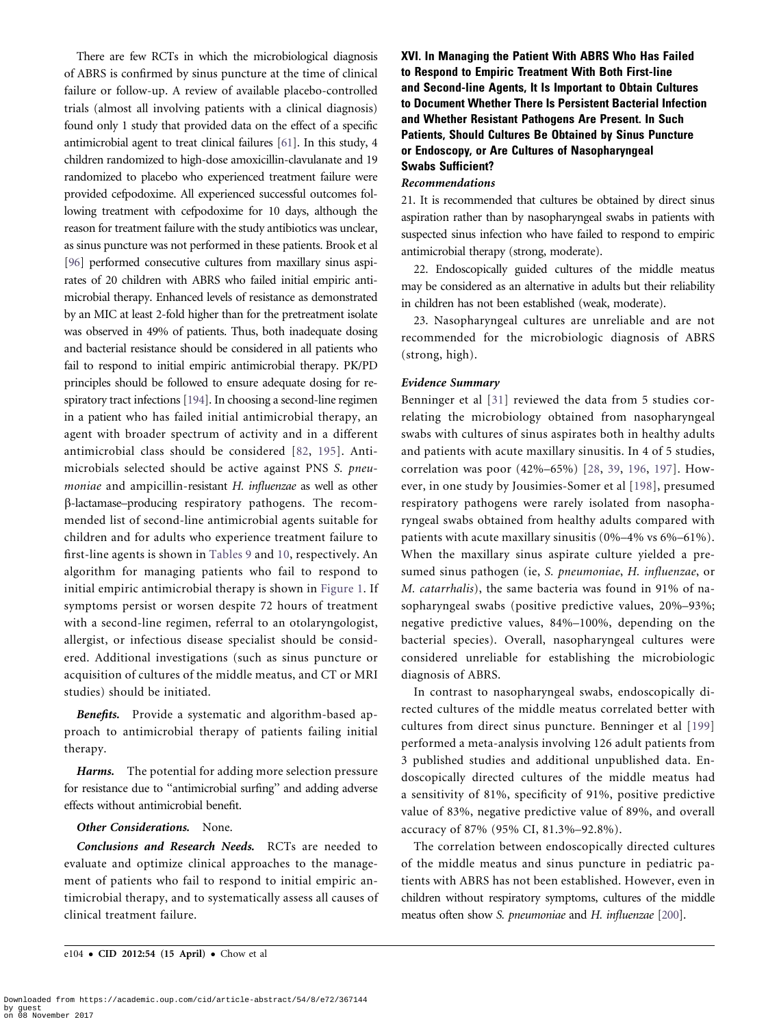There are few RCTs in which the microbiological diagnosis of ABRS is confirmed by sinus puncture at the time of clinical failure or follow-up. A review of available placebo-controlled trials (almost all involving patients with a clinical diagnosis) found only 1 study that provided data on the effect of a specific antimicrobial agent to treat clinical failures [\[61](#page-36-0)]. In this study, 4 children randomized to high-dose amoxicillin-clavulanate and 19 randomized to placebo who experienced treatment failure were provided cefpodoxime. All experienced successful outcomes following treatment with cefpodoxime for 10 days, although the reason for treatment failure with the study antibiotics was unclear, as sinus puncture was not performed in these patients. Brook et al [\[96](#page-37-0)] performed consecutive cultures from maxillary sinus aspirates of 20 children with ABRS who failed initial empiric antimicrobial therapy. Enhanced levels of resistance as demonstrated by an MIC at least 2-fold higher than for the pretreatment isolate was observed in 49% of patients. Thus, both inadequate dosing and bacterial resistance should be considered in all patients who fail to respond to initial empiric antimicrobial therapy. PK/PD principles should be followed to ensure adequate dosing for respiratory tract infections [\[194\]](#page-40-0). In choosing a second-line regimen in a patient who has failed initial antimicrobial therapy, an agent with broader spectrum of activity and in a different antimicrobial class should be considered [[82](#page-37-0), [195](#page-40-0)]. Antimicrobials selected should be active against PNS S. pneumoniae and ampicillin-resistant H. influenzae as well as other b-lactamase–producing respiratory pathogens. The recommended list of second-line antimicrobial agents suitable for children and for adults who experience treatment failure to first-line agents is shown in [Tables 9](#page-23-0) and [10,](#page-22-0) respectively. An algorithm for managing patients who fail to respond to initial empiric antimicrobial therapy is shown in [Figure 1](#page-1-0). If symptoms persist or worsen despite 72 hours of treatment with a second-line regimen, referral to an otolaryngologist, allergist, or infectious disease specialist should be considered. Additional investigations (such as sinus puncture or acquisition of cultures of the middle meatus, and CT or MRI studies) should be initiated.

Benefits. Provide a systematic and algorithm-based approach to antimicrobial therapy of patients failing initial therapy.

Harms. The potential for adding more selection pressure for resistance due to ''antimicrobial surfing'' and adding adverse effects without antimicrobial benefit.

**Other Considerations.** None.

Conclusions and Research Needs. RCTs are needed to evaluate and optimize clinical approaches to the management of patients who fail to respond to initial empiric antimicrobial therapy, and to systematically assess all causes of clinical treatment failure.

## XVI. In Managing the Patient With ABRS Who Has Failed to Respond to Empiric Treatment With Both First-line and Second-line Agents, It Is Important to Obtain Cultures to Document Whether There Is Persistent Bacterial Infection and Whether Resistant Pathogens Are Present. In Such Patients, Should Cultures Be Obtained by Sinus Puncture or Endoscopy, or Are Cultures of Nasopharyngeal Swabs Sufficient?

### Recommendations

21. It is recommended that cultures be obtained by direct sinus aspiration rather than by nasopharyngeal swabs in patients with suspected sinus infection who have failed to respond to empiric antimicrobial therapy (strong, moderate).

22. Endoscopically guided cultures of the middle meatus may be considered as an alternative in adults but their reliability in children has not been established (weak, moderate).

23. Nasopharyngeal cultures are unreliable and are not recommended for the microbiologic diagnosis of ABRS (strong, high).

#### Evidence Summary

Benninger et al [[31](#page-35-0)] reviewed the data from 5 studies correlating the microbiology obtained from nasopharyngeal swabs with cultures of sinus aspirates both in healthy adults and patients with acute maxillary sinusitis. In 4 of 5 studies, correlation was poor (42%–65%) [\[28,](#page-35-0) [39,](#page-36-0) [196,](#page-40-0) [197\]](#page-40-0). However, in one study by Jousimies-Somer et al [\[198\]](#page-40-0), presumed respiratory pathogens were rarely isolated from nasopharyngeal swabs obtained from healthy adults compared with patients with acute maxillary sinusitis (0%–4% vs 6%–61%). When the maxillary sinus aspirate culture yielded a presumed sinus pathogen (ie, S. pneumoniae, H. influenzae, or M. catarrhalis), the same bacteria was found in 91% of nasopharyngeal swabs (positive predictive values, 20%–93%; negative predictive values, 84%–100%, depending on the bacterial species). Overall, nasopharyngeal cultures were considered unreliable for establishing the microbiologic diagnosis of ABRS.

In contrast to nasopharyngeal swabs, endoscopically directed cultures of the middle meatus correlated better with cultures from direct sinus puncture. Benninger et al [\[199\]](#page-40-0) performed a meta-analysis involving 126 adult patients from 3 published studies and additional unpublished data. Endoscopically directed cultures of the middle meatus had a sensitivity of 81%, specificity of 91%, positive predictive value of 83%, negative predictive value of 89%, and overall accuracy of 87% (95% CI, 81.3%–92.8%).

The correlation between endoscopically directed cultures of the middle meatus and sinus puncture in pediatric patients with ABRS has not been established. However, even in children without respiratory symptoms, cultures of the middle meatus often show S. pneumoniae and H. influenzae [[200\]](#page-40-0).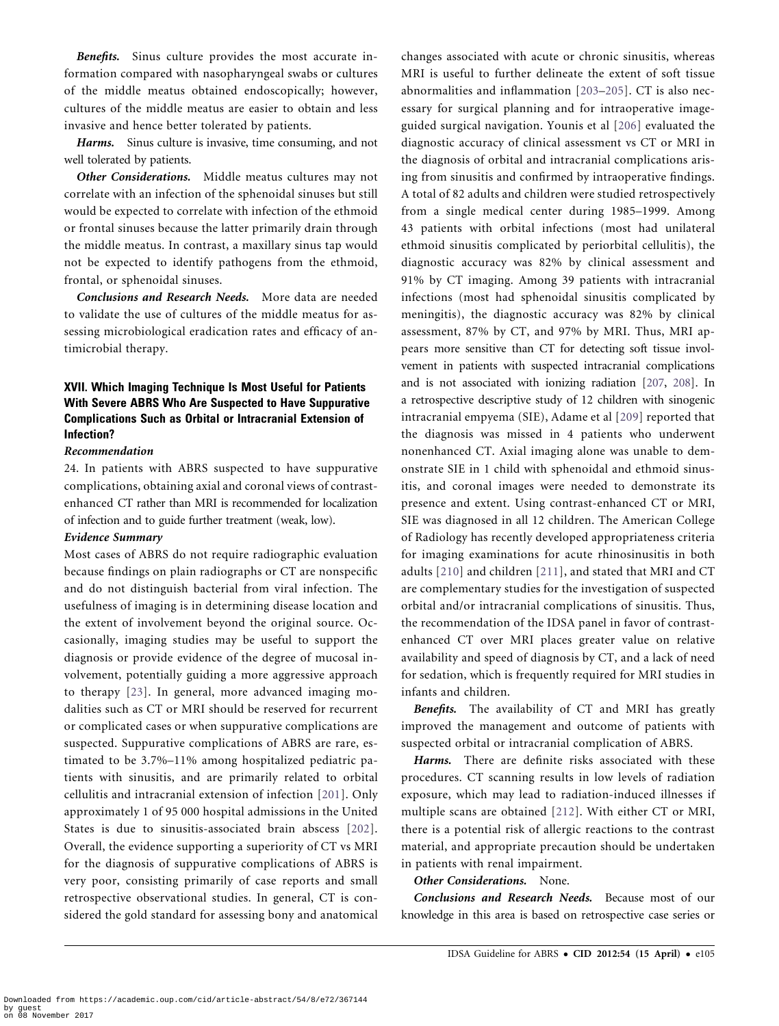Benefits. Sinus culture provides the most accurate information compared with nasopharyngeal swabs or cultures of the middle meatus obtained endoscopically; however, cultures of the middle meatus are easier to obtain and less invasive and hence better tolerated by patients.

Harms. Sinus culture is invasive, time consuming, and not well tolerated by patients.

Other Considerations. Middle meatus cultures may not correlate with an infection of the sphenoidal sinuses but still would be expected to correlate with infection of the ethmoid or frontal sinuses because the latter primarily drain through the middle meatus. In contrast, a maxillary sinus tap would not be expected to identify pathogens from the ethmoid, frontal, or sphenoidal sinuses.

Conclusions and Research Needs. More data are needed to validate the use of cultures of the middle meatus for assessing microbiological eradication rates and efficacy of antimicrobial therapy.

# XVII. Which Imaging Technique Is Most Useful for Patients With Severe ABRS Who Are Suspected to Have Suppurative Complications Such as Orbital or Intracranial Extension of Infection?

#### Recommendation

24. In patients with ABRS suspected to have suppurative complications, obtaining axial and coronal views of contrastenhanced CT rather than MRI is recommended for localization of infection and to guide further treatment (weak, low).

#### Evidence Summary

Most cases of ABRS do not require radiographic evaluation because findings on plain radiographs or CT are nonspecific and do not distinguish bacterial from viral infection. The usefulness of imaging is in determining disease location and the extent of involvement beyond the original source. Occasionally, imaging studies may be useful to support the diagnosis or provide evidence of the degree of mucosal involvement, potentially guiding a more aggressive approach to therapy [[23](#page-35-0)]. In general, more advanced imaging modalities such as CT or MRI should be reserved for recurrent or complicated cases or when suppurative complications are suspected. Suppurative complications of ABRS are rare, estimated to be 3.7%–11% among hospitalized pediatric patients with sinusitis, and are primarily related to orbital cellulitis and intracranial extension of infection [[201\]](#page-40-0). Only approximately 1 of 95 000 hospital admissions in the United States is due to sinusitis-associated brain abscess [[202](#page-40-0)]. Overall, the evidence supporting a superiority of CT vs MRI for the diagnosis of suppurative complications of ABRS is very poor, consisting primarily of case reports and small retrospective observational studies. In general, CT is considered the gold standard for assessing bony and anatomical

changes associated with acute or chronic sinusitis, whereas MRI is useful to further delineate the extent of soft tissue abnormalities and inflammation [[203–205\]](#page-40-0). CT is also necessary for surgical planning and for intraoperative imageguided surgical navigation. Younis et al [\[206\]](#page-40-0) evaluated the diagnostic accuracy of clinical assessment vs CT or MRI in the diagnosis of orbital and intracranial complications arising from sinusitis and confirmed by intraoperative findings. A total of 82 adults and children were studied retrospectively from a single medical center during 1985–1999. Among 43 patients with orbital infections (most had unilateral ethmoid sinusitis complicated by periorbital cellulitis), the diagnostic accuracy was 82% by clinical assessment and 91% by CT imaging. Among 39 patients with intracranial infections (most had sphenoidal sinusitis complicated by meningitis), the diagnostic accuracy was 82% by clinical assessment, 87% by CT, and 97% by MRI. Thus, MRI appears more sensitive than CT for detecting soft tissue involvement in patients with suspected intracranial complications and is not associated with ionizing radiation [\[207](#page-40-0), [208\]](#page-40-0). In a retrospective descriptive study of 12 children with sinogenic intracranial empyema (SIE), Adame et al [[209](#page-40-0)] reported that the diagnosis was missed in 4 patients who underwent nonenhanced CT. Axial imaging alone was unable to demonstrate SIE in 1 child with sphenoidal and ethmoid sinusitis, and coronal images were needed to demonstrate its presence and extent. Using contrast-enhanced CT or MRI, SIE was diagnosed in all 12 children. The American College of Radiology has recently developed appropriateness criteria for imaging examinations for acute rhinosinusitis in both adults [[210](#page-40-0)] and children [[211](#page-40-0)], and stated that MRI and CT are complementary studies for the investigation of suspected orbital and/or intracranial complications of sinusitis. Thus, the recommendation of the IDSA panel in favor of contrastenhanced CT over MRI places greater value on relative availability and speed of diagnosis by CT, and a lack of need for sedation, which is frequently required for MRI studies in infants and children.

Benefits. The availability of CT and MRI has greatly improved the management and outcome of patients with suspected orbital or intracranial complication of ABRS.

Harms. There are definite risks associated with these procedures. CT scanning results in low levels of radiation exposure, which may lead to radiation-induced illnesses if multiple scans are obtained [[212](#page-40-0)]. With either CT or MRI, there is a potential risk of allergic reactions to the contrast material, and appropriate precaution should be undertaken in patients with renal impairment.

#### Other Considerations. None.

Conclusions and Research Needs. Because most of our knowledge in this area is based on retrospective case series or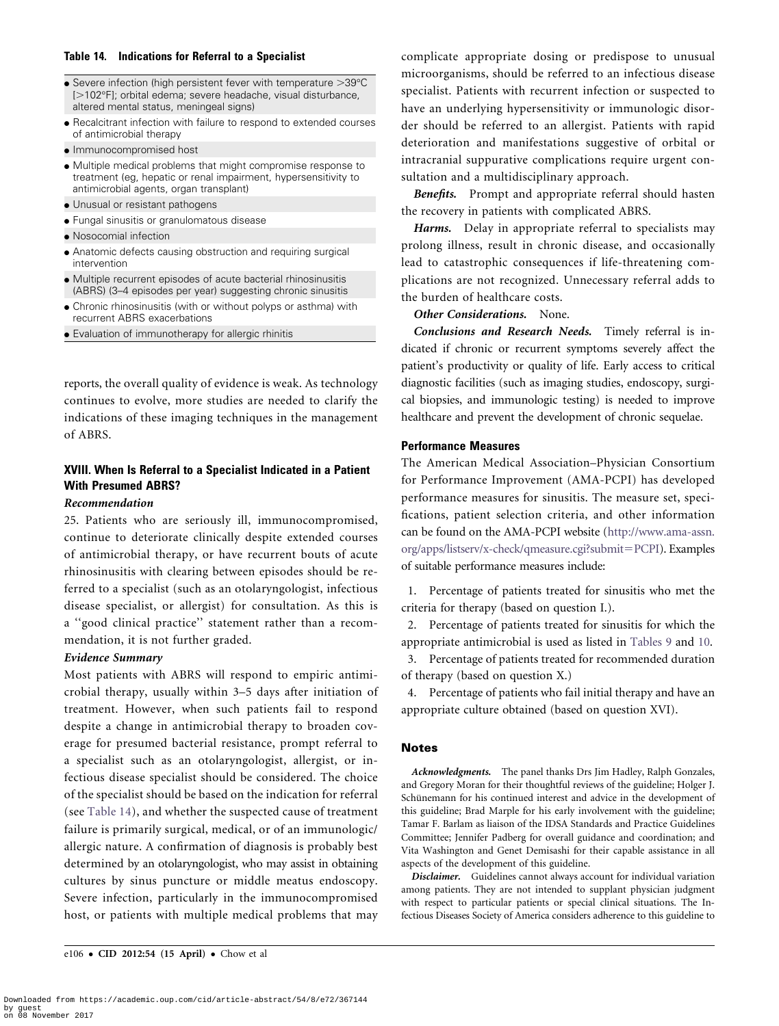#### Table 14. Indications for Referral to a Specialist

- $\bullet$  Severe infection (high persistent fever with temperature  $>$ 39°C [>102°F]; orbital edema; severe headache, visual disturbance, altered mental status, meningeal signs)
- Recalcitrant infection with failure to respond to extended courses of antimicrobial therapy
- $\bullet$  Immunocompromised host
- <sup>d</sup> Multiple medical problems that might compromise response to treatment (eg, hepatic or renal impairment, hypersensitivity to antimicrobial agents, organ transplant)
- · Unusual or resistant pathogens
- **•** Fungal sinusitis or granulomatous disease
- Nosocomial infection
- Anatomic defects causing obstruction and requiring surgical intervention
- Multiple recurrent episodes of acute bacterial rhinosinusitis (ABRS) (3–4 episodes per year) suggesting chronic sinusitis
- Chronic rhinosinusitis (with or without polyps or asthma) with recurrent ABRS exacerbations
- **Evaluation of immunotherapy for allergic rhinitis**

reports, the overall quality of evidence is weak. As technology continues to evolve, more studies are needed to clarify the indications of these imaging techniques in the management of ABRS.

# XVIII. When Is Referral to a Specialist Indicated in a Patient With Presumed ABRS?

### Recommendation

25. Patients who are seriously ill, immunocompromised, continue to deteriorate clinically despite extended courses of antimicrobial therapy, or have recurrent bouts of acute rhinosinusitis with clearing between episodes should be referred to a specialist (such as an otolaryngologist, infectious disease specialist, or allergist) for consultation. As this is a ''good clinical practice'' statement rather than a recommendation, it is not further graded.

### Evidence Summary

Most patients with ABRS will respond to empiric antimicrobial therapy, usually within 3–5 days after initiation of treatment. However, when such patients fail to respond despite a change in antimicrobial therapy to broaden coverage for presumed bacterial resistance, prompt referral to a specialist such as an otolaryngologist, allergist, or infectious disease specialist should be considered. The choice of the specialist should be based on the indication for referral (see Table 14), and whether the suspected cause of treatment failure is primarily surgical, medical, or of an immunologic/ allergic nature. A confirmation of diagnosis is probably best determined by an otolaryngologist, who may assist in obtaining cultures by sinus puncture or middle meatus endoscopy. Severe infection, particularly in the immunocompromised host, or patients with multiple medical problems that may

complicate appropriate dosing or predispose to unusual microorganisms, should be referred to an infectious disease specialist. Patients with recurrent infection or suspected to have an underlying hypersensitivity or immunologic disorder should be referred to an allergist. Patients with rapid deterioration and manifestations suggestive of orbital or intracranial suppurative complications require urgent consultation and a multidisciplinary approach.

Benefits. Prompt and appropriate referral should hasten the recovery in patients with complicated ABRS.

Harms. Delay in appropriate referral to specialists may prolong illness, result in chronic disease, and occasionally lead to catastrophic consequences if life-threatening complications are not recognized. Unnecessary referral adds to the burden of healthcare costs.

**Other Considerations.** None.

Conclusions and Research Needs. Timely referral is indicated if chronic or recurrent symptoms severely affect the patient's productivity or quality of life. Early access to critical diagnostic facilities (such as imaging studies, endoscopy, surgical biopsies, and immunologic testing) is needed to improve healthcare and prevent the development of chronic sequelae.

### Performance Measures

The American Medical Association–Physician Consortium for Performance Improvement (AMA-PCPI) has developed performance measures for sinusitis. The measure set, specifications, patient selection criteria, and other information can be found on the AMA-PCPI website [\(http://www.ama-assn.](http://www.ama-assn.org/apps/listserv/x-check/qmeasure.cgi?submit=PCPI) [org/apps/listserv/x-check/qmeasure.cgi?submit](http://www.ama-assn.org/apps/listserv/x-check/qmeasure.cgi?submit=PCPI)=[PCPI\)](http://www.ama-assn.org/apps/listserv/x-check/qmeasure.cgi?submit=PCPI). Examples of suitable performance measures include:

1. Percentage of patients treated for sinusitis who met the criteria for therapy (based on question I.).

2. Percentage of patients treated for sinusitis for which the appropriate antimicrobial is used as listed in [Tables 9](#page-23-0) and [10](#page-22-0).

3. Percentage of patients treated for recommended duration of therapy (based on question X.)

4. Percentage of patients who fail initial therapy and have an appropriate culture obtained (based on question XVI).

### **Notes**

Acknowledgments. The panel thanks Drs Jim Hadley, Ralph Gonzales, and Gregory Moran for their thoughtful reviews of the guideline; Holger J. Schünemann for his continued interest and advice in the development of this guideline; Brad Marple for his early involvement with the guideline; Tamar F. Barlam as liaison of the IDSA Standards and Practice Guidelines Committee; Jennifer Padberg for overall guidance and coordination; and Vita Washington and Genet Demisashi for their capable assistance in all aspects of the development of this guideline.

Disclaimer. Guidelines cannot always account for individual variation among patients. They are not intended to supplant physician judgment with respect to particular patients or special clinical situations. The Infectious Diseases Society of America considers adherence to this guideline to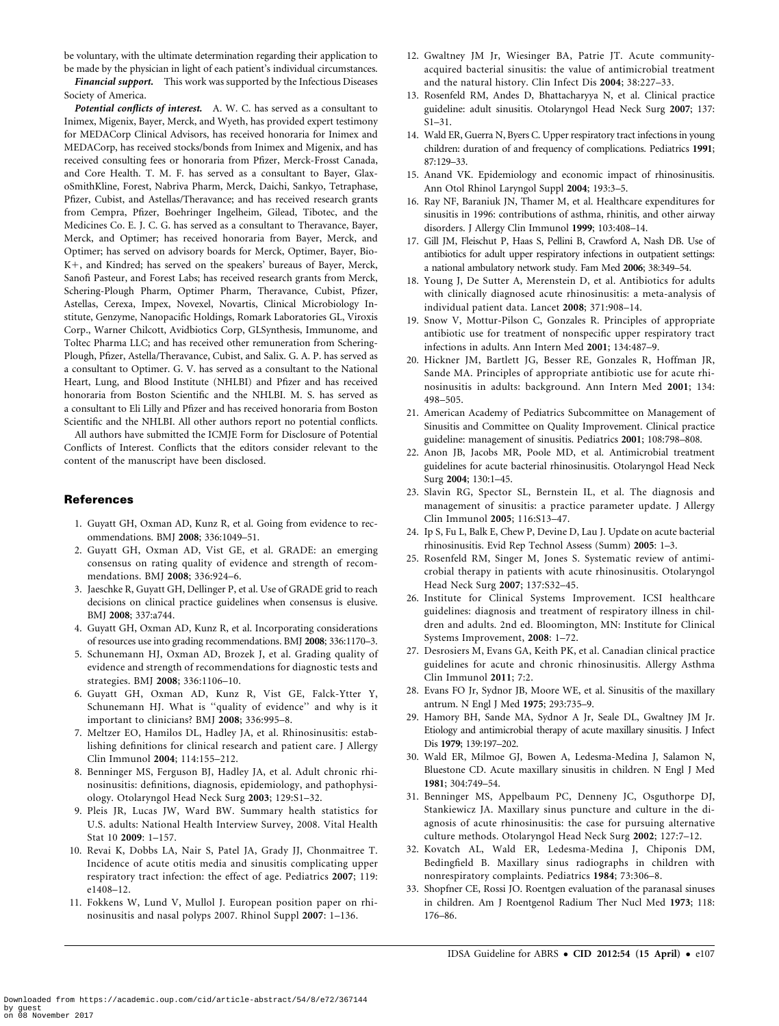<span id="page-35-0"></span>be voluntary, with the ultimate determination regarding their application to be made by the physician in light of each patient's individual circumstances.

Financial support. This work was supported by the Infectious Diseases Society of America.

Potential conflicts of interest. A. W. C. has served as a consultant to Inimex, Migenix, Bayer, Merck, and Wyeth, has provided expert testimony for MEDACorp Clinical Advisors, has received honoraria for Inimex and MEDACorp, has received stocks/bonds from Inimex and Migenix, and has received consulting fees or honoraria from Pfizer, Merck-Frosst Canada, and Core Health. T. M. F. has served as a consultant to Bayer, GlaxoSmithKline, Forest, Nabriva Pharm, Merck, Daichi, Sankyo, Tetraphase, Pfizer, Cubist, and Astellas/Theravance; and has received research grants from Cempra, Pfizer, Boehringer Ingelheim, Gilead, Tibotec, and the Medicines Co. E. J. C. G. has served as a consultant to Theravance, Bayer, Merck, and Optimer; has received honoraria from Bayer, Merck, and Optimer; has served on advisory boards for Merck, Optimer, Bayer, Bio-K+, and Kindred; has served on the speakers' bureaus of Bayer, Merck, Sanofi Pasteur, and Forest Labs; has received research grants from Merck, Schering-Plough Pharm, Optimer Pharm, Theravance, Cubist, Pfizer, Astellas, Cerexa, Impex, Novexel, Novartis, Clinical Microbiology Institute, Genzyme, Nanopacific Holdings, Romark Laboratories GL, Viroxis Corp., Warner Chilcott, Avidbiotics Corp, GLSynthesis, Immunome, and Toltec Pharma LLC; and has received other remuneration from Schering-Plough, Pfizer, Astella/Theravance, Cubist, and Salix. G. A. P. has served as a consultant to Optimer. G. V. has served as a consultant to the National Heart, Lung, and Blood Institute (NHLBI) and Pfizer and has received honoraria from Boston Scientific and the NHLBI. M. S. has served as a consultant to Eli Lilly and Pfizer and has received honoraria from Boston Scientific and the NHLBI. All other authors report no potential conflicts.

All authors have submitted the ICMJE Form for Disclosure of Potential Conflicts of Interest. Conflicts that the editors consider relevant to the content of the manuscript have been disclosed.

#### References

- 1. Guyatt GH, Oxman AD, Kunz R, et al. Going from evidence to recommendations. BMJ 2008; 336:1049–51.
- 2. Guyatt GH, Oxman AD, Vist GE, et al. GRADE: an emerging consensus on rating quality of evidence and strength of recommendations. BMJ 2008; 336:924–6.
- 3. Jaeschke R, Guyatt GH, Dellinger P, et al. Use of GRADE grid to reach decisions on clinical practice guidelines when consensus is elusive. BMJ 2008; 337:a744.
- 4. Guyatt GH, Oxman AD, Kunz R, et al. Incorporating considerations of resources use into grading recommendations. BMJ 2008; 336:1170–3.
- 5. Schunemann HJ, Oxman AD, Brozek J, et al. Grading quality of evidence and strength of recommendations for diagnostic tests and strategies. BMJ 2008; 336:1106–10.
- 6. Guyatt GH, Oxman AD, Kunz R, Vist GE, Falck-Ytter Y, Schunemann HJ. What is ''quality of evidence'' and why is it important to clinicians? BMJ 2008; 336:995–8.
- 7. Meltzer EO, Hamilos DL, Hadley JA, et al. Rhinosinusitis: establishing definitions for clinical research and patient care. J Allergy Clin Immunol 2004; 114:155–212.
- 8. Benninger MS, Ferguson BJ, Hadley JA, et al. Adult chronic rhinosinusitis: definitions, diagnosis, epidemiology, and pathophysiology. Otolaryngol Head Neck Surg 2003; 129:S1–32.
- 9. Pleis JR, Lucas JW, Ward BW. Summary health statistics for U.S. adults: National Health Interview Survey, 2008. Vital Health Stat 10 2009: 1–157.
- 10. Revai K, Dobbs LA, Nair S, Patel JA, Grady JJ, Chonmaitree T. Incidence of acute otitis media and sinusitis complicating upper respiratory tract infection: the effect of age. Pediatrics 2007; 119: e1408–12.
- 11. Fokkens W, Lund V, Mullol J. European position paper on rhinosinusitis and nasal polyps 2007. Rhinol Suppl 2007: 1–136.
- 12. Gwaltney JM Jr, Wiesinger BA, Patrie JT. Acute communityacquired bacterial sinusitis: the value of antimicrobial treatment and the natural history. Clin Infect Dis 2004; 38:227–33.
- 13. Rosenfeld RM, Andes D, Bhattacharyya N, et al. Clinical practice guideline: adult sinusitis. Otolaryngol Head Neck Surg 2007; 137: S1–31.
- 14. Wald ER, Guerra N, Byers C. Upper respiratory tract infections in young children: duration of and frequency of complications. Pediatrics 1991; 87:129–33.
- 15. Anand VK. Epidemiology and economic impact of rhinosinusitis. Ann Otol Rhinol Laryngol Suppl 2004; 193:3–5.
- 16. Ray NF, Baraniuk JN, Thamer M, et al. Healthcare expenditures for sinusitis in 1996: contributions of asthma, rhinitis, and other airway disorders. J Allergy Clin Immunol 1999; 103:408–14.
- 17. Gill JM, Fleischut P, Haas S, Pellini B, Crawford A, Nash DB. Use of antibiotics for adult upper respiratory infections in outpatient settings: a national ambulatory network study. Fam Med 2006; 38:349–54.
- 18. Young J, De Sutter A, Merenstein D, et al. Antibiotics for adults with clinically diagnosed acute rhinosinusitis: a meta-analysis of individual patient data. Lancet 2008; 371:908–14.
- 19. Snow V, Mottur-Pilson C, Gonzales R. Principles of appropriate antibiotic use for treatment of nonspecific upper respiratory tract infections in adults. Ann Intern Med 2001; 134:487–9.
- 20. Hickner JM, Bartlett JG, Besser RE, Gonzales R, Hoffman JR, Sande MA. Principles of appropriate antibiotic use for acute rhinosinusitis in adults: background. Ann Intern Med 2001; 134: 498–505.
- 21. American Academy of Pediatrics Subcommittee on Management of Sinusitis and Committee on Quality Improvement. Clinical practice guideline: management of sinusitis. Pediatrics 2001; 108:798–808.
- 22. Anon JB, Jacobs MR, Poole MD, et al. Antimicrobial treatment guidelines for acute bacterial rhinosinusitis. Otolaryngol Head Neck Surg 2004; 130:1–45.
- 23. Slavin RG, Spector SL, Bernstein IL, et al. The diagnosis and management of sinusitis: a practice parameter update. J Allergy Clin Immunol 2005; 116:S13–47.
- 24. Ip S, Fu L, Balk E, Chew P, Devine D, Lau J. Update on acute bacterial rhinosinusitis. Evid Rep Technol Assess (Summ) 2005: 1–3.
- 25. Rosenfeld RM, Singer M, Jones S. Systematic review of antimicrobial therapy in patients with acute rhinosinusitis. Otolaryngol Head Neck Surg 2007; 137:S32–45.
- 26. Institute for Clinical Systems Improvement. ICSI healthcare guidelines: diagnosis and treatment of respiratory illness in children and adults. 2nd ed. Bloomington, MN: Institute for Clinical Systems Improvement, 2008: 1–72.
- 27. Desrosiers M, Evans GA, Keith PK, et al. Canadian clinical practice guidelines for acute and chronic rhinosinusitis. Allergy Asthma Clin Immunol 2011; 7:2.
- 28. Evans FO Jr, Sydnor JB, Moore WE, et al. Sinusitis of the maxillary antrum. N Engl J Med 1975; 293:735–9.
- 29. Hamory BH, Sande MA, Sydnor A Jr, Seale DL, Gwaltney JM Jr. Etiology and antimicrobial therapy of acute maxillary sinusitis. J Infect Dis 1979; 139:197–202.
- 30. Wald ER, Milmoe GJ, Bowen A, Ledesma-Medina J, Salamon N, Bluestone CD. Acute maxillary sinusitis in children. N Engl J Med 1981; 304:749–54.
- 31. Benninger MS, Appelbaum PC, Denneny JC, Osguthorpe DJ, Stankiewicz JA. Maxillary sinus puncture and culture in the diagnosis of acute rhinosinusitis: the case for pursuing alternative culture methods. Otolaryngol Head Neck Surg 2002; 127:7–12.
- 32. Kovatch AL, Wald ER, Ledesma-Medina J, Chiponis DM, Bedingfield B. Maxillary sinus radiographs in children with nonrespiratory complaints. Pediatrics 1984; 73:306–8.
- 33. Shopfner CE, Rossi JO. Roentgen evaluation of the paranasal sinuses in children. Am J Roentgenol Radium Ther Nucl Med 1973; 118: 176–86.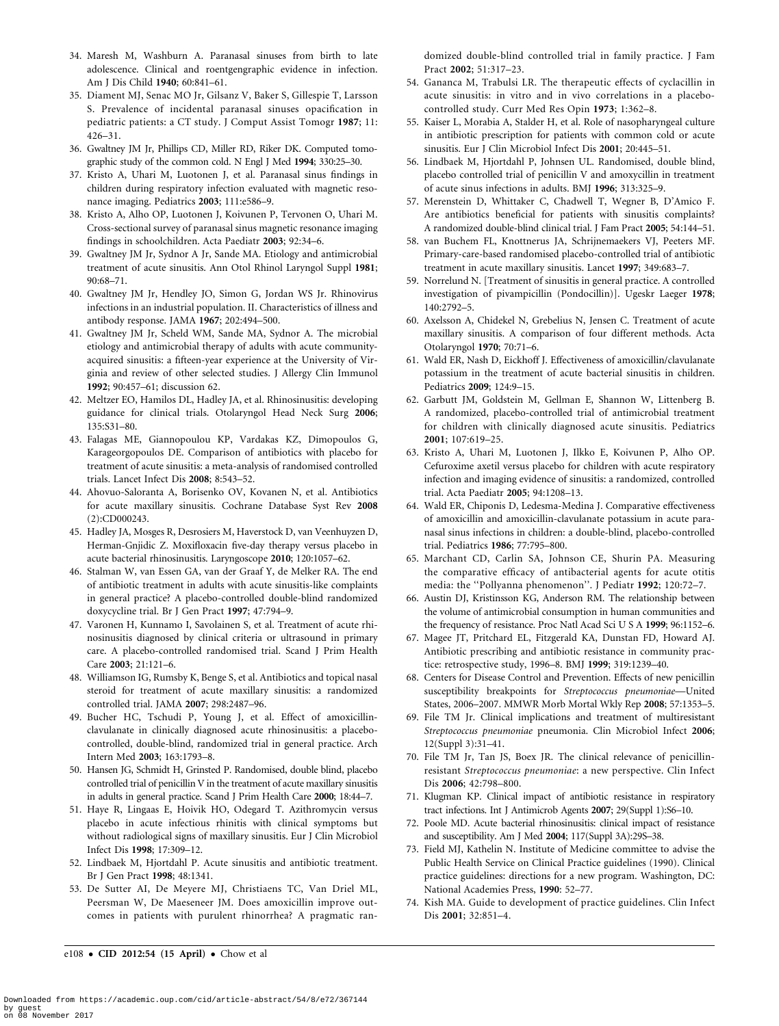- <span id="page-36-0"></span>34. Maresh M, Washburn A. Paranasal sinuses from birth to late adolescence. Clinical and roentgengraphic evidence in infection. Am J Dis Child 1940; 60:841–61.
- 35. Diament MJ, Senac MO Jr, Gilsanz V, Baker S, Gillespie T, Larsson S. Prevalence of incidental paranasal sinuses opacification in pediatric patients: a CT study. J Comput Assist Tomogr 1987; 11: 426–31.
- 36. Gwaltney JM Jr, Phillips CD, Miller RD, Riker DK. Computed tomographic study of the common cold. N Engl J Med 1994; 330:25–30.
- 37. Kristo A, Uhari M, Luotonen J, et al. Paranasal sinus findings in children during respiratory infection evaluated with magnetic resonance imaging. Pediatrics 2003; 111:e586–9.
- 38. Kristo A, Alho OP, Luotonen J, Koivunen P, Tervonen O, Uhari M. Cross-sectional survey of paranasal sinus magnetic resonance imaging findings in schoolchildren. Acta Paediatr 2003; 92:34–6.
- 39. Gwaltney JM Jr, Sydnor A Jr, Sande MA. Etiology and antimicrobial treatment of acute sinusitis. Ann Otol Rhinol Laryngol Suppl 1981; 90:68–71.
- 40. Gwaltney JM Jr, Hendley JO, Simon G, Jordan WS Jr. Rhinovirus infections in an industrial population. II. Characteristics of illness and antibody response. JAMA 1967; 202:494–500.
- 41. Gwaltney JM Jr, Scheld WM, Sande MA, Sydnor A. The microbial etiology and antimicrobial therapy of adults with acute communityacquired sinusitis: a fifteen-year experience at the University of Virginia and review of other selected studies. J Allergy Clin Immunol 1992; 90:457–61; discussion 62.
- 42. Meltzer EO, Hamilos DL, Hadley JA, et al. Rhinosinusitis: developing guidance for clinical trials. Otolaryngol Head Neck Surg 2006; 135:S31–80.
- 43. Falagas ME, Giannopoulou KP, Vardakas KZ, Dimopoulos G, Karageorgopoulos DE. Comparison of antibiotics with placebo for treatment of acute sinusitis: a meta-analysis of randomised controlled trials. Lancet Infect Dis 2008; 8:543–52.
- 44. Ahovuo-Saloranta A, Borisenko OV, Kovanen N, et al. Antibiotics for acute maxillary sinusitis. Cochrane Database Syst Rev 2008 (2):CD000243.
- 45. Hadley JA, Mosges R, Desrosiers M, Haverstock D, van Veenhuyzen D, Herman-Gnjidic Z. Moxifloxacin five-day therapy versus placebo in acute bacterial rhinosinusitis. Laryngoscope 2010; 120:1057–62.
- 46. Stalman W, van Essen GA, van der Graaf Y, de Melker RA. The end of antibiotic treatment in adults with acute sinusitis-like complaints in general practice? A placebo-controlled double-blind randomized doxycycline trial. Br J Gen Pract 1997; 47:794–9.
- 47. Varonen H, Kunnamo I, Savolainen S, et al. Treatment of acute rhinosinusitis diagnosed by clinical criteria or ultrasound in primary care. A placebo-controlled randomised trial. Scand J Prim Health Care 2003; 21:121–6.
- 48. Williamson IG, Rumsby K, Benge S, et al. Antibiotics and topical nasal steroid for treatment of acute maxillary sinusitis: a randomized controlled trial. JAMA 2007; 298:2487–96.
- 49. Bucher HC, Tschudi P, Young J, et al. Effect of amoxicillinclavulanate in clinically diagnosed acute rhinosinusitis: a placebocontrolled, double-blind, randomized trial in general practice. Arch Intern Med 2003; 163:1793–8.
- 50. Hansen JG, Schmidt H, Grinsted P. Randomised, double blind, placebo controlled trial of penicillin V in the treatment of acute maxillary sinusitis in adults in general practice. Scand J Prim Health Care 2000; 18:44–7.
- 51. Haye R, Lingaas E, Hoivik HO, Odegard T. Azithromycin versus placebo in acute infectious rhinitis with clinical symptoms but without radiological signs of maxillary sinusitis. Eur J Clin Microbiol Infect Dis 1998; 17:309–12.
- 52. Lindbaek M, Hjortdahl P. Acute sinusitis and antibiotic treatment. Br J Gen Pract 1998; 48:1341.
- 53. De Sutter AI, De Meyere MJ, Christiaens TC, Van Driel ML, Peersman W, De Maeseneer JM. Does amoxicillin improve outcomes in patients with purulent rhinorrhea? A pragmatic ran-

domized double-blind controlled trial in family practice. J Fam Pract 2002; 51:317–23.

- 54. Gananca M, Trabulsi LR. The therapeutic effects of cyclacillin in acute sinusitis: in vitro and in vivo correlations in a placebocontrolled study. Curr Med Res Opin 1973; 1:362–8.
- 55. Kaiser L, Morabia A, Stalder H, et al. Role of nasopharyngeal culture in antibiotic prescription for patients with common cold or acute sinusitis. Eur J Clin Microbiol Infect Dis 2001; 20:445–51.
- 56. Lindbaek M, Hjortdahl P, Johnsen UL. Randomised, double blind, placebo controlled trial of penicillin V and amoxycillin in treatment of acute sinus infections in adults. BMJ 1996; 313:325–9.
- 57. Merenstein D, Whittaker C, Chadwell T, Wegner B, D'Amico F. Are antibiotics beneficial for patients with sinusitis complaints? A randomized double-blind clinical trial. J Fam Pract 2005; 54:144–51.
- 58. van Buchem FL, Knottnerus JA, Schrijnemaekers VJ, Peeters MF. Primary-care-based randomised placebo-controlled trial of antibiotic treatment in acute maxillary sinusitis. Lancet 1997; 349:683–7.
- 59. Norrelund N. [Treatment of sinusitis in general practice. A controlled investigation of pivampicillin (Pondocillin)]. Ugeskr Laeger 1978; 140:2792–5.
- 60. Axelsson A, Chidekel N, Grebelius N, Jensen C. Treatment of acute maxillary sinusitis. A comparison of four different methods. Acta Otolaryngol 1970; 70:71–6.
- 61. Wald ER, Nash D, Eickhoff J. Effectiveness of amoxicillin/clavulanate potassium in the treatment of acute bacterial sinusitis in children. Pediatrics 2009; 124:9–15.
- 62. Garbutt JM, Goldstein M, Gellman E, Shannon W, Littenberg B. A randomized, placebo-controlled trial of antimicrobial treatment for children with clinically diagnosed acute sinusitis. Pediatrics 2001; 107:619–25.
- 63. Kristo A, Uhari M, Luotonen J, Ilkko E, Koivunen P, Alho OP. Cefuroxime axetil versus placebo for children with acute respiratory infection and imaging evidence of sinusitis: a randomized, controlled trial. Acta Paediatr 2005; 94:1208–13.
- 64. Wald ER, Chiponis D, Ledesma-Medina J. Comparative effectiveness of amoxicillin and amoxicillin-clavulanate potassium in acute paranasal sinus infections in children: a double-blind, placebo-controlled trial. Pediatrics 1986; 77:795–800.
- 65. Marchant CD, Carlin SA, Johnson CE, Shurin PA. Measuring the comparative efficacy of antibacterial agents for acute otitis media: the ''Pollyanna phenomenon''. J Pediatr 1992; 120:72–7.
- 66. Austin DJ, Kristinsson KG, Anderson RM. The relationship between the volume of antimicrobial consumption in human communities and the frequency of resistance. Proc Natl Acad Sci U S A 1999; 96:1152–6.
- 67. Magee JT, Pritchard EL, Fitzgerald KA, Dunstan FD, Howard AJ. Antibiotic prescribing and antibiotic resistance in community practice: retrospective study, 1996–8. BMJ 1999; 319:1239–40.
- 68. Centers for Disease Control and Prevention. Effects of new penicillin susceptibility breakpoints for Streptococcus pneumoniae—United States, 2006–2007. MMWR Morb Mortal Wkly Rep 2008; 57:1353–5.
- 69. File TM Jr. Clinical implications and treatment of multiresistant Streptococcus pneumoniae pneumonia. Clin Microbiol Infect 2006; 12(Suppl 3):31–41.
- 70. File TM Jr, Tan JS, Boex JR. The clinical relevance of penicillinresistant Streptococcus pneumoniae: a new perspective. Clin Infect Dis 2006; 42:798–800.
- 71. Klugman KP. Clinical impact of antibiotic resistance in respiratory tract infections. Int J Antimicrob Agents 2007; 29(Suppl 1):S6–10.
- 72. Poole MD. Acute bacterial rhinosinusitis: clinical impact of resistance and susceptibility. Am J Med 2004; 117(Suppl 3A):29S–38.
- 73. Field MJ, Kathelin N. Institute of Medicine committee to advise the Public Health Service on Clinical Practice guidelines (1990). Clinical practice guidelines: directions for a new program. Washington, DC: National Academies Press, 1990: 52–77.
- 74. Kish MA. Guide to development of practice guidelines. Clin Infect Dis 2001; 32:851–4.

e108 · CID 2012:54 (15 April) · Chow et al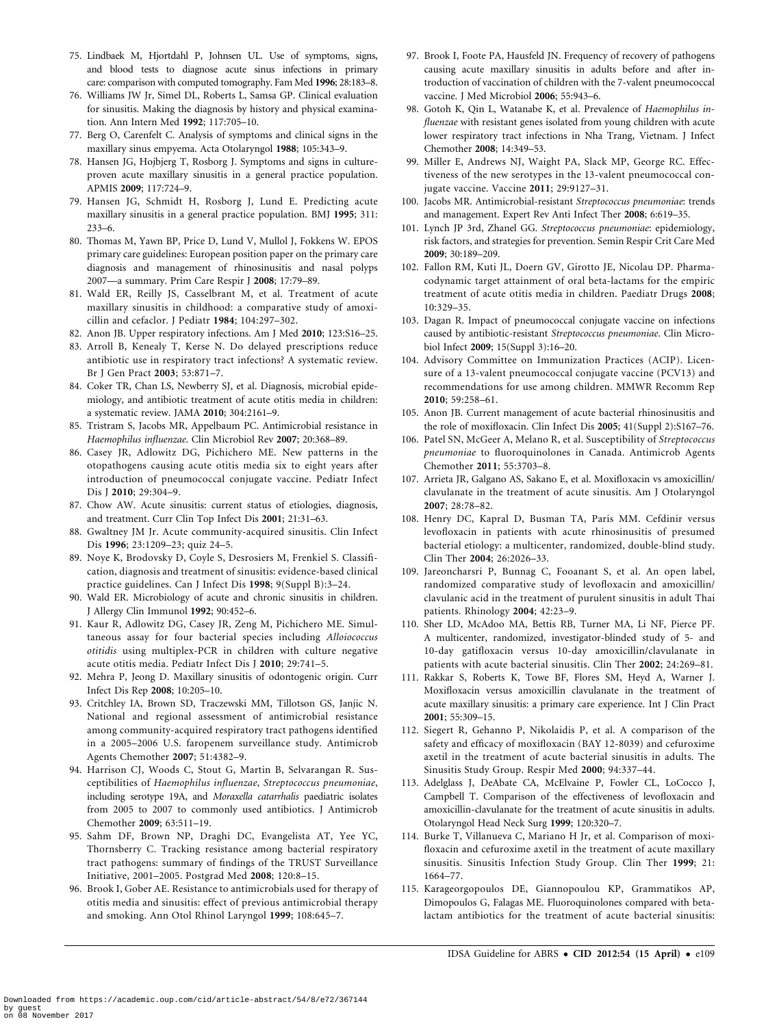- <span id="page-37-0"></span>75. Lindbaek M, Hjortdahl P, Johnsen UL. Use of symptoms, signs, and blood tests to diagnose acute sinus infections in primary care: comparison with computed tomography. Fam Med 1996; 28:183–8.
- 76. Williams JW Jr, Simel DL, Roberts L, Samsa GP. Clinical evaluation for sinusitis. Making the diagnosis by history and physical examination. Ann Intern Med 1992; 117:705–10.
- 77. Berg O, Carenfelt C. Analysis of symptoms and clinical signs in the maxillary sinus empyema. Acta Otolaryngol 1988; 105:343–9.
- 78. Hansen JG, Hojbjerg T, Rosborg J. Symptoms and signs in cultureproven acute maxillary sinusitis in a general practice population. APMIS 2009; 117:724–9.
- 79. Hansen JG, Schmidt H, Rosborg J, Lund E. Predicting acute maxillary sinusitis in a general practice population. BMJ 1995; 311: 233–6.
- 80. Thomas M, Yawn BP, Price D, Lund V, Mullol J, Fokkens W. EPOS primary care guidelines: European position paper on the primary care diagnosis and management of rhinosinusitis and nasal polyps 2007—a summary. Prim Care Respir J 2008; 17:79–89.
- 81. Wald ER, Reilly JS, Casselbrant M, et al. Treatment of acute maxillary sinusitis in childhood: a comparative study of amoxicillin and cefaclor. J Pediatr 1984; 104:297–302.
- 82. Anon JB. Upper respiratory infections. Am J Med 2010; 123:S16–25.
- 83. Arroll B, Kenealy T, Kerse N. Do delayed prescriptions reduce antibiotic use in respiratory tract infections? A systematic review. Br J Gen Pract 2003; 53:871–7.
- 84. Coker TR, Chan LS, Newberry SJ, et al. Diagnosis, microbial epidemiology, and antibiotic treatment of acute otitis media in children: a systematic review. JAMA 2010; 304:2161–9.
- 85. Tristram S, Jacobs MR, Appelbaum PC. Antimicrobial resistance in Haemophilus influenzae. Clin Microbiol Rev 2007; 20:368–89.
- 86. Casey JR, Adlowitz DG, Pichichero ME. New patterns in the otopathogens causing acute otitis media six to eight years after introduction of pneumococcal conjugate vaccine. Pediatr Infect Dis J 2010; 29:304–9.
- 87. Chow AW. Acute sinusitis: current status of etiologies, diagnosis, and treatment. Curr Clin Top Infect Dis 2001; 21:31–63.
- 88. Gwaltney JM Jr. Acute community-acquired sinusitis. Clin Infect Dis 1996; 23:1209–23; quiz 24–5.
- 89. Noye K, Brodovsky D, Coyle S, Desrosiers M, Frenkiel S. Classification, diagnosis and treatment of sinusitis: evidence-based clinical practice guidelines. Can J Infect Dis 1998; 9(Suppl B):3–24.
- 90. Wald ER. Microbiology of acute and chronic sinusitis in children. J Allergy Clin Immunol 1992; 90:452–6.
- 91. Kaur R, Adlowitz DG, Casey JR, Zeng M, Pichichero ME. Simultaneous assay for four bacterial species including Alloiococcus otitidis using multiplex-PCR in children with culture negative acute otitis media. Pediatr Infect Dis J 2010; 29:741–5.
- 92. Mehra P, Jeong D. Maxillary sinusitis of odontogenic origin. Curr Infect Dis Rep 2008; 10:205–10.
- 93. Critchley IA, Brown SD, Traczewski MM, Tillotson GS, Janjic N. National and regional assessment of antimicrobial resistance among community-acquired respiratory tract pathogens identified in a 2005–2006 U.S. faropenem surveillance study. Antimicrob Agents Chemother 2007; 51:4382–9.
- 94. Harrison CJ, Woods C, Stout G, Martin B, Selvarangan R. Susceptibilities of Haemophilus influenzae, Streptococcus pneumoniae, including serotype 19A, and Moraxella catarrhalis paediatric isolates from 2005 to 2007 to commonly used antibiotics. J Antimicrob Chemother 2009; 63:511–19.
- 95. Sahm DF, Brown NP, Draghi DC, Evangelista AT, Yee YC, Thornsberry C. Tracking resistance among bacterial respiratory tract pathogens: summary of findings of the TRUST Surveillance Initiative, 2001–2005. Postgrad Med 2008; 120:8–15.
- 96. Brook I, Gober AE. Resistance to antimicrobials used for therapy of otitis media and sinusitis: effect of previous antimicrobial therapy and smoking. Ann Otol Rhinol Laryngol 1999; 108:645–7.
- 97. Brook I, Foote PA, Hausfeld JN. Frequency of recovery of pathogens causing acute maxillary sinusitis in adults before and after introduction of vaccination of children with the 7-valent pneumococcal vaccine. J Med Microbiol 2006; 55:943–6.
- 98. Gotoh K, Qin L, Watanabe K, et al. Prevalence of Haemophilus influenzae with resistant genes isolated from young children with acute lower respiratory tract infections in Nha Trang, Vietnam. J Infect Chemother 2008; 14:349–53.
- 99. Miller E, Andrews NJ, Waight PA, Slack MP, George RC. Effectiveness of the new serotypes in the 13-valent pneumococcal conjugate vaccine. Vaccine 2011; 29:9127–31.
- 100. Jacobs MR. Antimicrobial-resistant Streptococcus pneumoniae: trends and management. Expert Rev Anti Infect Ther 2008; 6:619–35.
- 101. Lynch JP 3rd, Zhanel GG. Streptococcus pneumoniae: epidemiology, risk factors, and strategies for prevention. Semin Respir Crit Care Med 2009; 30:189–209.
- 102. Fallon RM, Kuti JL, Doern GV, Girotto JE, Nicolau DP. Pharmacodynamic target attainment of oral beta-lactams for the empiric treatment of acute otitis media in children. Paediatr Drugs 2008; 10:329–35.
- 103. Dagan R. Impact of pneumococcal conjugate vaccine on infections caused by antibiotic-resistant Streptococcus pneumoniae. Clin Microbiol Infect 2009; 15(Suppl 3):16–20.
- 104. Advisory Committee on Immunization Practices (ACIP). Licensure of a 13-valent pneumococcal conjugate vaccine (PCV13) and recommendations for use among children. MMWR Recomm Rep 2010; 59:258–61.
- 105. Anon JB. Current management of acute bacterial rhinosinusitis and the role of moxifloxacin. Clin Infect Dis 2005; 41(Suppl 2):S167–76.
- 106. Patel SN, McGeer A, Melano R, et al. Susceptibility of Streptococcus pneumoniae to fluoroquinolones in Canada. Antimicrob Agents Chemother 2011; 55:3703–8.
- 107. Arrieta JR, Galgano AS, Sakano E, et al. Moxifloxacin vs amoxicillin/ clavulanate in the treatment of acute sinusitis. Am J Otolaryngol 2007; 28:78–82.
- 108. Henry DC, Kapral D, Busman TA, Paris MM. Cefdinir versus levofloxacin in patients with acute rhinosinusitis of presumed bacterial etiology: a multicenter, randomized, double-blind study. Clin Ther 2004; 26:2026–33.
- 109. Jareoncharsri P, Bunnag C, Fooanant S, et al. An open label, randomized comparative study of levofloxacin and amoxicillin/ clavulanic acid in the treatment of purulent sinusitis in adult Thai patients. Rhinology 2004; 42:23–9.
- 110. Sher LD, McAdoo MA, Bettis RB, Turner MA, Li NF, Pierce PF. A multicenter, randomized, investigator-blinded study of 5- and 10-day gatifloxacin versus 10-day amoxicillin/clavulanate in patients with acute bacterial sinusitis. Clin Ther 2002; 24:269–81.
- 111. Rakkar S, Roberts K, Towe BF, Flores SM, Heyd A, Warner J. Moxifloxacin versus amoxicillin clavulanate in the treatment of acute maxillary sinusitis: a primary care experience. Int J Clin Pract 2001; 55:309–15.
- 112. Siegert R, Gehanno P, Nikolaidis P, et al. A comparison of the safety and efficacy of moxifloxacin (BAY 12-8039) and cefuroxime axetil in the treatment of acute bacterial sinusitis in adults. The Sinusitis Study Group. Respir Med 2000; 94:337–44.
- 113. Adelglass J, DeAbate CA, McElvaine P, Fowler CL, LoCocco J, Campbell T. Comparison of the effectiveness of levofloxacin and amoxicillin-clavulanate for the treatment of acute sinusitis in adults. Otolaryngol Head Neck Surg 1999; 120:320–7.
- 114. Burke T, Villanueva C, Mariano H Jr, et al. Comparison of moxifloxacin and cefuroxime axetil in the treatment of acute maxillary sinusitis. Sinusitis Infection Study Group. Clin Ther 1999; 21: 1664–77.
- 115. Karageorgopoulos DE, Giannopoulou KP, Grammatikos AP, Dimopoulos G, Falagas ME. Fluoroquinolones compared with betalactam antibiotics for the treatment of acute bacterial sinusitis: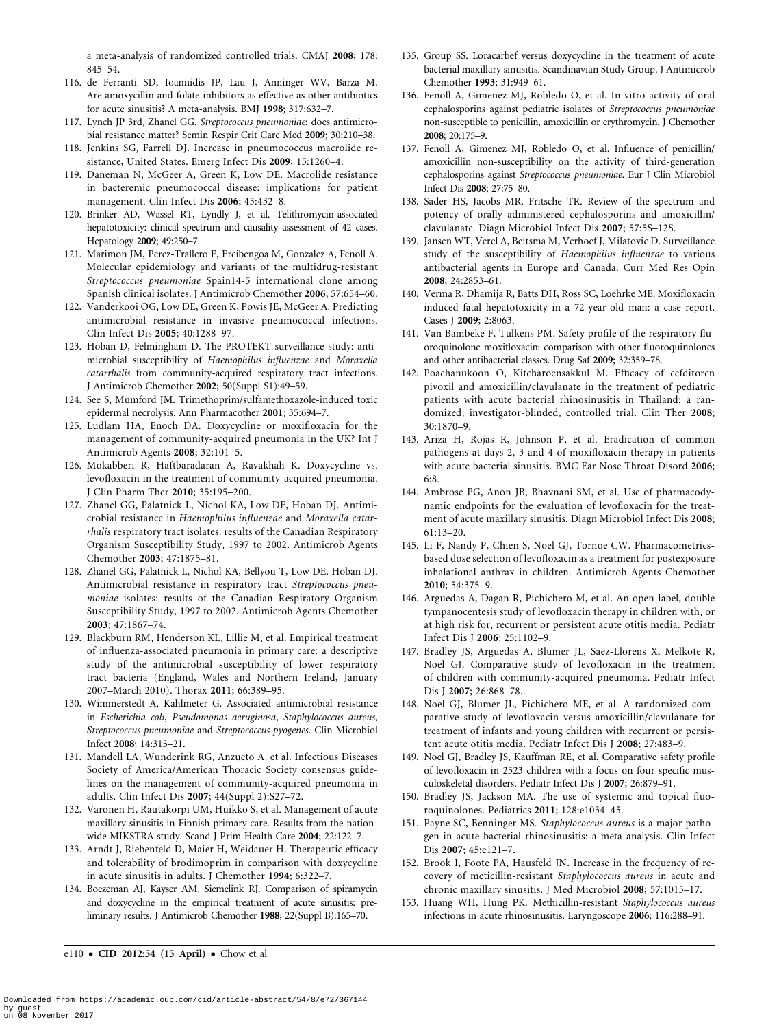<span id="page-38-0"></span>a meta-analysis of randomized controlled trials. CMAJ 2008; 178: 845–54.

- 116. de Ferranti SD, Ioannidis JP, Lau J, Anninger WV, Barza M. Are amoxycillin and folate inhibitors as effective as other antibiotics for acute sinusitis? A meta-analysis. BMJ 1998; 317:632–7.
- 117. Lynch JP 3rd, Zhanel GG. Streptococcus pneumoniae: does antimicrobial resistance matter? Semin Respir Crit Care Med 2009; 30:210–38.
- 118. Jenkins SG, Farrell DJ. Increase in pneumococcus macrolide resistance, United States. Emerg Infect Dis 2009; 15:1260–4.
- 119. Daneman N, McGeer A, Green K, Low DE. Macrolide resistance in bacteremic pneumococcal disease: implications for patient management. Clin Infect Dis 2006; 43:432–8.
- 120. Brinker AD, Wassel RT, Lyndly J, et al. Telithromycin-associated hepatotoxicity: clinical spectrum and causality assessment of 42 cases. Hepatology 2009; 49:250–7.
- 121. Marimon JM, Perez-Trallero E, Ercibengoa M, Gonzalez A, Fenoll A. Molecular epidemiology and variants of the multidrug-resistant Streptococcus pneumoniae Spain14-5 international clone among Spanish clinical isolates. J Antimicrob Chemother 2006; 57:654–60.
- 122. Vanderkooi OG, Low DE, Green K, Powis JE, McGeer A. Predicting antimicrobial resistance in invasive pneumococcal infections. Clin Infect Dis 2005; 40:1288–97.
- 123. Hoban D, Felmingham D. The PROTEKT surveillance study: antimicrobial susceptibility of Haemophilus influenzae and Moraxella catarrhalis from community-acquired respiratory tract infections. J Antimicrob Chemother 2002; 50(Suppl S1):49–59.
- 124. See S, Mumford JM. Trimethoprim/sulfamethoxazole-induced toxic epidermal necrolysis. Ann Pharmacother 2001; 35:694–7.
- 125. Ludlam HA, Enoch DA. Doxycycline or moxifloxacin for the management of community-acquired pneumonia in the UK? Int J Antimicrob Agents 2008; 32:101–5.
- 126. Mokabberi R, Haftbaradaran A, Ravakhah K. Doxycycline vs. levofloxacin in the treatment of community-acquired pneumonia. J Clin Pharm Ther 2010; 35:195–200.
- 127. Zhanel GG, Palatnick L, Nichol KA, Low DE, Hoban DJ. Antimicrobial resistance in Haemophilus influenzae and Moraxella catarrhalis respiratory tract isolates: results of the Canadian Respiratory Organism Susceptibility Study, 1997 to 2002. Antimicrob Agents Chemother 2003; 47:1875–81.
- 128. Zhanel GG, Palatnick L, Nichol KA, Bellyou T, Low DE, Hoban DJ. Antimicrobial resistance in respiratory tract Streptococcus pneumoniae isolates: results of the Canadian Respiratory Organism Susceptibility Study, 1997 to 2002. Antimicrob Agents Chemother 2003; 47:1867–74.
- 129. Blackburn RM, Henderson KL, Lillie M, et al. Empirical treatment of influenza-associated pneumonia in primary care: a descriptive study of the antimicrobial susceptibility of lower respiratory tract bacteria (England, Wales and Northern Ireland, January 2007–March 2010). Thorax 2011; 66:389–95.
- 130. Wimmerstedt A, Kahlmeter G. Associated antimicrobial resistance in Escherichia coli, Pseudomonas aeruginosa, Staphylococcus aureus, Streptococcus pneumoniae and Streptococcus pyogenes. Clin Microbiol Infect 2008; 14:315–21.
- 131. Mandell LA, Wunderink RG, Anzueto A, et al. Infectious Diseases Society of America/American Thoracic Society consensus guidelines on the management of community-acquired pneumonia in adults. Clin Infect Dis 2007; 44(Suppl 2):S27–72.
- 132. Varonen H, Rautakorpi UM, Huikko S, et al. Management of acute maxillary sinusitis in Finnish primary care. Results from the nationwide MIKSTRA study. Scand J Prim Health Care 2004; 22:122–7.
- 133. Arndt J, Riebenfeld D, Maier H, Weidauer H. Therapeutic efficacy and tolerability of brodimoprim in comparison with doxycycline in acute sinusitis in adults. J Chemother 1994; 6:322–7.
- 134. Boezeman AJ, Kayser AM, Siemelink RJ. Comparison of spiramycin and doxycycline in the empirical treatment of acute sinusitis: preliminary results. J Antimicrob Chemother 1988; 22(Suppl B):165–70.
- 135. Group SS. Loracarbef versus doxycycline in the treatment of acute bacterial maxillary sinusitis. Scandinavian Study Group. J Antimicrob Chemother 1993; 31:949–61.
- 136. Fenoll A, Gimenez MJ, Robledo O, et al. In vitro activity of oral cephalosporins against pediatric isolates of Streptococcus pneumoniae non-susceptible to penicillin, amoxicillin or erythromycin. J Chemother 2008; 20:175–9.
- 137. Fenoll A, Gimenez MJ, Robledo O, et al. Influence of penicillin/ amoxicillin non-susceptibility on the activity of third-generation cephalosporins against Streptococcus pneumoniae. Eur J Clin Microbiol Infect Dis 2008; 27:75–80.
- 138. Sader HS, Jacobs MR, Fritsche TR. Review of the spectrum and potency of orally administered cephalosporins and amoxicillin/ clavulanate. Diagn Microbiol Infect Dis 2007; 57:5S–12S.
- 139. Jansen WT, Verel A, Beitsma M, Verhoef J, Milatovic D. Surveillance study of the susceptibility of Haemophilus influenzae to various antibacterial agents in Europe and Canada. Curr Med Res Opin 2008; 24:2853–61.
- 140. Verma R, Dhamija R, Batts DH, Ross SC, Loehrke ME. Moxifloxacin induced fatal hepatotoxicity in a 72-year-old man: a case report. Cases J 2009; 2:8063.
- 141. Van Bambeke F, Tulkens PM. Safety profile of the respiratory fluoroquinolone moxifloxacin: comparison with other fluoroquinolones and other antibacterial classes. Drug Saf 2009; 32:359–78.
- 142. Poachanukoon O, Kitcharoensakkul M. Efficacy of cefditoren pivoxil and amoxicillin/clavulanate in the treatment of pediatric patients with acute bacterial rhinosinusitis in Thailand: a randomized, investigator-blinded, controlled trial. Clin Ther 2008; 30:1870–9.
- 143. Ariza H, Rojas R, Johnson P, et al. Eradication of common pathogens at days 2, 3 and 4 of moxifloxacin therapy in patients with acute bacterial sinusitis. BMC Ear Nose Throat Disord 2006; 6:8.
- 144. Ambrose PG, Anon JB, Bhavnani SM, et al. Use of pharmacodynamic endpoints for the evaluation of levofloxacin for the treatment of acute maxillary sinusitis. Diagn Microbiol Infect Dis 2008; 61:13–20.
- 145. Li F, Nandy P, Chien S, Noel GJ, Tornoe CW. Pharmacometricsbased dose selection of levofloxacin as a treatment for postexposure inhalational anthrax in children. Antimicrob Agents Chemother 2010; 54:375–9.
- 146. Arguedas A, Dagan R, Pichichero M, et al. An open-label, double tympanocentesis study of levofloxacin therapy in children with, or at high risk for, recurrent or persistent acute otitis media. Pediatr Infect Dis J 2006; 25:1102–9.
- 147. Bradley JS, Arguedas A, Blumer JL, Saez-Llorens X, Melkote R, Noel GJ. Comparative study of levofloxacin in the treatment of children with community-acquired pneumonia. Pediatr Infect Dis J 2007; 26:868–78.
- 148. Noel GJ, Blumer JL, Pichichero ME, et al. A randomized comparative study of levofloxacin versus amoxicillin/clavulanate for treatment of infants and young children with recurrent or persistent acute otitis media. Pediatr Infect Dis J 2008; 27:483–9.
- 149. Noel GJ, Bradley JS, Kauffman RE, et al. Comparative safety profile of levofloxacin in 2523 children with a focus on four specific musculoskeletal disorders. Pediatr Infect Dis J 2007; 26:879–91.
- 150. Bradley JS, Jackson MA. The use of systemic and topical fluoroquinolones. Pediatrics 2011; 128:e1034–45.
- 151. Payne SC, Benninger MS. Staphylococcus aureus is a major pathogen in acute bacterial rhinosinusitis: a meta-analysis. Clin Infect Dis 2007; 45:e121–7.
- 152. Brook I, Foote PA, Hausfeld JN. Increase in the frequency of recovery of meticillin-resistant Staphylococcus aureus in acute and chronic maxillary sinusitis. J Med Microbiol 2008; 57:1015–17.
- 153. Huang WH, Hung PK. Methicillin-resistant Staphylococcus aureus infections in acute rhinosinusitis. Laryngoscope 2006; 116:288–91.

e110 · CID 2012:54 (15 April) · Chow et al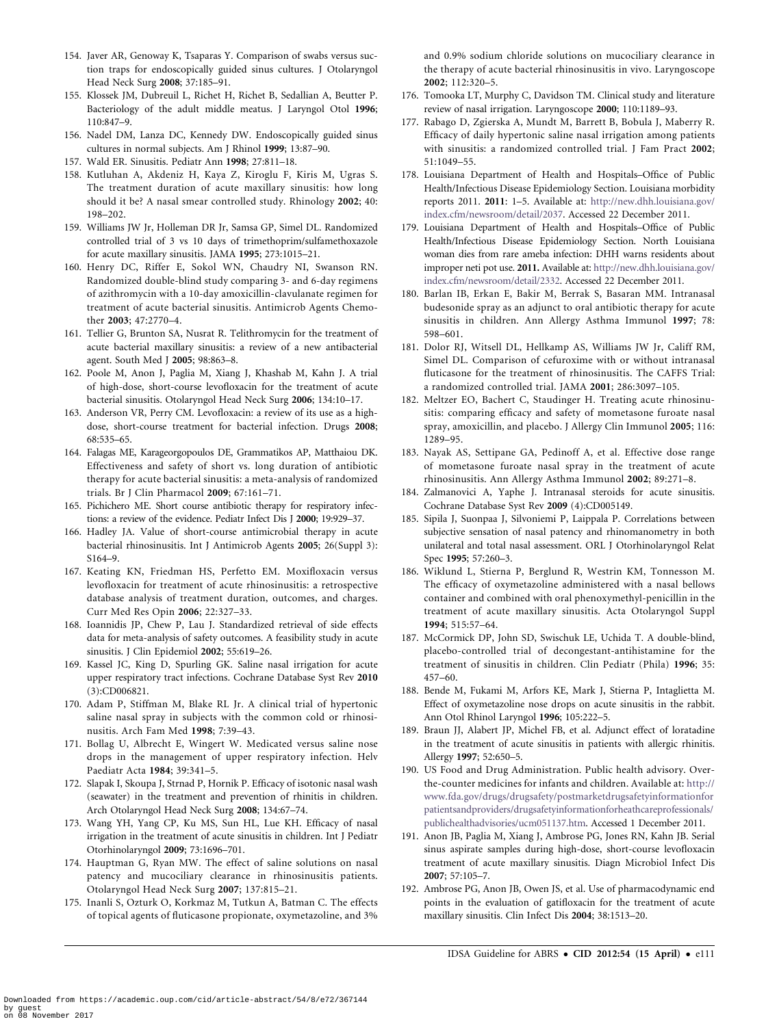- <span id="page-39-0"></span>154. Javer AR, Genoway K, Tsaparas Y. Comparison of swabs versus suction traps for endoscopically guided sinus cultures. J Otolaryngol Head Neck Surg 2008; 37:185–91.
- 155. Klossek JM, Dubreuil L, Richet H, Richet B, Sedallian A, Beutter P. Bacteriology of the adult middle meatus. J Laryngol Otol 1996; 110:847–9.
- 156. Nadel DM, Lanza DC, Kennedy DW. Endoscopically guided sinus cultures in normal subjects. Am J Rhinol 1999; 13:87–90.
- 157. Wald ER. Sinusitis. Pediatr Ann 1998; 27:811–18.
- 158. Kutluhan A, Akdeniz H, Kaya Z, Kiroglu F, Kiris M, Ugras S. The treatment duration of acute maxillary sinusitis: how long should it be? A nasal smear controlled study. Rhinology 2002; 40: 198–202.
- 159. Williams JW Jr, Holleman DR Jr, Samsa GP, Simel DL. Randomized controlled trial of 3 vs 10 days of trimethoprim/sulfamethoxazole for acute maxillary sinusitis. JAMA 1995; 273:1015–21.
- 160. Henry DC, Riffer E, Sokol WN, Chaudry NI, Swanson RN. Randomized double-blind study comparing 3- and 6-day regimens of azithromycin with a 10-day amoxicillin-clavulanate regimen for treatment of acute bacterial sinusitis. Antimicrob Agents Chemother 2003; 47:2770–4.
- 161. Tellier G, Brunton SA, Nusrat R. Telithromycin for the treatment of acute bacterial maxillary sinusitis: a review of a new antibacterial agent. South Med J 2005; 98:863–8.
- 162. Poole M, Anon J, Paglia M, Xiang J, Khashab M, Kahn J. A trial of high-dose, short-course levofloxacin for the treatment of acute bacterial sinusitis. Otolaryngol Head Neck Surg 2006; 134:10–17.
- 163. Anderson VR, Perry CM. Levofloxacin: a review of its use as a highdose, short-course treatment for bacterial infection. Drugs 2008; 68:535–65.
- 164. Falagas ME, Karageorgopoulos DE, Grammatikos AP, Matthaiou DK. Effectiveness and safety of short vs. long duration of antibiotic therapy for acute bacterial sinusitis: a meta-analysis of randomized trials. Br J Clin Pharmacol 2009; 67:161–71.
- 165. Pichichero ME. Short course antibiotic therapy for respiratory infections: a review of the evidence. Pediatr Infect Dis J 2000; 19:929–37.
- 166. Hadley JA. Value of short-course antimicrobial therapy in acute bacterial rhinosinusitis. Int J Antimicrob Agents 2005; 26(Suppl 3): S164–9.
- 167. Keating KN, Friedman HS, Perfetto EM. Moxifloxacin versus levofloxacin for treatment of acute rhinosinusitis: a retrospective database analysis of treatment duration, outcomes, and charges. Curr Med Res Opin 2006; 22:327–33.
- 168. Ioannidis JP, Chew P, Lau J. Standardized retrieval of side effects data for meta-analysis of safety outcomes. A feasibility study in acute sinusitis. J Clin Epidemiol 2002; 55:619–26.
- 169. Kassel JC, King D, Spurling GK. Saline nasal irrigation for acute upper respiratory tract infections. Cochrane Database Syst Rev 2010 (3):CD006821.
- 170. Adam P, Stiffman M, Blake RL Jr. A clinical trial of hypertonic saline nasal spray in subjects with the common cold or rhinosinusitis. Arch Fam Med 1998; 7:39–43.
- 171. Bollag U, Albrecht E, Wingert W. Medicated versus saline nose drops in the management of upper respiratory infection. Helv Paediatr Acta 1984; 39:341–5.
- 172. Slapak I, Skoupa J, Strnad P, Hornik P. Efficacy of isotonic nasal wash (seawater) in the treatment and prevention of rhinitis in children. Arch Otolaryngol Head Neck Surg 2008; 134:67–74.
- 173. Wang YH, Yang CP, Ku MS, Sun HL, Lue KH. Efficacy of nasal irrigation in the treatment of acute sinusitis in children. Int J Pediatr Otorhinolaryngol 2009; 73:1696–701.
- 174. Hauptman G, Ryan MW. The effect of saline solutions on nasal patency and mucociliary clearance in rhinosinusitis patients. Otolaryngol Head Neck Surg 2007; 137:815–21.
- 175. Inanli S, Ozturk O, Korkmaz M, Tutkun A, Batman C. The effects of topical agents of fluticasone propionate, oxymetazoline, and 3%

and 0.9% sodium chloride solutions on mucociliary clearance in the therapy of acute bacterial rhinosinusitis in vivo. Laryngoscope 2002; 112:320–5.

- 176. Tomooka LT, Murphy C, Davidson TM. Clinical study and literature review of nasal irrigation. Laryngoscope 2000; 110:1189–93.
- 177. Rabago D, Zgierska A, Mundt M, Barrett B, Bobula J, Maberry R. Efficacy of daily hypertonic saline nasal irrigation among patients with sinusitis: a randomized controlled trial. J Fam Pract 2002; 51:1049–55.
- 178. Louisiana Department of Health and Hospitals–Office of Public Health/Infectious Disease Epidemiology Section. Louisiana morbidity reports 2011. 2011: 1–5. Available at: [http://new.dhh.louisiana.gov/](http://new.dhh.louisiana.gov/index.cfm/newsroom/detail/2037) [index.cfm/newsroom/detail/2037](http://new.dhh.louisiana.gov/index.cfm/newsroom/detail/2037). Accessed 22 December 2011.
- 179. Louisiana Department of Health and Hospitals–Office of Public Health/Infectious Disease Epidemiology Section. North Louisiana woman dies from rare ameba infection: DHH warns residents about improper neti pot use. 2011. Available at: [http://new.dhh.louisiana.gov/](http://new.dhh.louisiana.gov/index.cfm/newsroom/detail/2332) [index.cfm/newsroom/detail/2332.](http://new.dhh.louisiana.gov/index.cfm/newsroom/detail/2332) Accessed 22 December 2011.
- 180. Barlan IB, Erkan E, Bakir M, Berrak S, Basaran MM. Intranasal budesonide spray as an adjunct to oral antibiotic therapy for acute sinusitis in children. Ann Allergy Asthma Immunol 1997; 78: 598–601.
- 181. Dolor RJ, Witsell DL, Hellkamp AS, Williams JW Jr, Califf RM, Simel DL. Comparison of cefuroxime with or without intranasal fluticasone for the treatment of rhinosinusitis. The CAFFS Trial: a randomized controlled trial. JAMA 2001; 286:3097–105.
- 182. Meltzer EO, Bachert C, Staudinger H. Treating acute rhinosinusitis: comparing efficacy and safety of mometasone furoate nasal spray, amoxicillin, and placebo. J Allergy Clin Immunol 2005; 116: 1289–95.
- 183. Nayak AS, Settipane GA, Pedinoff A, et al. Effective dose range of mometasone furoate nasal spray in the treatment of acute rhinosinusitis. Ann Allergy Asthma Immunol 2002; 89:271–8.
- 184. Zalmanovici A, Yaphe J. Intranasal steroids for acute sinusitis. Cochrane Database Syst Rev 2009 (4):CD005149.
- 185. Sipila J, Suonpaa J, Silvoniemi P, Laippala P. Correlations between subjective sensation of nasal patency and rhinomanometry in both unilateral and total nasal assessment. ORL J Otorhinolaryngol Relat Spec 1995; 57:260–3.
- 186. Wiklund L, Stierna P, Berglund R, Westrin KM, Tonnesson M. The efficacy of oxymetazoline administered with a nasal bellows container and combined with oral phenoxymethyl-penicillin in the treatment of acute maxillary sinusitis. Acta Otolaryngol Suppl 1994; 515:57–64.
- 187. McCormick DP, John SD, Swischuk LE, Uchida T. A double-blind, placebo-controlled trial of decongestant-antihistamine for the treatment of sinusitis in children. Clin Pediatr (Phila) 1996; 35: 457–60.
- 188. Bende M, Fukami M, Arfors KE, Mark J, Stierna P, Intaglietta M. Effect of oxymetazoline nose drops on acute sinusitis in the rabbit. Ann Otol Rhinol Laryngol 1996; 105:222–5.
- 189. Braun JJ, Alabert JP, Michel FB, et al. Adjunct effect of loratadine in the treatment of acute sinusitis in patients with allergic rhinitis. Allergy 1997; 52:650–5.
- 190. US Food and Drug Administration. Public health advisory. Overthe-counter medicines for infants and children. Available at: [http://](http://www.fda.gov/drugs/drugsafety/postmarketdrugsafetyinformationforpatientsandproviders/drugsafetyinformationforheathcareprofessionals/publichealthadvisories/ucm051137.htm) [www.fda.gov/drugs/drugsafety/postmarketdrugsafetyinformationfor](http://www.fda.gov/drugs/drugsafety/postmarketdrugsafetyinformationforpatientsandproviders/drugsafetyinformationforheathcareprofessionals/publichealthadvisories/ucm051137.htm) [patientsandproviders/drugsafetyinformationforheathcareprofessionals/](http://www.fda.gov/drugs/drugsafety/postmarketdrugsafetyinformationforpatientsandproviders/drugsafetyinformationforheathcareprofessionals/publichealthadvisories/ucm051137.htm) [publichealthadvisories/ucm051137.htm](http://www.fda.gov/drugs/drugsafety/postmarketdrugsafetyinformationforpatientsandproviders/drugsafetyinformationforheathcareprofessionals/publichealthadvisories/ucm051137.htm). Accessed 1 December 2011.
- 191. Anon JB, Paglia M, Xiang J, Ambrose PG, Jones RN, Kahn JB. Serial sinus aspirate samples during high-dose, short-course levofloxacin treatment of acute maxillary sinusitis. Diagn Microbiol Infect Dis 2007; 57:105–7.
- 192. Ambrose PG, Anon JB, Owen JS, et al. Use of pharmacodynamic end points in the evaluation of gatifloxacin for the treatment of acute maxillary sinusitis. Clin Infect Dis 2004; 38:1513–20.